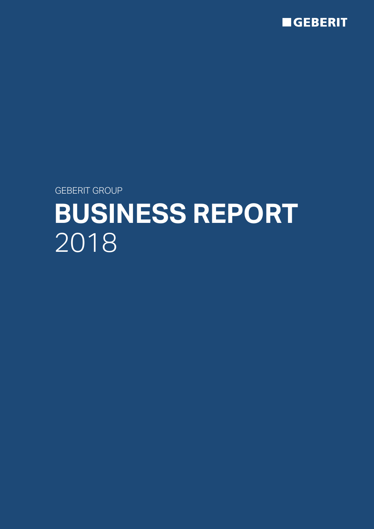

GEBERIT GROUP

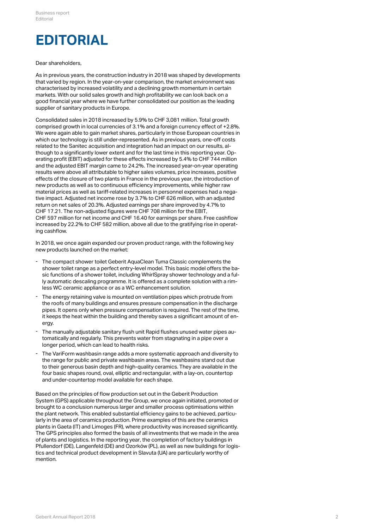### **EDITORIAL**

#### Dear shareholders,

As in previous years, the construction industry in 2018 was shaped by developments that varied by region. In the year-on-year comparison, the market environment was characterised by increased volatility and a declining growth momentum in certain markets. With our solid sales growth and high profitability we can look back on a good financial year where we have further consolidated our position as the leading supplier of sanitary products in Europe.

Consolidated sales in 2018 increased by 5.9% to CHF 3,081 million. Total growth comprised growth in local currencies of 3.1% and a foreign currency effect of +2.8%. We were again able to gain market shares, particularly in those European countries in which our technology is still under-represented. As in previous years, one-off costs related to the Sanitec acquisition and integration had an impact on our results, although to a significantly lower extent and for the last time in this reporting year. Operating profit (EBIT) adjusted for these effects increased by 5.4% to CHF 744 million and the adjusted EBIT margin came to 24.2%. The increased year-on-year operating results were above all attributable to higher sales volumes, price increases, positive effects of the closure of two plants in France in the previous year, the introduction of new products as well as to continuous efficiency improvements, while higher raw material prices as well as tariff-related increases in personnel expenses had a negative impact. Adjusted net income rose by 3.7% to CHF 626 million, with an adjusted return on net sales of 20.3%. Adjusted earnings per share improved by 4.7% to CHF 17.21. The non-adjusted figures were CHF 708 million for the EBIT, CHF 597 million for net income and CHF 16.40 for earnings per share. Free cashflow increased by 22.2% to CHF 582 million, above all due to the gratifying rise in operating cashflow.

In 2018, we once again expanded our proven product range, with the following key new products launched on the market:

- The compact shower toilet Geberit AquaClean Tuma Classic complements the shower toilet range as a perfect entry-level model. This basic model offers the basic functions of a shower toilet, including WhirlSpray shower technology and a fully automatic descaling programme. It is offered as a complete solution with a rim-- The compact shower toilet Geberit AquaClean Tuma Classic complements the shower toilet range as a perfect entry-level model. This basic model offers the sic functions of a shower toilet, including WhirlSpray shower techn
- The energy retaining valve is mounted on ventilation pipes which protrude from the roofs of many buildings and ensures pressure compensation in the discharge pipes. It opens only when pressure compensation is required. The rest of the time, it keeps the heat within the building and thereby saves a significant amount of en-- The energy retaining valve<br>the roofs of many building<br>pipes. It opens only when<br>it keeps the heat within the<br>ergy.
- The manually adjustable sanitary flush unit Rapid flushes unused water pipes automatically and regularly. This prevents water from stagnating in a pipe over a - The manually adjustable sanitary flush unit Rapid flushes unu<br>tomatically and regularly. This prevents water from stagnatin<br>longer period, which can lead to health risks.
- The VariForm washbasin range adds a more systematic approach and diversity to the range for public and private washbasin areas. The washbasins stand out due to their generous basin depth and high-quality ceramics. They are available in the four basic shapes round, oval, elliptic and rectangular, with a lay-on, countertop - The VariForm washbasin range adds a more systematic approach and<br>the range for public and private washbasin areas. The washbasins stan<br>to their generous basin depth and high-quality ceramics. They are avai<br>four basic sha

Based on the principles of flow production set out in the Geberit Production System (GPS) applicable throughout the Group, we once again initiated, promoted or brought to a conclusion numerous larger and smaller process optimisations within the plant network. This enabled substantial efficiency gains to be achieved, particularly in the area of ceramics production. Prime examples of this are the ceramics plants in Gaeta (IT) and Limoges (FR), where productivity was increased significantly. The GPS principles also formed the basis of all investments that we made in the area of plants and logistics. In the reporting year, the completion of factory buildings in Pfullendorf (DE), Langenfeld (DE) and Ozorków (PL), as well as new buildings for logistics and technical product development in Slavuta (UA) are particularly worthy of mention.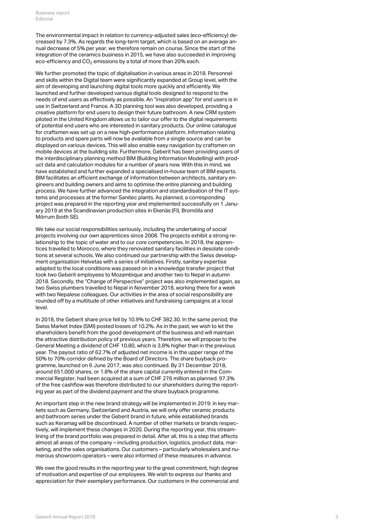The environmental impact in relation to currency-adjusted sales (eco-efficiency) decreased by 7.3%. As regards the long-term target, which is based on an average annual decrease of 5% per year, we therefore remain on course. Since the start of the integration of the ceramics business in 2015, we have also succeeded in improving eco-efficiency and CO $_2$  emissions by a total of more than 20% each.

We further promoted the topic of digitalisation in various areas in 2018. Personnel and skills within the Digital team were significantly expanded at Group level, with the aim of developing and launching digital tools more quickly and efficiently. We launched and further developed various digital tools designed to respond to the needs of end users as effectively as possible. An "inspiration app" for end users is in use in Switzerland and France. A 3D planning tool was also developed, providing a creative platform for end users to design their future bathroom. A new CRM system piloted in the United Kingdom allows us to tailor our offer to the digital requirements of potential end users who are interested in sanitary products. Our online catalogue for craftsmen was set up on a new high-performance platform. Information relating to products and spare parts will now be available from a single source and can be displayed on various devices. This will also enable easy navigation by craftsmen on mobile devices at the building site. Furthermore, Geberit has been providing users of the interdisciplinary planning method BIM (Building Information Modelling) with product data and calculation modules for a number of years now. With this in mind, we have established and further expanded a specialised in-house team of BIM experts. BIM facilitates an efficient exchange of information between architects, sanitary engineers and building owners and aims to optimise the entire planning and building process. We have further advanced the integration and standardisation of the IT systems and processes at the former Sanitec plants. As planned, a corresponding project was prepared in the reporting year and implemented successfully on 1 January 2019 at the Scandinavian production sites in Ekenäs (FI), Bromölla and Mörrum (both SE).

We take our social responsibilities seriously, including the undertaking of social projects involving our own apprentices since 2008. The projects exhibit a strong relationship to the topic of water and to our core competencies. In 2018, the apprentices travelled to Morocco, where they renovated sanitary facilities in desolate conditions at several schools. We also continued our partnership with the Swiss development organisation Helvetas with a series of initiatives. Firstly, sanitary expertise adapted to the local conditions was passed on in a knowledge transfer project that took two Geberit employees to Mozambique and another two to Nepal in autumn 2018. Secondly, the "Change of Perspective" project was also implemented again, as two Swiss plumbers travelled to Nepal in November 2018, working there for a week with two Nepalese colleagues. Our activities in the area of social responsibility are rounded off by a multitude of other initiatives and fundraising campaigns at a local level.

In 2018, the Geberit share price fell by 10.9% to CHF 382.30. In the same period, the Swiss Market Index (SMI) posted losses of 10.2%. As in the past, we wish to let the shareholders benefit from the good development of the business and will maintain the attractive distribution policy of previous years. Therefore, we will propose to the General Meeting a dividend of CHF 10.80, which is 3.8% higher than in the previous year. The payout ratio of 62.7% of adjusted net income is in the upper range of the 50% to 70% corridor defined by the Board of Directors. The share buyback programme, launched on 6 June 2017, was also continued. By 31 December 2018, around 651,000 shares, or 1.8% of the share capital currently entered in the Commercial Register, had been acquired at a sum of CHF 276 million as planned. 97.3% of the free cashflow was therefore distributed to our shareholders during the reporting year as part of the dividend payment and the share buyback programme.

An important step in the new brand strategy will be implemented in 2019: in key markets such as Germany, Switzerland and Austria, we will only offer ceramic products and bathroom series under the Geberit brand in future, while established brands such as Keramag will be discontinued. A number of other markets or brands respectively, will implement these changes in 2020. During the reporting year, this streamlining of the brand portfolio was prepared in detail. After all, this is a step that affects almost all areas of the company – including production, logistics, product data, marketing, and the sales organisations. Our customers – particularly wholesalers and numerous showroom operators – were also informed of these measures in advance.

We owe the good results in the reporting year to the great commitment, high degree of motivation and expertise of our employees. We wish to express our thanks and appreciation for their exemplary performance. Our customers in the commercial and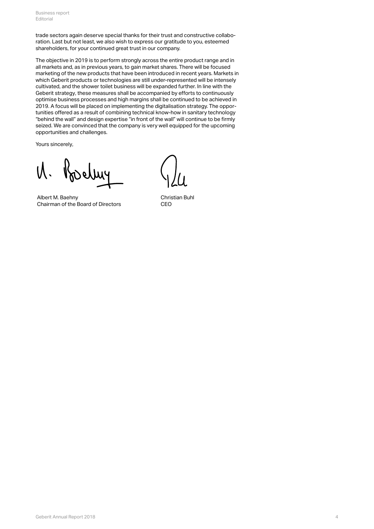trade sectors again deserve special thanks for their trust and constructive collaboration. Last but not least, we also wish to express our gratitude to you, esteemed shareholders, for your continued great trust in our company.

The objective in 2019 is to perform strongly across the entire product range and in all markets and, as in previous years, to gain market shares. There will be focused marketing of the new products that have been introduced in recent years. Markets in which Geberit products or technologies are still under-represented will be intensely cultivated, and the shower toilet business will be expanded further. In line with the Geberit strategy, these measures shall be accompanied by efforts to continuously optimise business processes and high margins shall be continued to be achieved in 2019. A focus will be placed on implementing the digitalisation strategy. The opportunities offered as a result of combining technical know-how in sanitary technology "behind the wall" and design expertise "in front of the wall" will continue to be firmly seized. We are convinced that the company is very well equipped for the upcoming opportunities and challenges.

Yours sincerely,

Albert M. Baehny Chairman of the Board of Directors

Christian Buhl CEO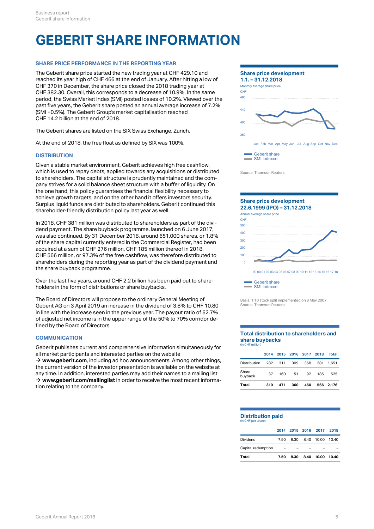### **GEBERIT SHARE INFORMATION**

### **SHARE PRICE PERFORMANCE IN THE REPORTING YEAR**

The Geberit share price started the new trading year at CHF 429.10 and reached its year high of CHF 466 at the end of January. After hitting a low of CHF 370 in December, the share price closed the 2018 trading year at More CHF 370 in December, the same CHF CHF 382.30. Overall, this corresponds to a decrease of 10.9%. In the same period, the Swiss Market Index (SMI) posted losses of 10.2%. Viewed over the past five years, the Geberit share posted an annual average increase of 7.2% (SMI +0.5%). The Geberit Group's market capitalisation reached CHF 14.2 billion at the end of 2018.

The Geberit shares are listed on the SIX Swiss Exchange, Zurich.

At the end of 2018, the free float as defined by SIX was 100%.

### **DISTRIBUTION**

Given a stable market environment, Geberit achieves high free cashflow, which is used to repay debts, applied towards any acquisitions or distributed to shareholders. The capital structure is prudently maintained and the company strives for a solid balance sheet structure with a buffer of liquidity. On the one hand, this policy guarantees the financial flexibility necessary to achieve growth targets, and on the other hand it offers investors security. Surplus liquid funds are distributed to shareholders. Geberit continued this shareholder-friendly distribution policy last year as well.

In 2018, CHF 381 million was distributed to shareholders as part of the dividend payment. The share buyback programme, launched on 6 June 2017, was also continued. By 31 December 2018, around 651,000 shares, or 1.8% of the share capital currently entered in the Commercial Register, had been acquired at a sum of CHF 276 million, CHF 185 million thereof in 2018. CHF 566 million, or 97.3% of the free cashflow, was therefore distributed to shareholders during the reporting year as part of the dividend payment and the share buyback programme.

Over the last five years, around CHF 2.2 billion has been paid out to shareholders in the form of distributions or share buybacks.

The Board of Directors will propose to the ordinary General Meeting of Geberit AG on 3 April 2019 an increase in the dividend of 3.8% to CHF 10.80 in line with the increase seen in the previous year. The payout ratio of 62.7% of adjusted net income is in the upper range of the 50% to 70% corridor defined by the Board of Directors.

### **COMMUNICATION**

Geberit publishes current and comprehensive information simultaneously for all market participants and interested parties on the website

→ [www.geberit.com](http://www.geberit.com/en/index.html), including ad hoc announcements. Among other things, the current version of the investor presentation is available on the website at any time. In addition, interested parties may add their names to a mailing list → [www.geberit.com/mailinglist](http://www.geberit.com/mailinglist) in order to receive the most recent information relating to the company.



Source: Thomson Reuters



SMI indexed

Basis: 1:10 stock split implemented on 8 May 2007 Source: Thomson Reuters

#### **Total distribution to shareholders and share buybacks** (in CHF million)

| Total               | 319 | 471     | 360 | 460 |                          | 566 2.176 |
|---------------------|-----|---------|-----|-----|--------------------------|-----------|
| Share<br>buyback    | 37  | 160     | 51  | 92  | 185                      | 525       |
| <b>Distribution</b> |     | 282 311 | 309 | 368 |                          | 381 1.651 |
|                     |     |         |     |     | 2014 2015 2016 2017 2018 | Total     |

#### **Distribution paid** (in CHF per share)

|                    |                          |  | 2014 2015 2016 2017 2018   |  |
|--------------------|--------------------------|--|----------------------------|--|
| Dividend           |                          |  | 7.50 8.30 8.40 10.00 10.40 |  |
| Capital redemption | $\overline{\phantom{0}}$ |  |                            |  |

**Total 7.50 8.30 8.40 10.00 10.40**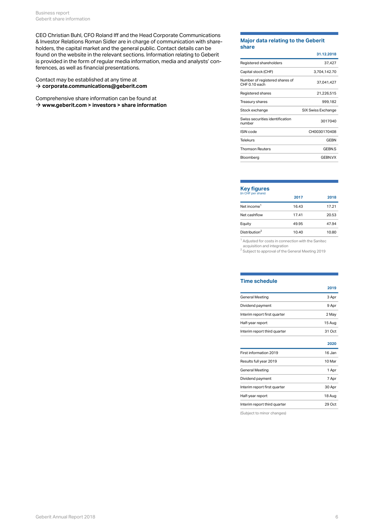CEO Christian Buhl, CFO Roland Iff and the Head Corporate Communications & Investor Relations Roman Sidler are in charge of communication with shareholders, the capital market and the general public. Contact details can be found on the website in the relevant sections. Information relating to Geberit is provided in the form of regular media information, media and analysts' conferences, as well as financial presentations.

Contact may be established at any time at → [corporate.communications@geberit.com](mailto: corporate.communications@geberit.com) and the control of the control of the control of the control of the control of the control of the control of the control of the control of the control of the control of the control o

Comprehensive share information can be found at **→ [www.geberit.com > investors > share information](http://www.geberit.com/investors/share-information/share-price/)** 

#### **Major data relating to the Geberit share**

|                                                 | 31.12.2018         |
|-------------------------------------------------|--------------------|
| Registered shareholders                         | 37,427             |
| Capital stock (CHF)                             | 3,704,142.70       |
| Number of registered shares of<br>CHF 0.10 each | 37,041,427         |
| Registered shares                               | 21,226,515         |
| Treasury shares                                 | 999,182            |
| Stock exchange                                  | SIX Swiss Exchange |
| Swiss securities identification<br>number       | 3017040            |
| <b>ISIN</b> code                                | CH0030170408       |
| <b>Telekurs</b>                                 | <b>GEBN</b>        |
| <b>Thomson Reuters</b>                          | GEBN.S             |
| Bloomberg                                       | <b>GEBN.VX</b>     |

### **Key figures**

#### $(in$  CHF pe

|                           | 2017  | 2018  |
|---------------------------|-------|-------|
| Net income <sup>1</sup>   | 16.43 | 17.21 |
| Net cashflow              | 17.41 | 20.53 |
| Equity                    | 49.95 | 47.94 |
| Distribution <sup>2</sup> | 10.40 | 10.80 |

<sup>1</sup> Adjusted for costs in connection with the Sanitec

acquisition and integration

 $2^2$  Subject to approval of the General Meeting 2019

#### **Time schedule**

|                              | 2019   |
|------------------------------|--------|
| General Meeting              | 3 Apr  |
| Dividend payment             | 9 Apr  |
| Interim report first quarter | 2 May  |
| Half-year report             | 15 Aug |
| Interim report third quarter | 31 Oct |
|                              |        |

|                              | 2020   |
|------------------------------|--------|
| First information 2019       | 16 Jan |
| Results full year 2019       | 10 Mar |
| <b>General Meeting</b>       | 1 Apr  |
| Dividend payment             | 7 Apr  |
| Interim report first quarter | 30 Apr |
| Half-year report             | 18 Aug |
| Interim report third quarter | 29 Oct |

(Subject to minor changes)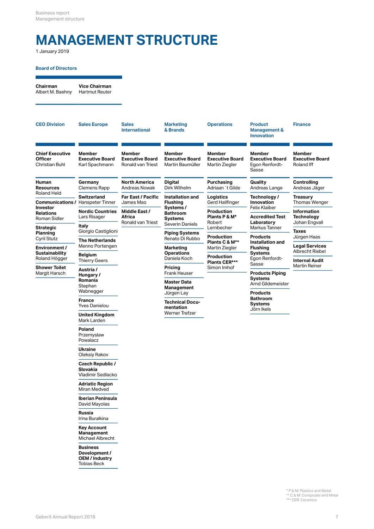# **MANAGEMENT STRUCTURE**

1 January 2019

### **Board of Directors**

**Chairman Vice Chairman** Albert M. Baehny Hartmut Reuter

| <b>CEO Division</b>                                     | <b>Sales Europe</b>                                          | <b>Sales</b><br><b>International</b>                  | <b>Marketing</b><br>& Brands                                | <b>Operations</b>                                     | <b>Product</b><br><b>Management &amp;</b><br><b>Innovation</b> | <b>Finance</b>                                                 |
|---------------------------------------------------------|--------------------------------------------------------------|-------------------------------------------------------|-------------------------------------------------------------|-------------------------------------------------------|----------------------------------------------------------------|----------------------------------------------------------------|
| <b>Chief Executive</b><br>Officer<br>Christian Buhl     | <b>Member</b><br><b>Executive Board</b><br>Karl Spachmann    | Member<br><b>Executive Board</b><br>Ronald van Triest | Member<br><b>Executive Board</b><br>Martin Baumüller        | Member<br><b>Executive Board</b><br>Martin Ziegler    | Member<br><b>Executive Board</b><br>Egon Renfordt-<br>Sasse    | <b>Member</b><br><b>Executive Board</b><br>Roland Iff          |
| Human<br>Resources                                      | Germany<br>Clemens Rapp                                      | <b>North America</b><br>Andreas Nowak                 | <b>Digital</b><br>Dirk Wilhelm                              | Purchasing<br>Adriaan ´t Gilde                        | Quality<br>Andreas Lange                                       | <b>Controlling</b><br>Andreas Jäger                            |
| Roland Held<br><b>Communications / Hanspeter Tinner</b> | <b>Switzerland</b>                                           | <b>Far East / Pacific</b><br>James Mao                | Installation and<br><b>Flushing</b>                         | Logistics<br>Gerd Hailfinger                          | Technology /<br>Innovation                                     | <b>Treasury</b><br><b>Thomas Wenger</b>                        |
| Investor<br>Relations<br>Roman Sidler                   | <b>Nordic Countries</b><br>Lars Risager                      | Middle East /<br>Africa<br>Ronald van Triest          | Systems /<br><b>Bathroom</b><br>Systems                     | <b>Production</b><br>Plants P & M*<br>Robert          | Felix Klaiber<br><b>Accredited Test</b><br>Laboratory          | Information<br><b>Technology</b><br>Johan Engvall              |
| Strategic<br>Planning                                   | Italy<br>Giorgio Castiglioni                                 |                                                       | Severin Daniels<br><b>Piping Systems</b>                    | Lernbecher                                            | Markus Tanner                                                  | <b>Taxes</b>                                                   |
| Cyril Stutz<br>Environment /                            | <b>The Netherlands</b><br>Menno Portengen                    |                                                       | Renato Di Rubbo<br>Marketing                                | <b>Production</b><br>Plants C & M**<br>Martin Ziegler | <b>Products</b><br><b>Installation and</b><br><b>Flushing</b>  | Jürgen Haas<br><b>Legal Services</b><br><b>Albrecht Riebel</b> |
| <b>Sustainability</b><br>Roland Högger                  | <b>Belgium</b><br><b>Thierry Geers</b>                       |                                                       | <b>Operations</b><br>Daniela Koch                           | <b>Production</b><br>Plants CER***                    | <b>Systems</b><br>Egon Renfordt-<br>Sasse                      | <b>Internal Audit</b>                                          |
| Shower Toilet<br>Margit Harsch                          | Austria /<br>Hungary /<br>Romania<br>Stephan                 |                                                       | Pricing<br>Frank Heuser<br><b>Master Data</b><br>Management | Simon Imhof                                           | <b>Products Piping</b><br><b>Systems</b><br>Arnd Gildemeister  | <b>Martin Reiner</b>                                           |
|                                                         | Wabnegger<br><b>France</b>                                   |                                                       | Jürgen Lay<br><b>Technical Docu-</b>                        |                                                       | <b>Products</b><br><b>Bathroom</b><br>Systems                  |                                                                |
|                                                         | <b>Yves Danielou</b><br><b>United Kingdom</b><br>Mark Larden |                                                       | mentation<br><b>Werner Trefzer</b>                          |                                                       | Jörn Ikels                                                     |                                                                |
|                                                         | Poland<br>Przemyslaw<br>Powalacz                             |                                                       |                                                             |                                                       |                                                                |                                                                |
|                                                         | <b>Ukraine</b><br>Oleksiy Rakov                              |                                                       |                                                             |                                                       |                                                                |                                                                |
|                                                         | <b>Czech Republic /</b><br>Slovakia<br>Vladimir Sedlacko     |                                                       |                                                             |                                                       |                                                                |                                                                |
|                                                         | <b>Adriatic Region</b><br>Miran Medved                       |                                                       |                                                             |                                                       |                                                                |                                                                |
|                                                         | <b>Iberian Peninsula</b><br>David Mayolas                    |                                                       |                                                             |                                                       |                                                                |                                                                |
|                                                         | Russia<br>Irina Buralkina                                    |                                                       |                                                             |                                                       |                                                                |                                                                |

**Key Account Management** Michael Albrecht

**Business Development / OEM / Industry** Tobias Beck

\* P & M: Plastics and Metal<br>\*\* C & M: Composite and Metal<br>\*\*\* CER: Ceramics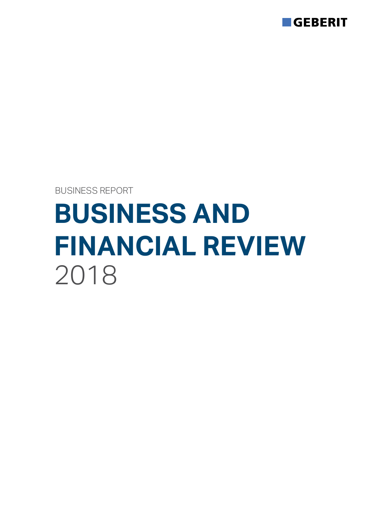

BUSINESS REPORT

# **BUSINESS AND FINANCIAL REVIEW** 2018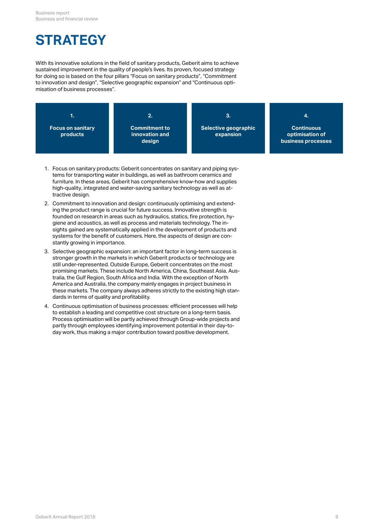## **STRATEGY**

With its innovative solutions in the field of sanitary products, Geberit aims to achieve sustained improvement in the quality of people's lives. Its proven, focused strategy for doing so is based on the four pillars "Focus on sanitary products", "Commitment to innovation and design", "Selective geographic expansion" and "Continuous optimisation of business processes".



- 1. Focus on sanitary products: Geberit concentrates on sanitary and piping systems for transporting water in buildings, as well as bathroom ceramics and furniture. In these areas, Geberit has comprehensive know-how and supplies high-quality, integrated and water-saving sanitary technology as well as attractive design.
- 2. Commitment to innovation and design: continuously optimising and extending the product range is crucial for future success. Innovative strength is founded on research in areas such as hydraulics, statics, fire protection, hygiene and acoustics, as well as process and materials technology. The insights gained are systematically applied in the development of products and systems for the benefit of customers. Here, the aspects of design are constantly growing in importance.
- 3. Selective geographic expansion: an important factor in long-term success is stronger growth in the markets in which Geberit products or technology are still under-represented. Outside Europe, Geberit concentrates on the most promising markets. These include North America, China, Southeast Asia, Australia, the Gulf Region, South Africa and India. With the exception of North America and Australia, the company mainly engages in project business in these markets. The company always adheres strictly to the existing high standards in terms of quality and profitability.
- 4. Continuous optimisation of business processes: efficient processes will help to establish a leading and competitive cost structure on a long-term basis. Process optimisation will be partly achieved through Group-wide projects and partly through employees identifying improvement potential in their day-today work, thus making a major contribution toward positive development.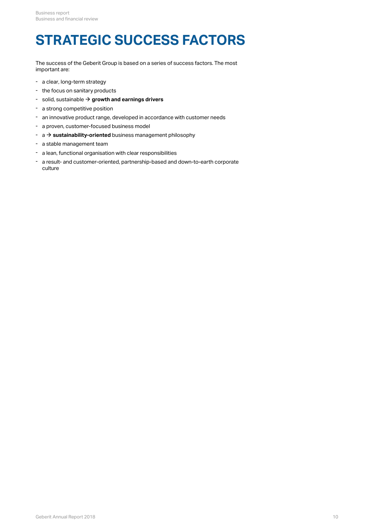# **STRATEGIC SUCCESS FACTORS**

The success of the Geberit Group is based on a series of success factors. The most important are:

- a clear, long-term strategy
- the focus on sanitary products
- $\text{-}$  solid, sustainable  $\rightarrow$  [growth and earnings drivers](#page-10-0)
- a strong competitive position
- an innovative product range, developed in accordance with customer needs
- a proven, customer-focused business model
- $\rightarrow$  a  $\rightarrow$  **sustainability-oriented** business management philosophy
- a stable management team
- a lean, functional organisation with clear responsibilities
- a result- and customer-oriented, partnership-based and down-to-earth corporate culture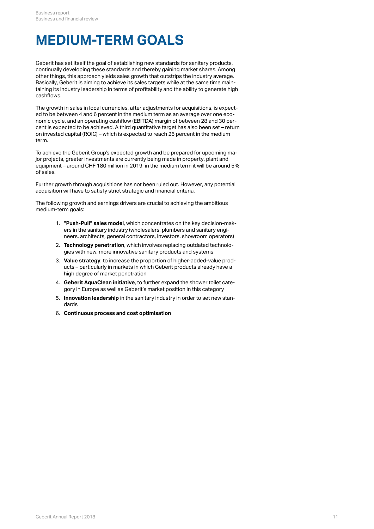### <span id="page-10-0"></span>**MEDIUM-TERM GOALS**

Geberit has set itself the goal of establishing new standards for sanitary products, continually developing these standards and thereby gaining market shares. Among other things, this approach yields sales growth that outstrips the industry average. Basically, Geberit is aiming to achieve its sales targets while at the same time maintaining its industry leadership in terms of profitability and the ability to generate high cashflows.

The growth in sales in local currencies, after adjustments for acquisitions, is expected to be between 4 and 6 percent in the medium term as an average over one economic cycle, and an operating cashflow (EBITDA) margin of between 28 and 30 percent is expected to be achieved. A third quantitative target has also been set – return on invested capital (ROIC) – which is expected to reach 25 percent in the medium term.

To achieve the Geberit Group's expected growth and be prepared for upcoming major projects, greater investments are currently being made in property, plant and equipment – around CHF 180 million in 2019; in the medium term it will be around 5% of sales.

Further growth through acquisitions has not been ruled out. However, any potential acquisition will have to satisfy strict strategic and financial criteria.

The following growth and earnings drivers are crucial to achieving the ambitious medium-term goals:

- 1. **"Push-Pull" sales model**, which concentrates on the key decision-makers in the sanitary industry (wholesalers, plumbers and sanitary engineers, architects, general contractors, investors, showroom operators)
- 2. **Technology penetration**, which involves replacing outdated technologies with new, more innovative sanitary products and systems
- 3. **Value strategy**, to increase the proportion of higher-added-value products – particularly in markets in which Geberit products already have a high degree of market penetration
- 4. **Geberit AquaClean initiative**, to further expand the shower toilet category in Europe as well as Geberit's market position in this category
- 5. **Innovation leadership** in the sanitary industry in order to set new standards
- 6. **Continuous process and cost optimisation**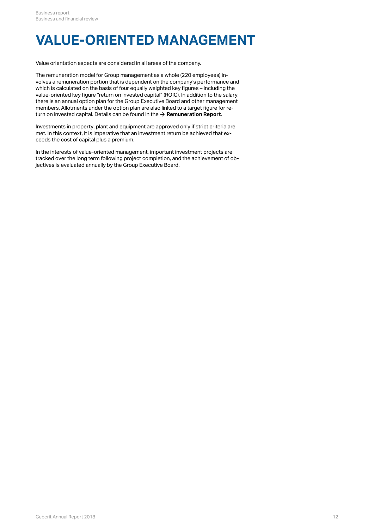## **VALUE-ORIENTED MANAGEMENT**

Value orientation aspects are considered in all areas of the company.

The remuneration model for Group management as a whole (220 employees) involves a remuneration portion that is dependent on the company's performance and which is calculated on the basis of four equally weighted key figures – including the value-oriented key figure "return on invested capital" (ROIC). In addition to the salary, there is an annual option plan for the Group Executive Board and other management members. Allotments under the option plan are also linked to a target figure for return on invested capital. Details can be found in the  $\rightarrow$  **[Remuneration Report](#page-63-0)**.

Investments in property, plant and equipment are approved only if strict criteria are met. In this context, it is imperative that an investment return be achieved that exceeds the cost of capital plus a premium.

In the interests of value-oriented management, important investment projects are tracked over the long term following project completion, and the achievement of objectives is evaluated annually by the Group Executive Board.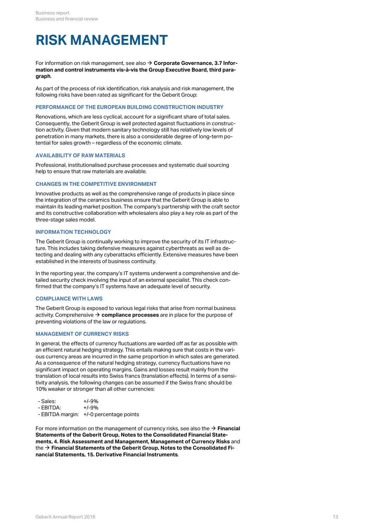# <span id="page-12-0"></span>**RISK MANAGEMENT**

For information on risk management, see also **[Corporate Governance, 3.7 Infor-](#page-46-0)**[\\$](#page-46-0) **[mation and control instruments vis-à-vis the Group Executive Board, third para](#page-46-0)[graph](#page-46-0)**.

As part of the process of risk identification, risk analysis and risk management, the following risks have been rated as significant for the Geberit Group:

### **PERFORMANCE OF THE EUROPEAN BUILDING CONSTRUCTION INDUSTRY**

Renovations, which are less cyclical, account for a significant share of total sales. Consequently, the Geberit Group is well protected against fluctuations in construction activity. Given that modern sanitary technology still has relatively low levels of penetration in many markets, there is also a considerable degree of long-term potential for sales growth – regardless of the economic climate.

#### **AVAILABILITY OF RAW MATERIALS**

Professional, institutionalised purchase processes and systematic dual sourcing help to ensure that raw materials are available.

### **CHANGES IN THE COMPETITIVE ENVIRONMENT**

Innovative products as well as the comprehensive range of products in place since the integration of the ceramics business ensure that the Geberit Group is able to maintain its leading market position. The company's partnership with the craft sector and its constructive collaboration with wholesalers also play a key role as part of the three-stage sales model.

### **INFORMATION TECHNOLOGY**

The Geberit Group is continually working to improve the security of its IT infrastructure. This includes taking defensive measures against cyberthreats as well as detecting and dealing with any cyberattacks efficiently. Extensive measures have been established in the interests of business continuity.

In the reporting year, the company's IT systems underwent a comprehensive and detailed security check involving the input of an external specialist. This check confirmed that the company's IT systems have an adequate level of security.

#### **COMPLIANCE WITH LAWS**

The Geberit Group is exposed to various legal risks that arise from normal business activity. Comprehensive  $\bm{\rightarrow}$  **compliance processes** are in place for the purpose of preventing violations of the law or regulations.

### <span id="page-12-1"></span>**MANAGEMENT OF CURRENCY RISKS**

In general, the effects of currency fluctuations are warded off as far as possible with an efficient natural hedging strategy. This entails making sure that costs in the various currency areas are incurred in the same proportion in which sales are generated. As a consequence of the natural hedging strategy, currency fluctuations have no significant impact on operating margins. Gains and losses result mainly from the translation of local results into Swiss francs (translation effects). In terms of a sensitivity analysis, the following changes can be assumed if the Swiss franc should be 10% weaker or stronger than all other currencies:

| - Sales:  | $+/-9%$                                 |
|-----------|-----------------------------------------|
| - EBITDA: | $+1 - 9%$                               |
|           | - EBITDA margin: +/-0 percentage points |

For more information on the management of currency risks, see also the **[Financial](http://annualreport.geberit.com/reports/geberit/annual/2018/gb/English/20405004/4_-risk-assessment-and-management.html)** [\\$](http://annualreport.geberit.com/reports/geberit/annual/2018/gb/English/20405004/4_-risk-assessment-and-management.html) **[Statements of the Geberit Group, Notes to the Consolidated Financial State](http://annualreport.geberit.com/reports/geberit/annual/2018/gb/English/20405004/4_-risk-assessment-and-management.html)[ments, 4. Risk Assessment and Management, Management of Currency Risks](http://annualreport.geberit.com/reports/geberit/annual/2018/gb/English/20405004/4_-risk-assessment-and-management.html)** and the → **[Financial Statements of the Geberit Group, Notes to the Consolidated Fi](http://annualreport.geberit.com/reports/geberit/annual/2018/gb/English/20405004/4_-risk-assessment-and-management.html)[nancial Statements, 15. Derivative Financial Instruments](http://annualreport.geberit.com/reports/geberit/annual/2018/gb/English/20405004/4_-risk-assessment-and-management.html)**.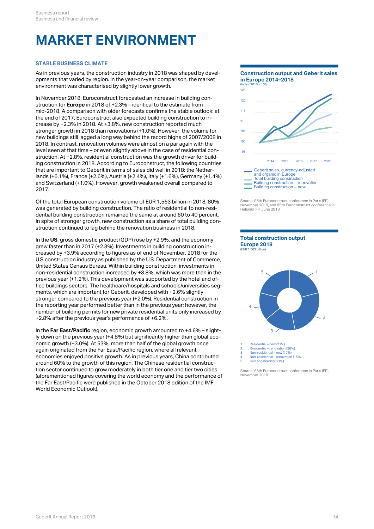# **MARKET ENVIRONMENT**

### **STABLE BUSINESS CLIMATE**

As in previous years, the construction industry in 2018 was shaped by developments that varied by region. In the year-on-year comparison, the market environment was characterised by slightly lower growth.

In November 2018, Euroconstruct forecasted an increase in building construction for **Europe** in 2018 of +2.3% – identical to the estimate from mid-2018. A comparison with older forecasts confirms the stable outlook: at the end of 2017, Euroconstruct also expected building construction to increase by +2.3% in 2018. At +3.8%, new construction reported much stronger growth in 2018 than renovations (+1.0%). However, the volume for new buildings still lagged a long way behind the record highs of 2007/2008 in 2018. In contrast, renovation volumes were almost on a par again with the level seen at that time – or even slightly above in the case of residential construction. At +2.8%, residential construction was the growth driver for building construction in 2018. According to Euroconstruct, the following countries that are important to Geberit in terms of sales did well in 2018: the Netherlands (+6.1%), France (+2.6%), Austria (+2.4%), Italy (+1.6%), Germany (+1.4%) and Switzerland (+1.0%). However, growth weakened overall compared to 2017.

Of the total European construction volume of EUR 1,563 billion in 2018, 80% was generated by building construction. The ratio of residential to non-residential building construction remained the same at around 60 to 40 percent. In spite of stronger growth, new construction as a share of total building construction continued to lag behind the renovation business in 2018.

In the **US**, gross domestic product (GDP) rose by +2.9%, and the economy grew faster than in 2017 (+2.3%). Investments in building construction increased by +3.9% according to figures as of end of November, 2018 for the U.S construction industry as published by the U.S. Department of Commerce, United States Census Bureau. Within building construction, investments in non-residential construction increased by +3.8%, which was more than in the previous year (+1.2%). This development was supported by the hotel and office buildings sectors. The healthcare/hospitals and schools/universities segments, which are important for Geberit, developed with +2.6% slightly stronger compared to the previous year (+2.0%). Residential construction in the reporting year performed better than in the previous year; however, the number of building permits for new private residential units only increased by +2.8% after the previous year's performance of +6.2%.

In the **Far East/Pacific** region, economic growth amounted to +4.6% – slightly down on the previous year (+4.8%) but significantly higher than global economic growth (+3.0%). At 53%, more than half of the global growth once again originated from the Far East/Pacific region, where all relevant  $\frac{2}{3}$ economies enjoyed positive growth. As in previous years, China contributed around 60% to the growth of this region. The Chinese residential construction sector continued to grow moderately in both tier one and tier two cities (aforementioned figures covering the world economy and the performance of the Far East/Pacific were published in the October 2018 edition of the IMF World Economic Outlook).

**Construction output and Geberit sales in Europe 2014–2018** (Index: 2013 = 100) 2014 2015 2016 2017 2018 95 100 105 110 115 120 125 Geberit sales, currency-adjusted and organic in Europe Total building construction Building construction – renovation Building construction – new

Source: 86th Euroconstruct conference in Paris (FR), November 2018, and 85th Euroconstruct conference in Helsinki (FI), June 2018





Residential – new (21%)

4 Non-residential – renovation (15%)

5 Civil engineering (21%)

Source: 86th Euroconstruct conference in Paris (FR), November 2018

<sup>2</sup> Residential – renovation (26%) 3 Non-residential – new (17%)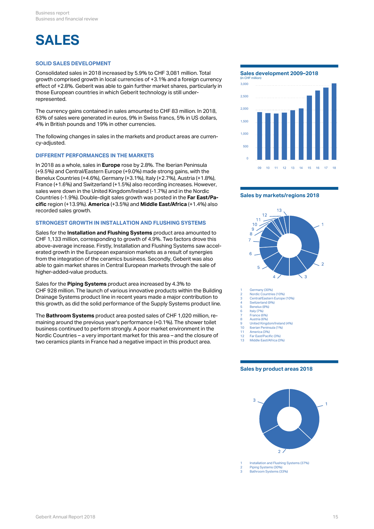## **SALES**

### **SOLID SALES DEVELOPMENT**

Consolidated sales in 2018 increased by 5.9% to CHF 3,081 million. Total growth comprised growth in local currencies of +3.1% and a foreign currency effect of +2.8%. Geberit was able to gain further market shares, particularly in those European countries in which Geberit technology is still underrepresented.

The currency gains contained in sales amounted to CHF 83 million. In 2018, 63% of sales were generated in euros, 9% in Swiss francs, 5% in US dollars, 4% in British pounds and 19% in other currencies.

The following changes in sales in the markets and product areas are currency-adjusted.

### **DIFFERENT PERFORMANCES IN THE MARKETS**

In 2018 as a whole, sales in **Europe** rose by 2.8%. The Iberian Peninsula (+9.5%) and Central/Eastern Europe (+9.0%) made strong gains, with the Benelux Countries (+4.6%), Germany (+3.1%), Italy (+2.7%), Austria (+1.8%), France (+1.6%) and Switzerland (+1.5%) also recording increases. However, sales were down in the United Kingdom/Ireland (-1.7%) and in the Nordic Countries (-1.9%). Double-digit sales growth was posted in the **Far East/Pacific** region (+13.9%). **America** (+3.5%) and **Middle East/Africa** (+1.4%) also recorded sales growth.

### **STRONGEST GROWTH IN INSTALLATION AND FLUSHING SYSTEMS**

Sales for the **Installation and Flushing Systems** product area amounted to CHF 1,133 million, corresponding to growth of 4.9%. Two factors drove this above-average increase. Firstly, Installation and Flushing Systems saw accelerated growth in the European expansion markets as a result of synergies from the integration of the ceramics business. Secondly, Geberit was also able to gain market shares in Central European markets through the sale of higher-added-value products.

Sales for the **Piping Systems** product area increased by 4.3% to CHF 928 million. The launch of various innovative products within the Building  $\frac{1}{2}$ Drainage Systems product line in recent years made a major contribution to  $\frac{2}{3}$ this growth, as did the solid performance of the Supply Systems product line.

The **Bathroom Systems** product area posted sales of CHF 1,020 million, remaining around the previous year's performance  $(+0.1\%)$ . The shower toilet business continued to perform strongly. A poor market environment in the the state of the state of the state of the state of the state of the state of the state of the state of the state of the state of the state of the st Nordic Countries – a very important market for this area – and the closure of two ceramics plants in France had a negative impact in this product area.

**Sales development 2009–2018**



#### **Sales by markets/regions 2018**



Germany (30%)

- 2 Nordic Countries (10%) 3 Central/Eastern Europe (10%)
- Switzerland (9%)
- 5 Benelux (8%)<br>6 Italy (7%) 6 Italy (7%)
	- France (6%)
	- Austria (6%) 9 United Kingdom/Ireland (4%)
- 10 Iberian Peninsula (1%) 11 America (3%)
- 12 Far East/Pacific (3%)
- 1 ar Eastri achie (5 %)<br>Middle East/Africa (3%)

#### **Sales by product areas 2018**

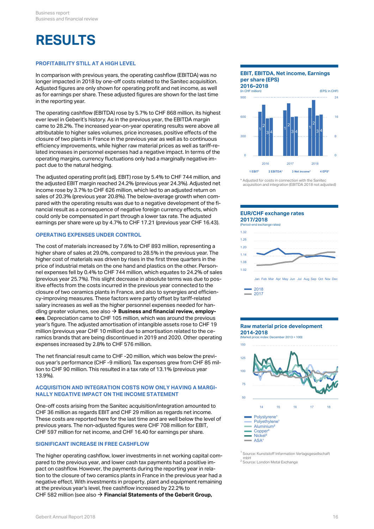## **RESULTS**

### **PROFITABILITY STILL AT A HIGH LEVEL**

In comparison with previous years, the operating cashflow (EBITDA) was no longer impacted in 2018 by one-off costs related to the Sanitec acquisition. Adjusted figures are only shown for operating profit and net income, as well as for earnings per share. These adjusted figures are shown for the last time in the reporting year.

The operating cashflow (EBITDA) rose by 5.7% to CHF 868 million, its highest ever level in Geberit's history. As in the previous year, the EBITDA margin came to 28.2%. The increased year-on-year operating results were above all attributable to higher sales volumes, price increases, positive effects of the closure of two plants in France in the previous year as well as to continuous efficiency improvements, while higher raw material prices as well as tariff-related increases in personnel expenses had a negative impact. In terms of the operating margins, currency fluctuations only had a marginally negative impact due to the natural hedging.

The adjusted operating profit (adj. EBIT) rose by 5.4% to CHF 744 million, and the adjusted EBIT margin reached 24.2% (previous year 24.3%). Adjusted net income rose by 3.7% to CHF 626 million, which led to an adjusted return on sales of 20.3% (previous year 20.8%). The below-average growth when compared with the operating results was due to a negative development of the financial result as a consequence of negative foreign currency effects, which could only be compensated in part through a lower tax rate. The adjusted earnings per share were up by 4.7% to CHF 17.21 (previous year CHF 16.43).

### **OPERATING EXPENSES UNDER CONTROL**

The cost of materials increased by 7.6% to CHF 893 million, representing a higher share of sales at 29.0%, compared to 28.5% in the previous year. The higher cost of materials was driven by rises in the first three quarters in the price of industrial metals on the one hand and plastics on the other. Personnel expenses fell by 0.4% to CHF 744 million, which equates to 24.2% of sales (previous year 25.7%). This slight decrease in absolute terms was due to positive effects from the costs incurred in the previous year connected to the closure of two ceramics plants in France, and also to synergies and efficiency-improving measures. These factors were partly offset by tariff-related salary increases as well as the higher personnel expenses needed for handling greater volumes, see also **[Business and financial review, employ-](#page-19-0)**[\\$](#page-19-0) **[ees](#page-19-0)**. Depreciation came to CHF 105 million, which was around the previous year's figure. The adjusted amortisation of intangible assets rose to CHF 19 million (previous year CHF 10 million) due to amortisation related to the ceramics brands that are being discontinued in 2019 and 2020. Other operating expenses increased by 2.8% to CHF 576 million.

The net financial result came to CHF -20 million, which was below the previous year's performance (CHF -9 million). Tax expenses grew from CHF 85 million to CHF 90 million. This resulted in a tax rate of 13.1% (previous year 13.9%).

#### **ACQUISITION AND INTEGRATION COSTS NOW ONLY HAVING A MARGI-NALLY NEGATIVE IMPACT ON THE INCOME STATEMENT**

One-off costs arising from the Sanitec acquisition/integration amounted to  $\frac{14}{15} = \frac{16}{16} = \frac{17}{16}$ CHF 36 million as regards EBIT and CHF 29 million as regards net income. These costs are reported here for the last time and are well below the level of previous years. The non-adjusted figures were CHF 708 million for EBIT, CHF 597 million for net income, and CHF 16.40 for earnings per share.

### **SIGNIFICANT INCREASE IN FREE CASHFLOW**

The higher operating cashflow, lower investments in net working capital compared to the previous year, and lower cash tax payments had a positive impact on cashflow. However, the payments during the reporting year in relation to the closure of two ceramics plants in France in the previous year had a negative effect. With investments in property, plant and equipment remaining at the previous year's level, free cashflow increased by 22.2% to CHF 582 million (see also **[Financial Statements of the Geberit Group,](http://annualreport.geberit.com/reports/geberit/annual/2018/gb/English/20405028/28_-cashflow-figures.html)** [\\$](http://annualreport.geberit.com/reports/geberit/annual/2018/gb/English/20405028/28_-cashflow-figures.html)

### **EBIT, EBITDA, Net income, Earnings per share (EPS)**



<sup>\*</sup> Adjusted for costs in connection with the Sanitec acquisition and integration (EBITDA 2018 not adjusted)

#### **EUR/CHF exchange rates 2017/2018**



Jan Feb Mar Apr May Jun Jul Aug Sep Oct Nov Dec



#### **Raw material price development 2014-2018**

(Market price; index: December 2013 = 100)



<sup>1</sup> Source: Kunststoff Information Verlagsgesellschaft mbH<br><sup>2</sup> Source: London Metal Exchange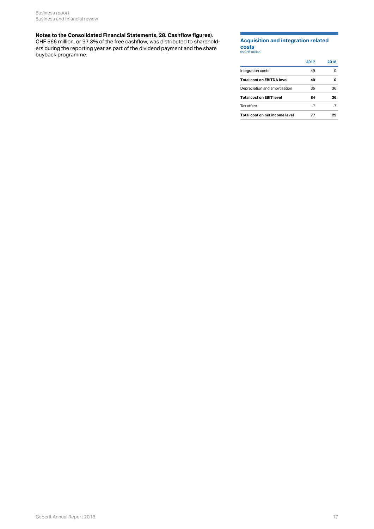#### **[Notes to the Consolidated Financial Statements, 28. Cashflow figures](http://annualreport.geberit.com/reports/geberit/annual/2018/gb/English/20405028/28_-cashflow-figures.html)**).

CHF 566 million, or 97.3% of the free cashflow, was distributed to shareholders during the reporting year as part of the dividend payment and the share buyback programme.

### **Acquisition and integration related costs**

| ______           |  |
|------------------|--|
| (in CHF million) |  |

|                                 | 2017 | 2018 |
|---------------------------------|------|------|
| Integration costs               | 49   | 0    |
| Total cost on EBITDA level      | 49   | O    |
| Depreciation and amortisation   | 35   | 36   |
| <b>Total cost on EBIT level</b> | 84   | 36   |
| Tax effect                      | -7   | -7   |
| Total cost on net income level  | 77   | 29   |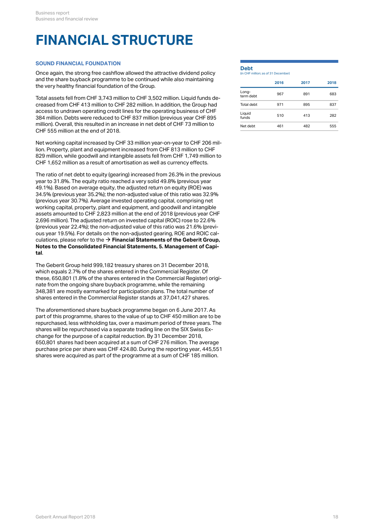## **FINANCIAL STRUCTURE**

### **SOUND FINANCIAL FOUNDATION**

Once again, the strong free cashflow allowed the attractive dividend policy and the share buyback programme to be continued while also maintaining the very healthy financial foundation of the Group.

Total assets fell from CHF 3,743 million to CHF 3,502 million. Liquid funds decreased from CHF 413 million to CHF 282 million. In addition, the Group had access to undrawn operating credit lines for the operating business of CHF 384 million. Debts were reduced to CHF 837 million (previous year CHF 895 million). Overall, this resulted in an increase in net debt of CHF 73 million to CHF 555 million at the end of 2018.

Net working capital increased by CHF 33 million year-on-year to CHF 206 million. Property, plant and equipment increased from CHF 813 million to CHF 829 million, while goodwill and intangible assets fell from CHF 1,749 million to CHF 1,652 million as a result of amortisation as well as currency effects.

The ratio of net debt to equity (gearing) increased from 26.3% in the previous year to 31.8%. The equity ratio reached a very solid 49.8% (previous year 49.1%). Based on average equity, the adjusted return on equity (ROE) was 34.5% (previous year 35.2%); the non-adjusted value of this ratio was 32.9% (previous year 30.7%). Average invested operating capital, comprising net working capital, property, plant and equipment, and goodwill and intangible assets amounted to CHF 2,823 million at the end of 2018 (previous year CHF 2,696 million). The adjusted return on invested capital (ROIC) rose to 22.6% (previous year 22.4%); the non-adjusted value of this ratio was 21.6% (previous year 19.5%). For details on the non-adjusted gearing, ROE and ROIC calculations, please refer to the  $\rightarrow$  **[Financial Statements of the Geberit Group,](http://annualreport.geberit.com/reports/geberit/annual/2018/gb/English/20405005/5_-management-of-capital.html) [Notes to the Consolidated Financial Statements, 5. Management of Capi](http://annualreport.geberit.com/reports/geberit/annual/2018/gb/English/20405005/5_-management-of-capital.html)[tal](http://annualreport.geberit.com/reports/geberit/annual/2018/gb/English/20405005/5_-management-of-capital.html)**.

The Geberit Group held 999,182 treasury shares on 31 December 2018, which equals 2.7% of the shares entered in the Commercial Register. Of these, 650,801 (1.8% of the shares entered in the Commercial Register) originate from the ongoing share buyback programme, while the remaining 348,381 are mostly earmarked for participation plans. The total number of shares entered in the Commercial Register stands at 37,041,427 shares.

The aforementioned share buyback programme began on 6 June 2017. As part of this programme, shares to the value of up to CHF 450 million are to be repurchased, less withholding tax, over a maximum period of three years. The shares will be repurchased via a separate trading line on the SIX Swiss Exchange for the purpose of a capital reduction. By 31 December 2018, 650,801 shares had been acquired at a sum of CHF 276 million. The average purchase price per share was CHF 424.80. During the reporting year, 445,551 shares were acquired as part of the programme at a sum of CHF 185 million.

### **Debt**

|  |  | (in CHF million: as of 31 December) |
|--|--|-------------------------------------|
|  |  |                                     |

|                    | 2016 | 2017 | 2018 |
|--------------------|------|------|------|
| Long-<br>term debt | 967  | 891  | 683  |
| Total debt         | 971  | 895  | 837  |
| Liquid<br>funds    | 510  | 413  | 282  |
| Net debt           | 461  | 482  | 555  |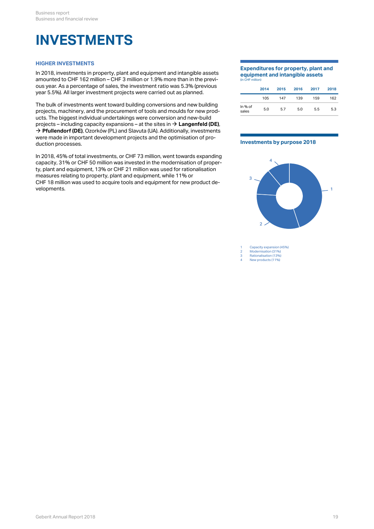### <span id="page-18-0"></span>**INVESTMENTS**

### **HIGHER INVESTMENTS**

In 2018, investments in property, plant and equipment and intangible assets amounted to CHF 162 million – CHF 3 million or 1.9% more than in the previous year. As a percentage of sales, the investment ratio was 5.3% (previous year 5.5%). All larger investment projects were carried out as planned.

The bulk of investments went toward building conversions and new building projects, machinery, and the procurement of tools and moulds for new products. The biggest individual undertakings were conversion and new-build projects – including capacity expansions – at the sites in **[Langenfeld \(DE\)](http://annualreport.geberit.com/reports/geberit/annual/2018/gb/English/0/home.html?anchor=Langenfeld#Langenfeld)**, [\\$](http://annualreport.geberit.com/reports/geberit/annual/2018/gb/English/0/home.html?anchor=Langenfeld#Langenfeld) → **[Pfullendorf \(DE\)](http://annualreport.geberit.com/reports/geberit/annual/2018/gb/English/0/home.html?anchor=Pfullendorf#Pfullendorf)**, Ozorków (PL) and Slavuta (UA). Additionally, investments were made in important development projects and the optimisation of production processes.

In 2018, 45% of total investments, or CHF 73 million, went towards expanding capacity, 31% or CHF 50 million was invested in the modernisation of property, plant and equipment, 13% or CHF 21 million was used for rationalisation measures relating to property, plant and equipment, while 11% or CHF 18 million was used to acquire tools and equipment for new product developments.

#### **Expenditures for property, plant and equipment and intangible assets** (in CHF million)

|                  | 2014 | 2015 | 2016 | 2017 | 2018 |
|------------------|------|------|------|------|------|
|                  |      |      |      |      |      |
|                  | 105  | 147  | 139  | 159  | 162  |
| In % of<br>sales | 5.0  | 5.7  | 5.0  | 5.5  | 5.3  |

#### **Investments by purpose 2018**



1 Capacity expansion (45%)<br>2 Modernisation (31%)

2 Modernisation (31%) 3 Rationalisation (13%)

4 New products (11%)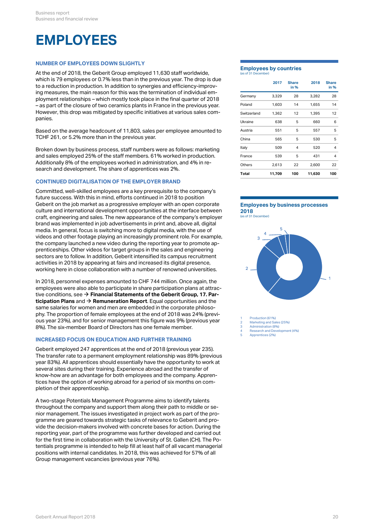### <span id="page-19-0"></span>**EMPLOYEES**

### **NUMBER OF EMPLOYEES DOWN SLIGHTLY**

At the end of 2018, the Geberit Group employed 11,630 staff worldwide, which is 79 employees or 0.7% less than in the previous year. The drop is due to a reduction in production. In addition to synergies and efficiency-improving measures, the main reason for this was the termination of individual employment relationships – which mostly took place in the final quarter of 2018 – as part of the closure of two ceramics plants in France in the previous year. However, this drop was mitigated by specific initiatives at various sales companies.

Based on the average headcount of 11,803, sales per employee amounted to TCHF 261, or 5.2% more than in the previous year.

Broken down by business process, staff numbers were as follows: marketing and sales employed 25% of the staff members. 61% worked in production. Additionally 8% of the employees worked in administration, and 4% in research and development. The share of apprentices was 2%.

### **CONTINUED DIGITALISATION OF THE EMPLOYER BRAND**

Committed, well-skilled employees are a key prerequisite to the company's future success. With this in mind, efforts continued in 2018 to position Geberit on the job market as a progressive employer with an open corporate culture and international development opportunities at the interface between craft, engineering and sales. The new appearance of the company's employer brand was implemented in job advertisements in print and, above all, digital media. In general, focus is switching more to digital media, with the use of videos and other footage playing an increasingly prominent role. For example, the company launched a new video during the reporting year to promote apprenticeships. Other videos for target groups in the sales and engineering sectors are to follow. In addition, Geberit intensified its campus recruitment activities in 2018 by appearing at fairs and increased its digital presence, working here in close collaboration with a number of renowned universities.

In 2018, personnel expenses amounted to CHF 744 million. Once again, the employees were also able to participate in share participation plans at attractive conditions, see **[Financial Statements of the Geberit Group, 17. Par-](http://annualreport.geberit.com/reports/geberit/annual/2018/gb/English/20405017/17_-participation-plans.html)**[\\$](http://annualreport.geberit.com/reports/geberit/annual/2018/gb/English/20405017/17_-participation-plans.html) **[ticipation Plans](http://annualreport.geberit.com/reports/geberit/annual/2018/gb/English/20405017/17_-participation-plans.html)** and  $\rightarrow$  **[Remuneration Report](#page-73-0)**. Equal opportunities and the same salaries for women and men are embedded in the corporate philosophy. The proportion of female employees at the end of 2018 was 24% (previous year 23%), and for senior management this figure was 9% (previous year 8%). The six-member Board of Directors has one female member.

### **INCREASED FOCUS ON EDUCATION AND FURTHER TRAINING**

Geberit employed 247 apprentices at the end of 2018 (previous year 235). The transfer rate to a permanent employment relationship was 89% (previous year 83%). All apprentices should essentially have the opportunity to work at several sites during their training. Experience abroad and the transfer of know-how are an advantage for both employees and the company. Apprentices have the option of working abroad for a period of six months on completion of their apprenticeship.

A two-stage Potentials Management Programme aims to identify talents throughout the company and support them along their path to middle or senior management. The issues investigated in project work as part of the programme are geared towards strategic tasks of relevance to Geberit and provide the decision-makers involved with concrete bases for action. During the reporting year, part of the programme was further developed and carried out for the first time in collaboration with the University of St. Gallen (CH). The Potentials programme is intended to help fill at least half of all vacant managerial positions with internal candidates. In 2018, this was achieved for 57% of all Group management vacancies (previous year 76%).

#### **Employees by countries** (as of 31 December)

|             | 2017   | <b>Share</b><br>in % | 2018   | <b>Share</b><br>in % |
|-------------|--------|----------------------|--------|----------------------|
| Germany     | 3,329  | 28                   | 3,282  | 28                   |
| Poland      | 1,603  | 14                   | 1,655  | 14                   |
| Switzerland | 1,362  | 12                   | 1,395  | 12                   |
| Ukraine     | 638    | 5                    | 660    | 6                    |
| Austria     | 551    | 5                    | 557    | 5                    |
| China       | 565    | 5                    | 530    | 5                    |
| Italy       | 509    | 4                    | 520    | 4                    |
| France      | 539    | 5                    | 431    | $\overline{4}$       |
| Others      | 2,613  | 22                   | 2,600  | 22                   |
| Total       | 11,709 | 100                  | 11,630 | 100                  |

### **Employees by business processes 2018**

(as of 31 December)



Production (61%) Marketing and Sales (25%)

Administration (8%)

4 Research and Development (4%) 5 Apprentices (2%)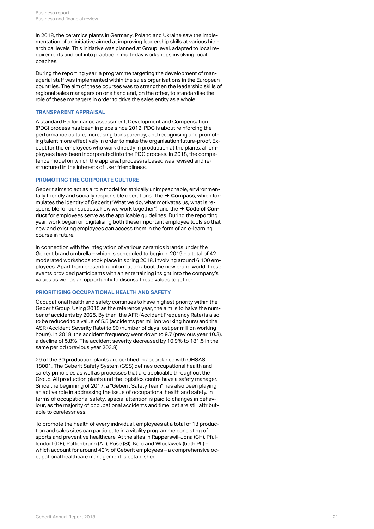In 2018, the ceramics plants in Germany, Poland and Ukraine saw the implementation of an initiative aimed at improving leadership skills at various hierarchical levels. This initiative was planned at Group level, adapted to local requirements and put into practice in multi-day workshops involving local coaches.

During the reporting year, a programme targeting the development of managerial staff was implemented within the sales organisations in the European countries. The aim of these courses was to strengthen the leadership skills of regional sales managers on one hand and, on the other, to standardise the role of these managers in order to drive the sales entity as a whole.

### **TRANSPARENT APPRAISAL**

A standard Performance assessment, Development and Compensation (PDC) process has been in place since 2012. PDC is about reinforcing the performance culture, increasing transparency, and recognising and promoting talent more effectively in order to make the organisation future-proof. Except for the employees who work directly in production at the plants, all employees have been incorporated into the PDC process. In 2018, the competence model on which the appraisal process is based was revised and restructured in the interests of user friendliness.

### **PROMOTING THE CORPORATE CULTURE**

Geberit aims to act as a role model for ethically unimpeachable, environmentally friendly and socially responsible operations. The  $\rightarrow$   $\mathsf{Compass}$  $\mathsf{Compass}$  $\mathsf{Compass}$ , which formulates the identity of Geberit ("What we do, what motivates us, what is responsible for our success, how we work together"), and the  $\rightarrow$  **[Code of Con](http://annualreport.geberit.com/geberit/annual/2018/gb/layout/../English/pdf/geberit_code_of_conduct.pdf)[duct](http://annualreport.geberit.com/geberit/annual/2018/gb/layout/../English/pdf/geberit_code_of_conduct.pdf)** for employees serve as the applicable guidelines. During the reporting year, work began on digitalising both these important employee tools so that new and existing employees can access them in the form of an e-learning course in future.

In connection with the integration of various ceramics brands under the Geberit brand umbrella – which is scheduled to begin in 2019 – a total of 42 moderated workshops took place in spring 2018, involving around 6,100 employees. Apart from presenting information about the new brand world, these events provided participants with an entertaining insight into the company's values as well as an opportunity to discuss these values together.

### **PRIORITISING OCCUPATIONAL HEALTH AND SAFETY**

Occupational health and safety continues to have highest priority within the Geberit Group. Using 2015 as the reference year, the aim is to halve the number of accidents by 2025. By then, the AFR (Accident Frequency Rate) is also to be reduced to a value of 5.5 (accidents per million working hours) and the ASR (Accident Severity Rate) to 90 (number of days lost per million working hours). In 2018, the accident frequency went down to 9.7 (previous year 10.3), a decline of 5.8%. The accident severity decreased by 10.9% to 181.5 in the same period (previous year 203.8).

29 of the 30 production plants are certified in accordance with OHSAS 18001. The Geberit Safety System (GSS) defines occupational health and safety principles as well as processes that are applicable throughout the Group. All production plants and the logistics centre have a safety manager. Since the beginning of 2017, a "Geberit Safety Team" has also been playing an active role in addressing the issue of occupational health and safety. In terms of occupational safety, special attention is paid to changes in behaviour, as the majority of occupational accidents and time lost are still attributable to carelessness.

To promote the health of every individual, employees at a total of 13 production and sales sites can participate in a vitality programme consisting of sports and preventive healthcare. At the sites in Rapperswil-Jona (CH), Pfullendorf (DE), Pottenbrunn (AT), Ruše (SI), Kolo and Wloclawek (both PL) – which account for around 40% of Geberit employees – a comprehensive occupational healthcare management is established.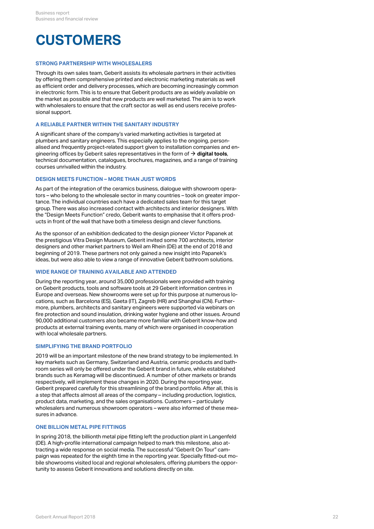### **CUSTOMERS**

### **STRONG PARTNERSHIP WITH WHOLESALERS**

Through its own sales team, Geberit assists its wholesale partners in their activities by offering them comprehensive printed and electronic marketing materials as well as efficient order and delivery processes, which are becoming increasingly common in electronic form. This is to ensure that Geberit products are as widely available on the market as possible and that new products are well marketed. The aim is to work with wholesalers to ensure that the craft sector as well as end users receive professional support.

### **A RELIABLE PARTNER WITHIN THE SANITARY INDUSTRY**

A significant share of the company's varied marketing activities is targeted at plumbers and sanitary engineers. This especially applies to the ongoing, personalised and frequently project-related support given to installation companies and engineering offices by Geberit sales representatives in the form of  $\bm{\rightarrow}$  **[digital tools](#page-22-0)**, technical documentation, catalogues, brochures, magazines, and a range of training courses unrivalled within the industry.

### **DESIGN MEETS FUNCTION – MORE THAN JUST WORDS**

As part of the integration of the ceramics business, dialogue with showroom operators – who belong to the wholesale sector in many countries – took on greater importance. The individual countries each have a dedicated sales team for this target group. There was also increased contact with architects and interior designers. With the "Design Meets Function" credo, Geberit wants to emphasise that it offers products in front of the wall that have both a timeless design and clever functions.

As the sponsor of an exhibition dedicated to the design pioneer Victor Papanek at the prestigious Vitra Design Museum, Geberit invited some 700 architects, interior designers and other market partners to Weil am Rhein (DE) at the end of 2018 and beginning of 2019. These partners not only gained a new insight into Papanek's ideas, but were also able to view a range of innovative Geberit bathroom solutions.

### **WIDE RANGE OF TRAINING AVAILABLE AND ATTENDED**

During the reporting year, around 35,000 professionals were provided with training on Geberit products, tools and software tools at 29 Geberit information centres in Europe and overseas. New showrooms were set up for this purpose at numerous locations, such as Barcelona (ES), Gaeta (IT), Zagreb (HR) and Shanghai (CN). Furthermore, plumbers, architects and sanitary engineers were supported via webinars on fire protection and sound insulation, drinking water hygiene and other issues. Around 90,000 additional customers also became more familiar with Geberit know-how and products at external training events, many of which were organised in cooperation with local wholesale partners.

### **SIMPLIFYING THE BRAND PORTFOLIO**

2019 will be an important milestone of the new brand strategy to be implemented. In key markets such as Germany, Switzerland and Austria, ceramic products and bathroom series will only be offered under the Geberit brand in future, while established brands such as Keramag will be discontinued. A number of other markets or brands respectively, will implement these changes in 2020. During the reporting year, Geberit prepared carefully for this streamlining of the brand portfolio. After all, this is a step that affects almost all areas of the company – including production, logistics, product data, marketing, and the sales organisations. Customers – particularly wholesalers and numerous showroom operators – were also informed of these measures in advance.

### **ONE BILLION METAL PIPE FITTINGS**

In spring 2018, the billionth metal pipe fitting left the production plant in Langenfeld (DE). A high-profile international campaign helped to mark this milestone, also attracting a wide response on social media. The successful "Geberit On Tour" campaign was repeated for the eighth time in the reporting year. Specially fitted-out mobile showrooms visited local and regional wholesalers, offering plumbers the opportunity to assess Geberit innovations and solutions directly on site.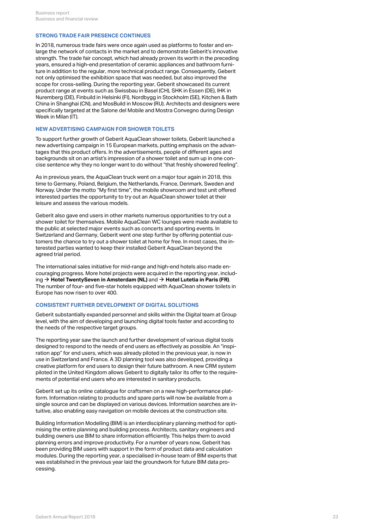### **STRONG TRADE FAIR PRESENCE CONTINUES**

In 2018, numerous trade fairs were once again used as platforms to foster and enlarge the network of contacts in the market and to demonstrate Geberit's innovative strength. The trade fair concept, which had already proven its worth in the preceding years, ensured a high-end presentation of ceramic appliances and bathroom furniture in addition to the regular, more technical product range. Consequently, Geberit not only optimised the exhibition space that was needed, but also improved the scope for cross-selling. During the reporting year, Geberit showcased its current product range at events such as Swissbau in Basel (CH), SHK in Essen (DE), IHK in Nuremberg (DE), Finbuild in Helsinki (FI), Nordbygg in Stockholm (SE), Kitchen & Bath China in Shanghai (CN), and MosBuild in Moscow (RU). Architects and designers were specifically targeted at the Salone del Mobile and Mostra Convegno during Design Week in Milan (IT).

### **NEW ADVERTISING CAMPAIGN FOR SHOWER TOILETS**

To support further growth of Geberit AquaClean shower toilets, Geberit launched a new advertising campaign in 15 European markets, putting emphasis on the advantages that this product offers. In the advertisements, people of different ages and backgrounds sit on an artist's impression of a shower toilet and sum up in one concise sentence why they no longer want to do without "that freshly showered feeling".

As in previous years, the AquaClean truck went on a major tour again in 2018, this time to Germany, Poland, Belgium, the Netherlands, France, Denmark, Sweden and Norway. Under the motto "My first time", the mobile showroom and test unit offered interested parties the opportunity to try out an AquaClean shower toilet at their leisure and assess the various models.

Geberit also gave end users in other markets numerous opportunities to try out a shower toilet for themselves. Mobile AquaClean WC lounges were made available to the public at selected major events such as concerts and sporting events. In Switzerland and Germany, Geberit went one step further by offering potential customers the chance to try out a shower toilet at home for free. In most cases, the interested parties wanted to keep their installed Geberit AquaClean beyond the agreed trial period.

The international sales initiative for mid-range and high-end hotels also made encouraging progress. More hotel projects were acquired in the reporting year, including **[Hotel TwentySeven in Amsterdam \(NL\)](http://annualreport.geberit.com/geberit/annual/2018/gb/layout/../English/pdf/View_2019_EN_TwentySeven_Amsterdam.pdf)** and **[Hotel Lutetia in Paris \(FR\)](http://annualreport.geberit.com/geberit/annual/2018/gb/layout/../English/pdf/View_2019_EN_Lutetia_Paris.pdf)**. [\\$](http://annualreport.geberit.com/geberit/annual/2018/gb/layout/../English/pdf/View_2019_EN_TwentySeven_Amsterdam.pdf) [\\$](http://annualreport.geberit.com/geberit/annual/2018/gb/layout/../English/pdf/View_2019_EN_Lutetia_Paris.pdf)The number of four- and five-star hotels equipped with AquaClean shower toilets in Europe has now risen to over 400.

### <span id="page-22-0"></span>**CONSISTENT FURTHER DEVELOPMENT OF DIGITAL SOLUTIONS**

Geberit substantially expanded personnel and skills within the Digital team at Group level, with the aim of developing and launching digital tools faster and according to the needs of the respective target groups.

The reporting year saw the launch and further development of various digital tools designed to respond to the needs of end users as effectively as possible. An "inspiration app" for end users, which was already piloted in the previous year, is now in use in Switzerland and France. A 3D planning tool was also developed, providing a creative platform for end users to design their future bathroom. A new CRM system piloted in the United Kingdom allows Geberit to digitally tailor its offer to the requirements of potential end users who are interested in sanitary products.

Geberit set up its online catalogue for craftsmen on a new high-performance platform. Information relating to products and spare parts will now be available from a single source and can be displayed on various devices. Information searches are intuitive, also enabling easy navigation on mobile devices at the construction site.

Building Information Modelling (BIM) is an interdisciplinary planning method for optimising the entire planning and building process. Architects, sanitary engineers and building owners use BIM to share information efficiently. This helps them to avoid planning errors and improve productivity. For a number of years now, Geberit has been providing BIM users with support in the form of product data and calculation modules. During the reporting year, a specialised in-house team of BIM experts that was established in the previous year laid the groundwork for future BIM data processing.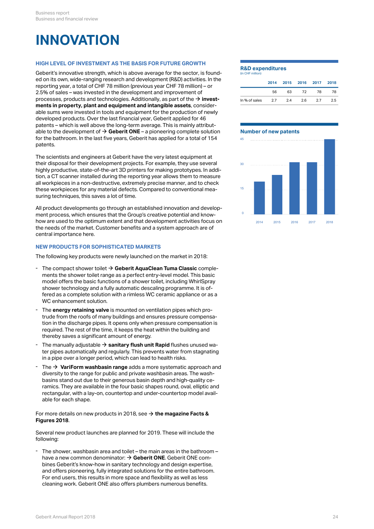### <span id="page-23-1"></span>**INNOVATION**

### **HIGH LEVEL OF INVESTMENT AS THE BASIS FOR FUTURE GROWTH**

Geberit's innovative strength, which is above average for the sector, is founded on its own, wide-ranging research and development (R&D) activities. In the reporting year, a total of CHF 78 million (previous year CHF 78 million) – or 2.5% of sales – was invested in the development and improvement of processes, products and technologies. Additionally, as part of the  $\rightarrow$  **[invest](#page-18-0)[ments in property, plant and equipment and intangible assets](#page-18-0)**, considerable sums were invested in tools and equipment for the production of newly developed products. Over the last financial year, Geberit applied for 46 patents – which is well above the long-term average. This is mainly attributable to the development of  $\rightarrow$  [Geberit ONE](#page-23-0) – a pioneering complete solution Number of new patents for the bathroom. In the last five years, Geberit has applied for a total of 154 patents.  $\rightarrow$  invest-<br>
consider-<br>
n of newly<br>
or 46<br>
attribut-<br>
te solution<br>
Number of new patents<br>
tal of 154

The scientists and engineers at Geberit have the very latest equipment at their disposal for their development projects. For example, they use several highly productive, state-of-the-art 3D printers for making prototypes. In addition, a CT scanner installed during the reporting year allows them to measure all workpieces in a non-destructive, extremely precise manner, and to check these workpieces for any material defects. Compared to conventional measuring techniques, this saves a lot of time.

All product developments go through an established innovation and development process, which ensures that the Group's creative potential and knowhow are used to the optimum extent and that development activities focus on  $2014$   $2015$   $2016$   $2017$ the needs of the market. Customer benefits and a system approach are of central importance here.

### **NEW PRODUCTS FOR SOPHISTICATED MARKETS**

The following key products were newly launched on the market in 2018:

- **The compact shower toilet → [Geberit AquaClean Tuma Classic](http://annualreport.geberit.com/geberit/annual/2018/gb/layout/../English/pdf/GAC-Tuma-Classic_EN.pdf) comple**ments the shower toilet range as a perfect entry-level model. This basic model offers the basic functions of a shower toilet, including WhirlSpray shower technology and a fully automatic descaling programme. It is offered as a complete solution with a rimless WC ceramic appliance or as a - The compact shower toilet  $\rightarrow$  Geberit AquaClean Tuma Classic complements the shower toilet range as a perfect entry-level model. This basic model offers the basic functions of a shower toilet, including WhirlSpray show
- The **energy retaining valve** is mounted on ventilation pipes which protrude from the roofs of many buildings and ensures pressure compensation in the discharge pipes. It opens only when pressure compensation is required. The rest of the time, it keeps the heat within the building and - The **energy retaining valve** is mounted on ventilation pipes w<br>trude from the roofs of many buildings and ensures pressure<br>tion in the discharge pipes. It opens only when pressure com<br>required. The rest of the time, it k
- The manually adjustable **[sanitary flush unit Rapid](http://annualreport.geberit.com/geberit/annual/2018/gb/layout/../English/pdf/HS-Rapid_EN.pdf)** flushes unused water pipes automatically and regularly. This prevents water from stagnating - The manually adjustable  $\rightarrow$  **sanitary flush unit Rapid** flushes unused wa-<br>ter pipes automatically and regularly. This prevents water from stagnating<br>in a pipe over a longer period, which can lead to health risks.
- The **[VariForm washbasin range](http://annualreport.geberit.com/geberit/annual/2018/gb/layout/../English/pdf/VariForm_EN.pdf)** adds a more systematic approach and diversity to the range for public and private washbasin areas. The washbasins stand out due to their generous basin depth and high-quality ceramics. They are available in the four basic shapes round, oval, elliptic and rectangular, with a lay-on, countertop and under-countertop model avail-The  $\rightarrow$  VariForm washbasin range adds a more systematic approach and diversity to the range for public and private washbasin areas. The washbasins stand out due to their generous basin depth and high-quality ceramics. Th

### For more details on new products in 2018, see **[the magazine Facts &](http://annualreport.geberit.com/geberit/annual/2018/gb/layout/../English/pdf/facts_and_figures_2018_EN.pdf)** [\\$](http://annualreport.geberit.com/geberit/annual/2018/gb/layout/../English/pdf/facts_and_figures_2018_EN.pdf) **[Figures 2018](http://annualreport.geberit.com/geberit/annual/2018/gb/layout/../English/pdf/facts_and_figures_2018_EN.pdf)**.

Several new product launches are planned for 2019. These will include the following:

<span id="page-23-0"></span>The shower, washbasin area and toilet – the main areas in the bathroom – have a new common denominator:  $\rightarrow$  [Geberit ONE](http://annualreport.geberit.com/geberit/annual/2018/gb/layout/../English/pdf/Facts_Figures_2019_EN_Geberit_One.pdf). Geberit ONE combines Geberit's know-how in sanitary technology and design expertise, and offers pioneering, fully integrated solutions for the entire bathroom. For end users, this results in more space and flexibility as well as less The shower, washbasin area and toilet – the main areas in the bathroom – have a new common denominator:  $\rightarrow$  Geberit ONE. Geberit ONE combines Geberit's know-how in sanitary technology and design expertise, and offers pio

#### **R&D expenditures**

| 2015 2016 2017<br>2014<br>63<br>56<br>78<br>72<br>In % of sales<br>2.7<br>2.4<br>2.6<br>2.7 | (in CHF million) |  |  |      |
|---------------------------------------------------------------------------------------------|------------------|--|--|------|
|                                                                                             |                  |  |  | 2018 |
|                                                                                             |                  |  |  | 78   |
|                                                                                             |                  |  |  | 2.5  |

### **Number of new patents**

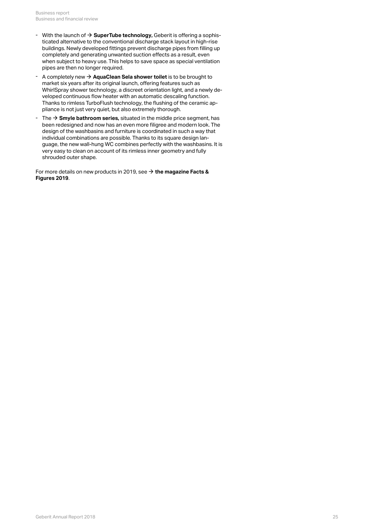- With the launch of  $\rightarrow$  **[SuperTube technology,](http://annualreport.geberit.com/geberit/annual/2018/gb/layout/../English/pdf/Facts_Figures_2019_EN_SuperTube.pdf) Geberit is offering a sophis**ticated alternative to the conventional discharge stack layout in high-rise buildings. Newly developed fittings prevent discharge pipes from filling up completely and generating unwanted suction effects as a result, even when subject to heavy use. This helps to save space as special ventilation pipes are then no longer required. With the launch of  $\rightarrow$  **SuperTube technology**, Geberit is offering a sophisticated alternative to the conventional discharge stack layout in high-rise buildings. Newly developed fittings prevent discharge pipes from fill
- A completely new **[AquaClean Sela shower toilet](http://annualreport.geberit.com/geberit/annual/2018/gb/layout/../English/pdf/Facts_Figures_2019_EN_AquaClean_Sela.pdf)** is to be brought to market six years after its original launch, offering features such as WhirlSpray shower technology, a discreet orientation light, and a newly developed continuous flow heater with an automatic descaling function. Thanks to rimless TurboFlush technology, the flushing of the ceramic ap-- A completely new  $\rightarrow$  **AquaClean Sela shower toilet** is to be brought to market six years after its original launch, offering features such as WhirlSpray shower technology, a discreet orientation light, and a newly deve
- $\;$  The  $\; \Rightarrow$  **Smyle bathroom series,** situated in the middle price segment, has been redesigned and now has an even more filigree and modern look. The design of the washbasins and furniture is coordinated in such a way that individual combinations are possible. Thanks to its square design language, the new wall-hung WC combines perfectly with the washbasins. It is very easy to clean on account of its rimless inner geometry and fully shrouded outer shape.

For more details on new products in 2019, see **[the magazine Facts &](http://annualreport.geberit.com/geberit/annual/2018/gb/layout/../English/pdf/Facts_Figures_2019_EN.pdf)** [\\$](http://annualreport.geberit.com/geberit/annual/2018/gb/layout/../English/pdf/Facts_Figures_2019_EN.pdf)**[Figures 2019](http://annualreport.geberit.com/geberit/annual/2018/gb/layout/../English/pdf/Facts_Figures_2019_EN.pdf)**.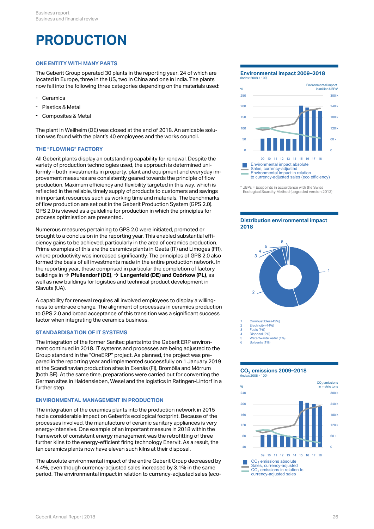### **PRODUCTION**

### **ONE ENTITY WITH MANY PARTS**

The Geberit Group operated 30 plants in the reporting year, 24 of which are located in Europe, three in the US, two in China and one in India. The plants now fall into the following three categories depending on the materials used:

- **Ceramics**
- Plastics & Metal
- Composites & Metal

The plant in Weilheim (DE) was closed at the end of 2018. An amicable solution was found with the plant's 40 employees and the works council.

### **THE "FLOWING" FACTORY**

All Geberit plants display an outstanding capability for renewal. Despite the variety of production technologies used, the approach is determined uniformly – both investments in property, plant and equipment and everyday improvement measures are consistently geared towards the principle of flow production. Maximum efficiency and flexibility targeted in this way, which is reflected in the reliable, timely supply of products to customers and savings in important resources such as working time and materials. The benchmarks of flow production are set out in the Geberit Production System (GPS 2.0). GPS 2.0 is viewed as a guideline for production in which the principles for process optimisation are presented.

Numerous measures pertaining to GPS 2.0 were initiated, promoted or brought to a conclusion in the reporting year. This enabled substantial efficiency gains to be achieved, particularly in the area of ceramics production. Prime examples of this are the ceramics plants in Gaeta (IT) and Limoges (FR),  $\frac{1}{4}$ where productivity was increased significantly. The principles of GPS 2.0 also formed the basis of all investments made in the entire production network. In the reporting year, these comprised in particular the completion of factory buildings in **[Pfullendorf \(DE\)](http://annualreport.geberit.com/reports/geberit/annual/2018/gb/English/0/home.html?anchor=Pfullendorf#Pfullendorf)**, **[Langenfeld \(DE\) and Ozórkow \(PL\)](http://annualreport.geberit.com/reports/geberit/annual/2018/gb/English/0/home.html?anchor=Langenfeld#Langenfeld)**, as [\\$](http://annualreport.geberit.com/reports/geberit/annual/2018/gb/English/0/home.html?anchor=Pfullendorf#Pfullendorf) [\\$](http://annualreport.geberit.com/reports/geberit/annual/2018/gb/English/0/home.html?anchor=Langenfeld#Langenfeld)well as new buildings for logistics and technical product development in Slavuta (UA).

A capability for renewal requires all involved employees to display a willingness to embrace change. The alignment of processes in ceramics production to GPS 2.0 and broad acceptance of this transition was a significant success factor when integrating the ceramics business.

### <span id="page-25-0"></span>**STANDARDISATION OF IT SYSTEMS**

The integration of the former Sanitec plants into the Geberit ERP environment continued in 2018. IT systems and processes are being adjusted to the Group standard in the "OneERP" project. As planned, the project was prepared in the reporting year and implemented successfully on 1 January 2019 at the Scandinavian production sites in Ekenäs (FI), Bromölla and Mörrum (both SE). At the same time, preparations were carried out for converting the German sites in Haldensleben, Wesel and the logistics in Ratingen-Lintorf in a further step.

#### **ENVIRONMENTAL MANAGEMENT IN PRODUCTION**

The integration of the ceramics plants into the production network in 2015 had a considerable impact on Geberit's ecological footprint. Because of the processes involved, the manufacture of ceramic sanitary appliances is very energy-intensive. One example of an important measure in 2018 within the framework of consistent energy management was the retrofitting of three further kilns to the energy-efficient firing technology Enervit. As a result, the ten ceramics plants now have eleven such kilns at their disposal.

The absolute environmental impact of the entire Geberit Group decreased by 4.4%, even though currency-adjusted sales increased by 3.1% in the same period. The environmental impact in relation to currency-adjusted sales (eco-

### **Environmental impact 2009–2018**



<sup>\*</sup> UBPs = Ecopoints in accordance with the Swiss Ecological Scarcity Method (upgraded version 2013)

#### **Distribution environmental impact 2018**



Disposal (2%)

5 Water/waste water (1%)

6 Solvents (1%)

#### **CO emissions 2009–2018 2** (Index: 2008 = 100)

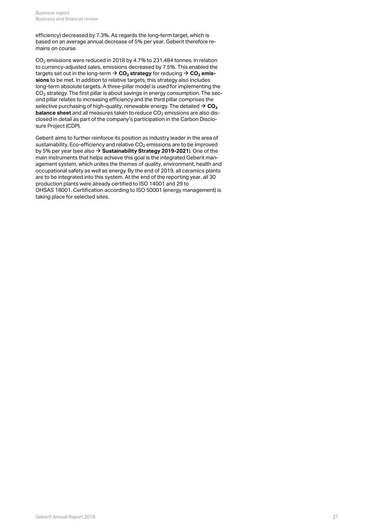efficiency) decreased by 7.3%. As regards the long-term target, which is based on an average annual decrease of 5% per year, Geberit therefore remains on course.

<span id="page-26-0"></span>CO $_2$  emissions were reduced in 2018 by 4.7% to 231,484 tonnes. In relation to currency-adjusted sales, emissions decreased by 7.5%. This enabled the  $\tt targets set out in the long-term  $\Rightarrow$  **CO**<sub>2</sub> **strategy** for reducing  $\Rightarrow$  **CO**<sub>2</sub> **emis-**$  $\tt targets set out in the long-term  $\Rightarrow$  **CO**<sub>2</sub> **strategy** for reducing  $\Rightarrow$  **CO**<sub>2</sub> **emis-**$  $\tt targets set out in the long-term  $\Rightarrow$  **CO**<sub>2</sub> **strategy** for reducing  $\Rightarrow$  **CO**<sub>2</sub> **emis-**$  $\tt targets set out in the long-term  $\Rightarrow$  **CO**<sub>2</sub> **strategy** for reducing  $\Rightarrow$  **CO**<sub>2</sub> **emis-**$  $\tt targets set out in the long-term  $\Rightarrow$  **CO**<sub>2</sub> **strategy** for reducing  $\Rightarrow$  **CO**<sub>2</sub> **emis**$ **[sions](#page-26-0)** to be met. In addition to relative targets, this strategy also includes long-term absolute targets. A three-pillar model is used for implementing the CO $_{\rm 2}$  strategy. The first pillar is about savings in energy consumption. The second pillar relates to increasing efficiency and the third pillar comprises the selective purchasing of high-quality, renewable energy. The detailed  $\rightarrow$  [CO](http://annualreport.geberit.com/reports/geberit/annual/2018/gb/English/306090/9_-planet.html?anchor=GRI305#GRI305)<sub>2</sub> **[balance sheet](http://annualreport.geberit.com/reports/geberit/annual/2018/gb/English/306090/9_-planet.html?anchor=GRI305#GRI305)** and all measures taken to reduce CO<sub>2</sub> emissions are also disclosed in detail as part of the company's participation in the Carbon Disclosure Project (CDP).  $\rightarrow$  CO<sub>[2](http://annualreport.geberit.com/reports/geberit/annual/2018/gb/English/306090/9_-planet.html?anchor=GRI305#GRI305)</sub>

Geberit aims to further reinforce its position as industry leader in the area of sustainability. Eco-efficiency and relative CO $_2$  emissions are to be improved by 5% per year (see also **→ [Sustainability Strategy 2019-2021](http://annualreport.geberit.com/reports/geberit/annual/2018/gb/English/3040/sustainability-strategy-2019---2021.html)**). One of the main instruments that helps achieve this goal is the integrated Geberit management system, which unites the themes of quality, environment, health and occupational safety as well as energy. By the end of 2019, all ceramics plants are to be integrated into this system. At the end of the reporting year, all 30 production plants were already certified to ISO 14001 and 29 to OHSAS 18001. Certification according to ISO 50001 (energy management) is taking place for selected sites.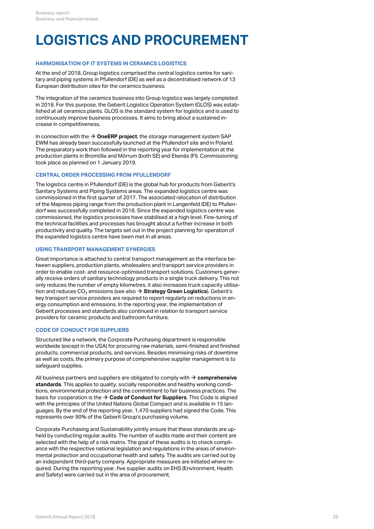# **LOGISTICS AND PROCUREMENT**

### **HARMONISATION OF IT SYSTEMS IN CERAMICS LOGISTICS**

At the end of 2018, Group logistics comprised the central logistics centre for sanitary and piping systems in Pfullendorf (DE) as well as a decentralised network of 13 European distribution sites for the ceramics business.

The integration of the ceramics business into Group logistics was largely completed in 2018. For this purpose, the Geberit Logistics Operation System (GLOS) was established at all ceramics plants. GLOS is the standard system for logistics and is used to continuously improve business processes. It aims to bring about a sustained increase in competitiveness.

In connection with the  $\rightarrow$  [OneERP project](#page-25-0), the storage management system SAP EWM has already been successfully launched at the Pfullendorf site and in Poland. The preparatory work then followed in the reporting year for implementation at the production plants in Bromölla and Mörrum (both SE) and Ekenäs (FI). Commissioning took place as planned on 1 January 2019.

### **CENTRAL ORDER PROCESSING FROM PFULLENDORF**

The logistics centre in Pfullendorf (DE) is the global hub for products from Geberit's Sanitary Systems and Piping Systems areas. The expanded logistics centre was commissioned in the first quarter of 2017. The associated relocation of distribution of the Mapress piping range from the production plant in Langenfeld (DE) to Pfullendorf was successfully completed in 2018. Since the expanded logistics centre was commissioned, the logistics processes have stabilised at a high level. Fine-tuning of the technical facilities and processes has brought about a further increase in both productivity and quality. The targets set out in the project planning for operation of the expanded logistics centre have been met in all areas.

### **USING TRANSPORT MANAGEMENT SYNERGIES**

Great importance is attached to central transport management as the interface between suppliers, production plants, wholesalers and transport service providers in order to enable cost- and resource-optimised transport solutions. Customers generally receive orders of sanitary technology products in a single truck delivery. This not only reduces the number of empty kilometres, it also increases truck capacity utilisation and reduces CO<sub>2</sub> emissions (see also  $\bm{\rightarrow}$  **[Strategy Green Logistics](http://annualreport.geberit.com/reports/geberit/annual/2018/gb/English/3040/sustainability-strategy-2019---2021.html?anchor=S60#S60)**). Geberit's key transport service providers are required to report regularly on reductions in energy consumption and emissions. In the reporting year, the implementation of Geberit processes and standards also continued in relation to transport service providers for ceramic products and bathroom furniture.

### **CODE OF CONDUCT FOR SUPPLIERS**

Structured like a network, the Corporate Purchasing department is responsible worldwide (except in the USA) for procuring raw materials, semi-finished and finished products, commercial products, and services. Besides minimising risks of downtime as well as costs, the primary purpose of comprehensive supplier management is to safeguard supplies.

All business partners and suppliers are obligated to comply with  $\rightarrow$  **[comprehensive](http://annualreport.geberit.com/reports/geberit/annual/2018/gb/English/30609520/10_2-operations.html?anchor=MANAGEMENTAPPROACH#MANAGEMENTAPPROACH) [standards](http://annualreport.geberit.com/reports/geberit/annual/2018/gb/English/30609520/10_2-operations.html?anchor=MANAGEMENTAPPROACH#MANAGEMENTAPPROACH)**. This applies to quality, socially responsible and healthy working conditions, environmental protection and the commitment to fair business practices. The basis for cooperation is the  $\bm{\rightarrow}$  **[Code of Conduct for Suppliers](http://annualreport.geberit.com/geberit/annual/2018/gb/layout/../English/pdf/supplier_code_of_conduct.pdf)**. This Code is aligned with the principles of the United Nations Global Compact and is available in 15 languages. By the end of the reporting year, 1,470 suppliers had signed the Code. This represents over 90% of the Geberit Group's purchasing volume.

Corporate Purchasing and Sustainability jointly ensure that these standards are upheld by conducting regular audits. The number of audits made and their content are selected with the help of a risk matrix. The goal of these audits is to check compliance with the respective national legislation and regulations in the areas of environmental protection and occupational health and safety. The audits are carried out by an independent third-party company. Appropriate measures are initiated where required. During the reporting year, five supplier audits on EHS (Environment, Health and Safety) were carried out in the area of procurement.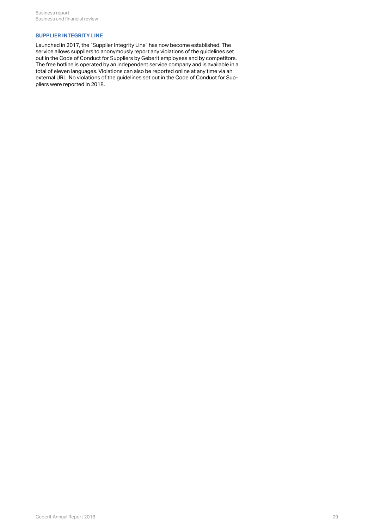### **SUPPLIER INTEGRITY LINE**

Launched in 2017, the "Supplier Integrity Line" has now become established. The service allows suppliers to anonymously report any violations of the guidelines set out in the Code of Conduct for Suppliers by Geberit employees and by competitors. The free hotline is operated by an independent service company and is available in a total of eleven languages. Violations can also be reported online at any time via an external URL. No violations of the guidelines set out in the Code of Conduct for Suppliers were reported in 2018.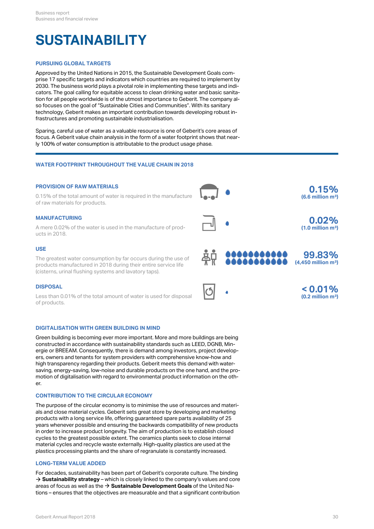## **SUSTAINABILITY**

### **PURSUING GLOBAL TARGETS**

Approved by the United Nations in 2015, the Sustainable Development Goals comprise 17 specific targets and indicators which countries are required to implement by 2030. The business world plays a pivotal role in implementing these targets and indicators. The goal calling for equitable access to clean drinking water and basic sanitation for all people worldwide is of the utmost importance to Geberit. The company also focuses on the goal of "Sustainable Cities and Communities". With its sanitary technology, Geberit makes an important contribution towards developing robust infrastructures and promoting sustainable industrialisation.

Sparing, careful use of water as a valuable resource is one of Geberit's core areas of focus. A Geberit value chain analysis in the form of a water footprint shows that nearly 100% of water consumption is attributable to the product usage phase.

### **WATER FOOTPRINT THROUGHOUT THE VALUE CHAIN IN 2018**

### **PROVISION OF RAW MATERIALS**



### **DIGITALISATION WITH GREEN BUILDING IN MIND**

Green building is becoming ever more important. More and more buildings are being constructed in accordance with sustainability standards such as LEED, DGNB, Minergie or BREEAM. Consequently, there is demand among investors, project developers, owners and tenants for system providers with comprehensive know-how and high transparency regarding their products. Geberit meets this demand with watersaving, energy-saving, low-noise and durable products on the one hand, and the promotion of digitalisation with regard to environmental product information on the other.

### **CONTRIBUTION TO THE CIRCULAR ECONOMY**

The purpose of the circular economy is to minimise the use of resources and materials and close material cycles. Geberit sets great store by developing and marketing products with a long service life, offering guaranteed spare parts availability of 25 years whenever possible and ensuring the backwards compatibility of new products in order to increase product longevity. The aim of production is to establish closed cycles to the greatest possible extent. The ceramics plants seek to close internal material cycles and recycle waste externally. High-quality plastics are used at the plastics processing plants and the share of regranulate is constantly increased.

### **LONG-TERM VALUE ADDED**

For decades, sustainability has been part of Geberit's corporate culture. The binding  $\rightarrow$  **[Sustainability strategy](http://annualreport.geberit.com/reports/geberit/annual/2018/gb/English/3040/sustainability-strategy-2019---2021.html)** – which is closely linked to the company's values and core areas of focus as well as the → [Sustainable Development Goals](http://annualreport.geberit.com/geberit/annual/2018/gb/layout/../English/pdf/SDG_Reporting_2018_en.pdf) of the United Nations – ensures that the objectives are measurable and that a significant contribution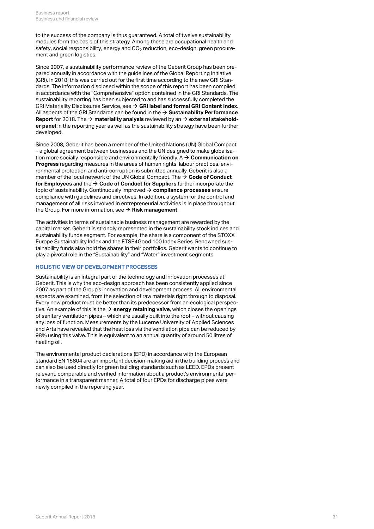to the success of the company is thus guaranteed. A total of twelve sustainability modules form the basis of this strategy. Among these are occupational health and safety, social responsibility, energy and CO $_2$  reduction, eco-design, green procurement and green logistics.

Since 2007, a sustainability performance review of the Geberit Group has been prepared annually in accordance with the guidelines of the Global Reporting Initiative (GRI). In 2018, this was carried out for the first time according to the new GRI Standards. The information disclosed within the scope of this report has been compiled in accordance with the "Comprehensive" option contained in the GRI Standards. The sustainability reporting has been subjected to and has successfully completed the GRI Materiality Disclosures Service, see **[GRI label and formal GRI Content Index](http://annualreport.geberit.com/geberit/annual/2018/gb/layout/../English/pdf/gri_content_index_2018.pdf)**. [\\$](http://annualreport.geberit.com/geberit/annual/2018/gb/layout/../English/pdf/gri_content_index_2018.pdf) All aspects of the GRI Standards can be found in the  $\rightarrow$  **[Sustainability Performance](http://annualreport.geberit.com/reports/geberit/annual/2018/gb/English/3060/sustainability-performance-report.html) Report** for 2018. The  $\rightarrow$  **materiality analysis** reviewed by an  $\rightarrow$  **[external stakehold](http://annualreport.geberit.com/geberit/annual/2018/gb/layout/../English/pdf/stakeholder_panel_2018.pdf)[er panel](http://annualreport.geberit.com/geberit/annual/2018/gb/layout/../English/pdf/stakeholder_panel_2018.pdf)** in the reporting year as well as the sustainability strategy have been further developed.

Since 2008, Geberit has been a member of the United Nations (UN) Global Compact – a global agreement between businesses and the UN designed to make globalisation more socially responsible and environmentally friendly. A **[Communication on](http://annualreport.geberit.com/geberit/annual/2018/gb/layout/../English/pdf/cop_ungc_2017_en.pdf)** [\\$](http://annualreport.geberit.com/geberit/annual/2018/gb/layout/../English/pdf/cop_ungc_2017_en.pdf) **[Progress](http://annualreport.geberit.com/geberit/annual/2018/gb/layout/../English/pdf/cop_ungc_2017_en.pdf)** regarding measures in the areas of human rights, labour practices, environmental protection and anti-corruption is submitted annually. Geberit is also a member of the local network of the UN Global Compact. The  $\rightarrow$  **[Code of Conduct](http://annualreport.geberit.com/geberit/annual/2018/gb/layout/../English/pdf/geberit_code_of_conduct_en.pdf) [for Employees](http://annualreport.geberit.com/geberit/annual/2018/gb/layout/../English/pdf/geberit_code_of_conduct_en.pdf)** and the  $\rightarrow$  [Code of Conduct for Suppliers](http://annualreport.geberit.com/geberit/annual/2018/gb/layout/../English/pdf/supplier_code_of_conduct.pdf) further incorporate the topic of sustainability. Continuously improved **[compliance processes](#page-31-0)** ensure [\\$](#page-31-0) compliance with guidelines and directives. In addition, a system for the control and management of all risks involved in entrepreneurial activities is in place throughout the Group. For more information, see  $\rightarrow$  **[Risk management](#page-12-0)**.

The activities in terms of sustainable business management are rewarded by the capital market. Geberit is strongly represented in the sustainability stock indices and sustainability funds segment. For example, the share is a component of the STOXX Europe Sustainability Index and the FTSE4Good 100 Index Series. Renowned sustainability funds also hold the shares in their portfolios. Geberit wants to continue to play a pivotal role in the "Sustainability" and "Water" investment segments.

### **HOLISTIC VIEW OF DEVELOPMENT PROCESSES**

Sustainability is an integral part of the technology and innovation processes at Geberit. This is why the eco-design approach has been consistently applied since 2007 as part of the Group's innovation and development process. All environmental aspects are examined, from the selection of raw materials right through to disposal. Every new product must be better than its predecessor from an ecological perspective. An example of this is the  $\rightarrow$  **[energy retaining valve](#page-23-1)**, which closes the openings of sanitary ventilation pipes – which are usually built into the roof – without causing any loss of function. Measurements by the Lucerne University of Applied Sciences and Arts have revealed that the heat loss via the ventilation pipe can be reduced by 98% using this valve. This is equivalent to an annual quantity of around 50 litres of heating oil.

The environmental product declarations (EPD) in accordance with the European standard EN 15804 are an important decision-making aid in the building process and can also be used directly for green building standards such as LEED. EPDs present relevant, comparable and verified information about a product's environmental performance in a transparent manner. A total of four EPDs for discharge pipes were newly compiled in the reporting year.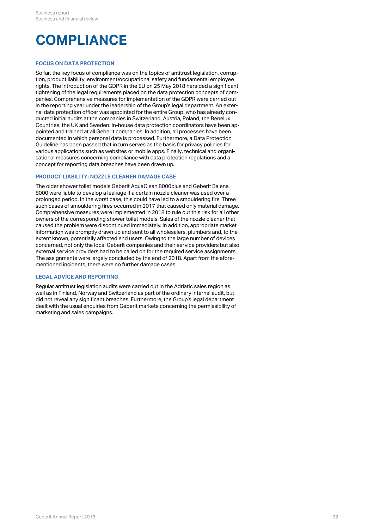# <span id="page-31-0"></span>**COMPLIANCE**

### **FOCUS ON DATA PROTECTION**

So far, the key focus of compliance was on the topics of antitrust legislation, corruption, product liability, environment/occupational safety and fundamental employee rights. The introduction of the GDPR in the EU on 25 May 2018 heralded a significant tightening of the legal requirements placed on the data protection concepts of companies. Comprehensive measures for implementation of the GDPR were carried out in the reporting year under the leadership of the Group's legal department. An external data protection officer was appointed for the entire Group, who has already conducted initial audits at the companies in Switzerland, Austria, Poland, the Benelux Countries, the UK and Sweden. In-house data protection coordinators have been appointed and trained at all Geberit companies. In addition, all processes have been documented in which personal data is processed. Furthermore, a Data Protection Guideline has been passed that in turn serves as the basis for privacy policies for various applications such as websites or mobile apps. Finally, technical and organisational measures concerning compliance with data protection regulations and a concept for reporting data breaches have been drawn up.

### **PRODUCT LIABILITY: NOZZLE CLEANER DAMAGE CASE**

The older shower toilet models Geberit AquaClean 8000plus and Geberit Balena 8000 were liable to develop a leakage if a certain nozzle cleaner was used over a prolonged period. In the worst case, this could have led to a smouldering fire. Three such cases of smouldering fires occurred in 2017 that caused only material damage. Comprehensive measures were implemented in 2018 to rule out this risk for all other owners of the corresponding shower toilet models. Sales of the nozzle cleaner that caused the problem were discontinued immediately. In addition, appropriate market information was promptly drawn up and sent to all wholesalers, plumbers and, to the extent known, potentially affected end users. Owing to the large number of devices concerned, not only the local Geberit companies and their service providers but also external service providers had to be called on for the required service assignments. The assignments were largely concluded by the end of 2018. Apart from the aforementioned incidents, there were no further damage cases.

### **LEGAL ADVICE AND REPORTING**

Regular antitrust legislation audits were carried out in the Adriatic sales region as well as in Finland, Norway and Switzerland as part of the ordinary internal audit, but did not reveal any significant breaches. Furthermore, the Group's legal department dealt with the usual enquiries from Geberit markets concerning the permissibility of marketing and sales campaigns.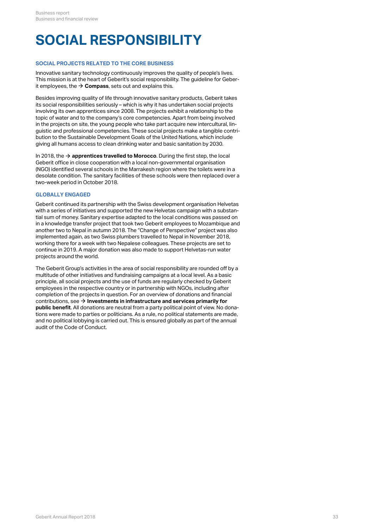# **SOCIAL RESPONSIBILITY**

### **SOCIAL PROJECTS RELATED TO THE CORE BUSINESS**

Innovative sanitary technology continuously improves the quality of people's lives. This mission is at the heart of Geberit's social responsibility. The guideline for Geberit employees, the  $\rightarrow$  [Compass](http://annualreport.geberit.com/geberit/annual/2018/gb/layout/../English/pdf/geberit_compass.pdf), sets out and explains this.

Besides improving quality of life through innovative sanitary products, Geberit takes its social responsibilities seriously – which is why it has undertaken social projects involving its own apprentices since 2008. The projects exhibit a relationship to the topic of water and to the company's core competencies. Apart from being involved in the projects on site, the young people who take part acquire new intercultural, linguistic and professional competencies. These social projects make a tangible contribution to the Sustainable Development Goals of the United Nations, which include giving all humans access to clean drinking water and basic sanitation by 2030.

In 2018, the  $\rightarrow$  **[apprentices travelled to Morocco](http://annualreport.geberit.com/reports/geberit/annual/2018/gb/English/40/a-look-back-thats-worthwhile_-_br_the-world-of-geberit-in-2018_.html?anchor=2409#2409)**. During the first step, the local Geberit office in close cooperation with a local non-governmental organisation (NGO) identified several schools in the Marrakesh region where the toilets were in a desolate condition. The sanitary facilities of these schools were then replaced over a two-week period in October 2018.

### **GLOBALLY ENGAGED**

Geberit continued its partnership with the Swiss development organisation Helvetas with a series of initiatives and supported the new Helvetas campaign with a substantial sum of money. Sanitary expertise adapted to the local conditions was passed on in a knowledge transfer project that took two Geberit employees to Mozambique and another two to Nepal in autumn 2018. The "Change of Perspective" project was also implemented again, as two Swiss plumbers travelled to Nepal in November 2018, working there for a week with two Nepalese colleagues. These projects are set to continue in 2019. A major donation was also made to support Helvetas-run water projects around the world.

The Geberit Group's activities in the area of social responsibility are rounded off by a multitude of other initiatives and fundraising campaigns at a local level. As a basic principle, all social projects and the use of funds are regularly checked by Geberit employees in the respective country or in partnership with NGOs, including after completion of the projects in question. For an overview of donations and financial contributions, see  $\bm{\rightarrow}$  **[Investments in infrastructure and services primarily for](http://annualreport.geberit.com/reports/geberit/annual/2018/gb/English/30608020/8_2-society.html?anchor=GRI203#GRI203) [public benefit](http://annualreport.geberit.com/reports/geberit/annual/2018/gb/English/30608020/8_2-society.html?anchor=GRI203#GRI203)**. All donations are neutral from a party political point of view. No donations were made to parties or politicians. As a rule, no political statements are made, and no political lobbying is carried out. This is ensured globally as part of the annual audit of the Code of Conduct.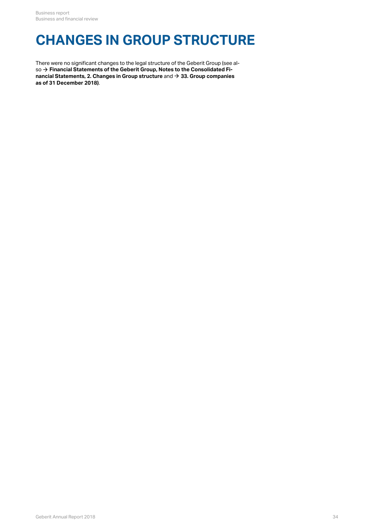### **CHANGES IN GROUP STRUCTURE**

There were no significant changes to the legal structure of the Geberit Group (see also  $\rightarrow$  [Financial Statements of the Geberit Group, Notes to the Consolidated Fi](http://annualreport.geberit.com/reports/geberit/annual/2018/gb/English/20405002/2_-changes-in-group-structure.html)**[nancial Statements, 2. Changes in Group structure](http://annualreport.geberit.com/reports/geberit/annual/2018/gb/English/20405002/2_-changes-in-group-structure.html)** and **[33. Group companies](http://annualreport.geberit.com/reports/geberit/annual/2018/gb/English/20405033/33_-group-companies-as-at-31-december-2018.html)** so → Financial Statements of the Geberit Group, Notes to the Consolidate<br>nancial Statements, 2. Changes in Group structure and → 33. Group comp<br>[as of 31 December 2018\)](http://annualreport.geberit.com/reports/geberit/annual/2018/gb/English/20405033/33_-group-companies-as-at-31-december-2018.html).  $\rightarrow$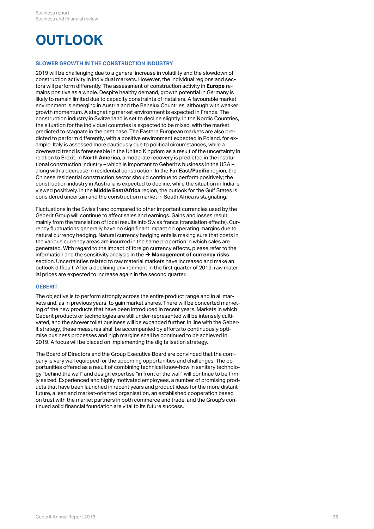# **OUTLOOK**

### **SLOWER GROWTH IN THE CONSTRUCTION INDUSTRY**

2019 will be challenging due to a general increase in volatility and the slowdown of construction activity in individual markets. However, the individual regions and sectors will perform differently. The assessment of construction activity in **Europe** remains positive as a whole. Despite healthy demand, growth potential in Germany is likely to remain limited due to capacity constraints of installers. A favourable market environment is emerging in Austria and the Benelux Countries, although with weaker growth momentum. A stagnating market environment is expected in France. The construction industry in Switzerland is set to decline slightly. In the Nordic Countries, the situation for the individual countries is expected to be mixed, with the market predicted to stagnate in the best case. The Eastern European markets are also predicted to perform differently, with a positive environment expected in Poland, for example. Italy is assessed more cautiously due to political circumstances, while a downward trend is foreseeable in the United Kingdom as a result of the uncertainty in relation to Brexit. In **North America**, a moderate recovery is predicted in the institutional construction industry – which is important to Geberit's business in the USA – along with a decrease in residential construction. In the **Far East/Pacific** region, the Chinese residential construction sector should continue to perform positively; the construction industry in Australia is expected to decline, while the situation in India is viewed positively. In the **Middle East/Africa** region, the outlook for the Gulf States is considered uncertain and the construction market in South Africa is stagnating.

Fluctuations in the Swiss franc compared to other important currencies used by the Geberit Group will continue to affect sales and earnings. Gains and losses result mainly from the translation of local results into Swiss francs (translation effects). Currency fluctuations generally have no significant impact on operating margins due to natural currency hedging. Natural currency hedging entails making sure that costs in the various currency areas are incurred in the same proportion in which sales are generated. With regard to the impact of foreign currency effects, please refer to the information and the sensitivity analysis in the  $\bm{\rightarrow}$  **[Management of currency risks](#page-12-1)** section. Uncertainties related to raw material markets have increased and make an outlook difficult. After a declining environment in the first quarter of 2019, raw material prices are expected to increase again in the second quarter.

### **GEBERIT**

The objective is to perform strongly across the entire product range and in all markets and, as in previous years, to gain market shares. There will be concerted marketing of the new products that have been introduced in recent years. Markets in which Geberit products or technologies are still under-represented will be intensely cultivated, and the shower toilet business will be expanded further. In line with the Geberit strategy, these measures shall be accompanied by efforts to continuously optimise business processes and high margins shall be continued to be achieved in 2019. A focus will be placed on implementing the digitalisation strategy.

The Board of Directors and the Group Executive Board are convinced that the company is very well equipped for the upcoming opportunities and challenges. The opportunities offered as a result of combining technical know-how in sanitary technology "behind the wall" and design expertise "in front of the wall" will continue to be firmly seized. Experienced and highly motivated employees, a number of promising products that have been launched in recent years and product ideas for the more distant future, a lean and market-oriented organisation, an established cooperation based on trust with the market partners in both commerce and trade, and the Group's continued solid financial foundation are vital to its future success.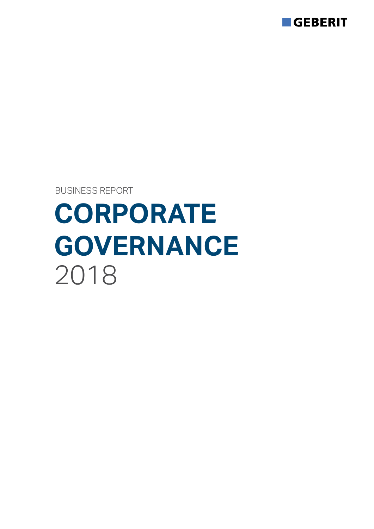

BUSINESS REPORT

# **CORPORATE GOVERNANCE** 2018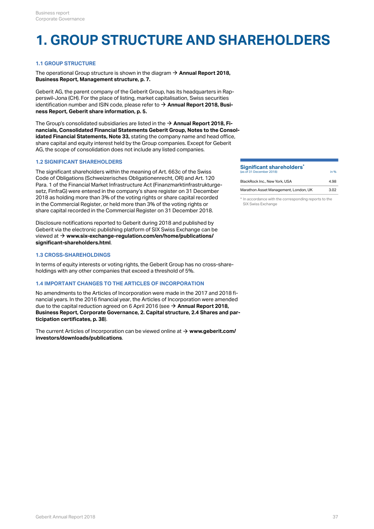### **1. GROUP STRUCTURE AND SHAREHOLDERS**

#### **1.1 GROUP STRUCTURE**

The operational Group structure is shown in the diagram  $\rightarrow$  **[Annual Report 2018,](#page-6-0) [Business Report, Management structure, p. 7.](#page-6-0)**

Geberit AG, the parent company of the Geberit Group, has its headquarters in Rapperswil-Jona (CH). For the place of listing, market capitalisation, Swiss securities identification number and ISIN code, please refer to **[Annual Report 2018, Busi-](#page-4-0)**[\\$](#page-4-0) **[ness Report, Geberit share information, p. 5.](#page-4-0)**

The Group's consolidated subsidiaries are listed in the **[Annual Report 2018, Fi-](http://annualreport.geberit.com/reports/geberit/annual/2018/gb/English/20405033/33_-group-companies-as-at-31-december-2018.html)**[\\$](http://annualreport.geberit.com/reports/geberit/annual/2018/gb/English/20405033/33_-group-companies-as-at-31-december-2018.html) **[nancials, Consolidated Financial Statements Geberit Group, Notes to the Consol](http://annualreport.geberit.com/reports/geberit/annual/2018/gb/English/20405033/33_-group-companies-as-at-31-december-2018.html)[idated Financial Statements, Note 33,](http://annualreport.geberit.com/reports/geberit/annual/2018/gb/English/20405033/33_-group-companies-as-at-31-december-2018.html)** stating the company name and head office, share capital and equity interest held by the Group companies. Except for Geberit AG, the scope of consolidation does not include any listed companies.

#### **1.2 SIGNIFICANT SHAREHOLDERS**

The significant shareholders within the meaning of Art. 663c of the Swiss Code of Obligations (Schweizerisches Obligationenrecht, OR) and Art. 120 Para. 1 of the Financial Market Infrastructure Act (Finanzmarktinfrastrukturgesetz, FinfraG) were entered in the company's share register on 31 December 2018 as holding more than 3% of the voting rights or share capital recorded in the Commercial Register, or held more than 3% of the voting rights or share capital recorded in the Commercial Register on 31 December 2018.

Disclosure notifications reported to Geberit during 2018 and published by Geberit via the electronic publishing platform of SIX Swiss Exchange can be viewed at **[www.six-exchange-regulation.com/en/home/publications/](https://www.six-exchange-regulation.com/en/home/publications/significant-shareholders.html)** [\\$](https://www.six-exchange-regulation.com/en/home/publications/significant-shareholders.html) **[significant-shareholders.html](https://www.six-exchange-regulation.com/en/home/publications/significant-shareholders.html)**.

#### **1.3 CROSS-SHAREHOLDINGS**

In terms of equity interests or voting rights, the Geberit Group has no cross-shareholdings with any other companies that exceed a threshold of 5%.

#### **1.4 IMPORTANT CHANGES TO THE ARTICLES OF INCORPORATION**

No amendments to the Articles of Incorporation were made in the 2017 and 2018 financial years. In the 2016 financial year, the Articles of Incorporation were amended due to the capital reduction agreed on 6 April 2016 (see **→ [Annual Report 2018,](#page-37-0) [Business Report, Corporate Governance, 2. Capital structure, 2.4 Shares and par](#page-37-0)[ticipation certificates, p. 38](#page-37-0)**).

The current Articles of Incorporation can be viewed online at  $\rightarrow$   $www.geberit.com/$ **[investors/downloads/publications](https://www.geberit.com/investors/downloads/publications/)**.

#### **Significant shareholders<sup>\*</sup><br>(is of 31 December 2019)** (as of 31 December 2018) **\***

| BlackRock Inc., New York, USA         | 4.98 |
|---------------------------------------|------|
| Marathon Asset Management, London, UK | 3.02 |

in %

\* In accordance with the corresponding reports to the SIX Swiss Exchange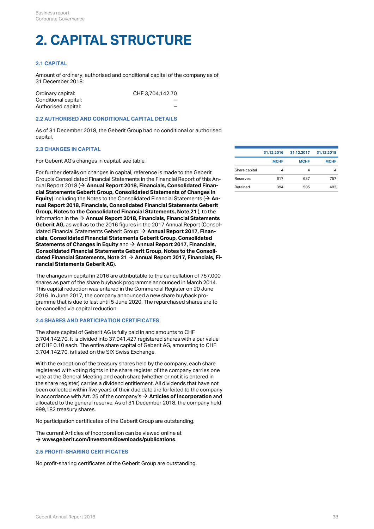## **2. CAPITAL STRUCTURE**

#### **2.1 CAPITAL**

Amount of ordinary, authorised and conditional capital of the company as of 31 December 2018:

| Ordinary capital:    | CHF 3.704.142.70 |  |
|----------------------|------------------|--|
| Conditional capital: | -                |  |
| Authorised capital:  | -                |  |

#### **2.2 AUTHORISED AND CONDITIONAL CAPITAL DETAILS**

As of 31 December 2018, the Geberit Group had no conditional or authorised capital.

#### **2.3 CHANGES IN CAPITAL**

For Geberit AG's changes in capital, see table.

For further details on changes in capital, reference is made to the Geberit Group's Consolidated Financial Statements in the Financial Report of this Annual Report 2018 (**→ Annual Report 2018, Financials, Consolidated Finan-** Retained 394 505 483 505 483 **[cial Statements Geberit Group, Consolidated Statements of Changes in](http://annualreport.geberit.com/reports/geberit/annual/2018/gb/English/204030/consolidated-statements-of-comprehensive-income-and-changes-in-equity.html) [Equity](http://annualreport.geberit.com/reports/geberit/annual/2018/gb/English/204030/consolidated-statements-of-comprehensive-income-and-changes-in-equity.html)**) including the Notes to the Consolidated Financial Statements ( **[An](http://annualreport.geberit.com/reports/geberit/annual/2018/gb/English/20405021/21_-capital-stock-and-treasury-shares.html)[nual Report 2018, Financials, Consolidated Financial Statements Geberit](http://annualreport.geberit.com/reports/geberit/annual/2018/gb/English/20405021/21_-capital-stock-and-treasury-shares.html) [Group, Notes to the Consolidated Financial Statements, Note 21](http://annualreport.geberit.com/reports/geberit/annual/2018/gb/English/20405021/21_-capital-stock-and-treasury-shares.html)** ), to the information in the **[Annual Report 2018, Financials, Financial Statements](http://annualreport.geberit.com/reports/geberit/annual/2018/gb/English/2050/financial-statements-geberit-ag.html)** [\\$](http://annualreport.geberit.com/reports/geberit/annual/2018/gb/English/2050/financial-statements-geberit-ag.html) **[Geberit AG,](http://annualreport.geberit.com/reports/geberit/annual/2018/gb/English/2050/financial-statements-geberit-ag.html)** as well as to the 2016 figures in the 2017 Annual Report (Consolidated Financial Statements Geberit Group: **[Annual Report 2017, Finan-](https://annualreport.geberit.com/reports/geberit/annual/2017/gb/English/204030.html#table-1003)**[\\$](https://annualreport.geberit.com/reports/geberit/annual/2017/gb/English/204030.html#table-1003) **[cials, Consolidated Financial Statements Geberit Group, Consolidated](https://annualreport.geberit.com/reports/geberit/annual/2017/gb/English/204030.html#table-1003) [Statements of Changes in Equity](https://annualreport.geberit.com/reports/geberit/annual/2017/gb/English/204030.html#table-1003)** and **[Annual Report 2017, Financials,](https://annualreport.geberit.com/reports/geberit/annual/2017/gb/English/20405021/21_-capital-stock-and-treasury-shares.html)** [\\$](https://annualreport.geberit.com/reports/geberit/annual/2017/gb/English/20405021/21_-capital-stock-and-treasury-shares.html) **[Consolidated Financial Statements Geberit Group, Notes to the Consoli](https://annualreport.geberit.com/reports/geberit/annual/2017/gb/English/20405021/21_-capital-stock-and-treasury-shares.html)[dated Financial Statements, Note 21](https://annualreport.geberit.com/reports/geberit/annual/2017/gb/English/20405021/21_-capital-stock-and-treasury-shares.html) [Annual Report 2017, Financials, Fi-](https://annualreport.geberit.com/reports/geberit/annual/2017/gb/English/2050.html)**[\\$](https://annualreport.geberit.com/reports/geberit/annual/2017/gb/English/2050.html) **[nancial Statements Geberit AG](https://annualreport.geberit.com/reports/geberit/annual/2017/gb/English/2050.html)**).  $\rightarrow$  An-

The changes in capital in 2016 are attributable to the cancellation of 757,000 shares as part of the share buyback programme announced in March 2014. This capital reduction was entered in the Commercial Register on 20 June 2016. In June 2017, the company announced a new share buyback programme that is due to last until 5 June 2020. The repurchased shares are to be cancelled via capital reduction.

#### <span id="page-37-0"></span>**2.4 SHARES AND PARTICIPATION CERTIFICATES**

The share capital of Geberit AG is fully paid in and amounts to CHF 3,704,142.70. It is divided into 37,041,427 registered shares with a par value of CHF 0.10 each. The entire share capital of Geberit AG, amounting to CHF 3,704,142.70, is listed on the SIX Swiss Exchange.

With the exception of the treasury shares held by the company, each share registered with voting rights in the share register of the company carries one vote at the General Meeting and each share (whether or not it is entered in the share register) carries a dividend entitlement. All dividends that have not been collected within five years of their due date are forfeited to the company in accordance with Art. 25 of the company's **[Articles of Incorporation](https://annualreport.geberit.com/geberit/annual/2018/gb/layout/../English/pdf/articles_of_incorporation_geberit_ag.pdf)** and [\\$](https://annualreport.geberit.com/geberit/annual/2018/gb/layout/../English/pdf/articles_of_incorporation_geberit_ag.pdf) allocated to the general reserve. As of 31 December 2018, the company held 999,182 treasury shares.

No participation certificates of the Geberit Group are outstanding.

The current Articles of Incorporation can be viewed online at **[www.geberit.com/investors/downloads/publications](https://www.geberit.com/investors/downloads/publications/)**. [\\$](https://www.geberit.com/investors/downloads/publications/)

#### **2.5 PROFIT-SHARING CERTIFICATES**

No profit-sharing certificates of the Geberit Group are outstanding.

|               | 31.12.2016  | 31.12.2017  | 31.12.2018  |
|---------------|-------------|-------------|-------------|
|               | <b>MCHF</b> | <b>MCHF</b> | <b>MCHF</b> |
| Share capital | 4           | 4           | 4           |
| Reserves      | 617         | 637         | 757         |
| Retained      | 394         | 505         | 483         |
|               |             |             |             |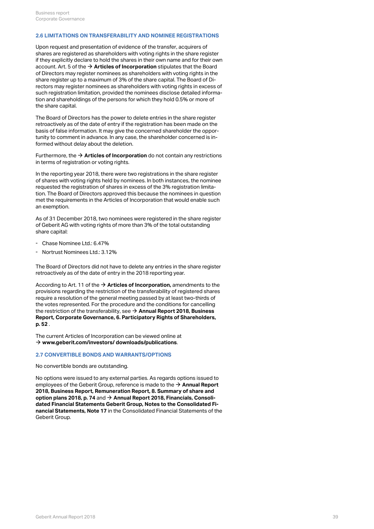#### <span id="page-38-0"></span>**2.6 LIMITATIONS ON TRANSFERABILITY AND NOMINEE REGISTRATIONS**

Upon request and presentation of evidence of the transfer, acquirers of shares are registered as shareholders with voting rights in the share register if they explicitly declare to hold the shares in their own name and for their own account. Art. 5 of the **[Articles of Incorporation](https://annualreport.geberit.com/geberit/annual/2018/gb/layout/../English/pdf/articles_of_incorporation_geberit_ag.pdf)** stipulates that the Board [\\$](https://annualreport.geberit.com/geberit/annual/2018/gb/layout/../English/pdf/articles_of_incorporation_geberit_ag.pdf) of Directors may register nominees as shareholders with voting rights in the share register up to a maximum of 3% of the share capital. The Board of Directors may register nominees as shareholders with voting rights in excess of such registration limitation, provided the nominees disclose detailed information and shareholdings of the persons for which they hold 0.5% or more of the share capital.

The Board of Directors has the power to delete entries in the share register retroactively as of the date of entry if the registration has been made on the basis of false information. It may give the concerned shareholder the opportunity to comment in advance. In any case, the shareholder concerned is informed without delay about the deletion.

Furthermore, the **[Articles of Incorporation](https://annualreport.geberit.com/geberit/annual/2018/gb/layout/../English/pdf/articles_of_incorporation_geberit_ag.pdf)** do not contain any restrictions [\\$](https://annualreport.geberit.com/geberit/annual/2018/gb/layout/../English/pdf/articles_of_incorporation_geberit_ag.pdf) in terms of registration or voting rights.

In the reporting year 2018, there were two registrations in the share register of shares with voting rights held by nominees. In both instances, the nominee requested the registration of shares in excess of the 3% registration limitation. The Board of Directors approved this because the nominees in question met the requirements in the Articles of Incorporation that would enable such an exemption.

As of 31 December 2018, two nominees were registered in the share register of Geberit AG with voting rights of more than 3% of the total outstanding share capital:

- Chase Nominee Ltd.: 6.47%
- Nortrust Nominees Ltd.: 3.12%

The Board of Directors did not have to delete any entries in the share register retroactively as of the date of entry in the 2018 reporting year.

According to Art. 11 of the → **[Articles of Incorporation,](https://annualreport.geberit.com/geberit/annual/2018/gb/layout/../English/pdf/articles_of_incorporation_geberit_ag.pdf)** amendments to the provisions regarding the restriction of the transferability of registered shares require a resolution of the general meeting passed by at least two-thirds of the votes represented. For the procedure and the conditions for cancelling the restriction of the transferability, see **[Annual Report 2018, Business](#page-51-0)** [\\$](#page-51-0) **[Report, Corporate Governance, 6. Participatory Rights of Shareholders,](#page-51-0) [p. 52](#page-51-0)** .

The current Articles of Incorporation can be viewed online at **[www.geberit.com/investors/ downloads/publications](https://www.geberit.com/investors/downloads/publications/)**. [\\$](https://www.geberit.com/investors/downloads/publications/)

#### **2.7 CONVERTIBLE BONDS AND WARRANTS/OPTIONS**

No convertible bonds are outstanding.

No options were issued to any external parties. As regards options issued to employees of the Geberit Group, reference is made to the  $\rightarrow$  **[Annual Report](#page-73-0) [2018, Business Report, Remuneration Report, 8. Summary of share and](#page-73-0) [option plans 2018,](#page-73-0) [p. 74](#page-73-0)** and → [Annual Report 2018, Financials, Consoli](http://annualreport.geberit.com/reports/geberit/annual/2018/gb/English/20405017/17_-participation-plans.html)**[dated Financial Statements Geberit Group, Notes to the Consolidated Fi](http://annualreport.geberit.com/reports/geberit/annual/2018/gb/English/20405017/17_-participation-plans.html)[nancial Statements, Note 17](http://annualreport.geberit.com/reports/geberit/annual/2018/gb/English/20405017/17_-participation-plans.html)** in the Consolidated Financial Statements of the Geberit Group.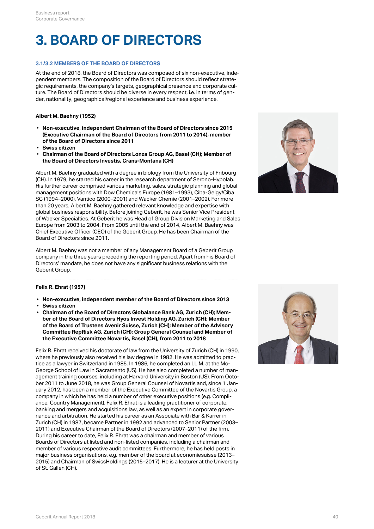### **3. BOARD OF DIRECTORS**

#### **3.1/3.2 MEMBERS OF THE BOARD OF DIRECTORS**

At the end of 2018, the Board of Directors was composed of six non-executive, independent members. The composition of the Board of Directors should reflect strategic requirements, the company's targets, geographical presence and corporate culture. The Board of Directors should be diverse in every respect, i.e. in terms of gender, nationality, geographical/regional experience and business experience.

#### **Albert M. Baehny (1952)**

- **Non-executive, independent Chairman of the Board of Directors since 2015 (Executive Chairman of the Board of Directors from 2011 to 2014), member of the Board of Directors since 2011**
- **Swiss citizen**
- **Chairman of the Board of Directors Lonza Group AG, Basel (CH); Member of the Board of Directors Investis, Crans-Montana (CH)**

Albert M. Baehny graduated with a degree in biology from the University of Fribourg (CH). In 1979, he started his career in the research department of Serono-Hypolab. His further career comprised various marketing, sales, strategic planning and global management positions with Dow Chemicals Europe (1981–1993), Ciba-Geigy/Ciba SC (1994–2000), Vantico (2000–2001) and Wacker Chemie (2001–2002). For more than 20 years, Albert M. Baehny gathered relevant knowledge and expertise with global business responsibility. Before joining Geberit, he was Senior Vice President of Wacker Specialties. At Geberit he was Head of Group Division Marketing and Sales Europe from 2003 to 2004. From 2005 until the end of 2014, Albert M. Baehny was Chief Executive Officer (CEO) of the Geberit Group. He has been Chairman of the Board of Directors since 2011.

Albert M. Baehny was not a member of any Management Board of a Geberit Group company in the three years preceding the reporting period. Apart from his Board of Directors' mandate, he does not have any significant business relations with the Geberit Group.



#### **Felix R. Ehrat (1957)**

- **Non-executive, independent member of the Board of Directors since 2013**
- **Swiss citizen**
- **Chairman of the Board of Directors Globalance Bank AG, Zurich (CH); Member of the Board of Directors Hyos Invest Holding AG, Zurich (CH); Member of the Board of Trustees Avenir Suisse, Zurich (CH); Member of the Advisory Committee RepRisk AG, Zurich (CH); Group General Counsel and Member of the Executive Committee Novartis, Basel (CH), from 2011 to 2018**

Felix R. Ehrat received his doctorate of law from the University of Zurich (CH) in 1990, where he previously also received his law degree in 1982. He was admitted to practice as a lawyer in Switzerland in 1985. In 1986, he completed an LL.M. at the Mc-George School of Law in Sacramento (US). He has also completed a number of management training courses, including at Harvard University in Boston (US). From October 2011 to June 2018, he was Group General Counsel of Novartis and, since 1 January 2012, has been a member of the Executive Committee of the Novartis Group, a company in which he has held a number of other executive positions (e.g. Compliance, Country Management). Felix R. Ehrat is a leading practitioner of corporate, banking and mergers and acquisitions law, as well as an expert in corporate governance and arbitration. He started his career as an Associate with Bär & Karrer in Zurich (CH) in 1987, became Partner in 1992 and advanced to Senior Partner (2003– 2011) and Executive Chairman of the Board of Directors (2007–2011) of the firm. During his career to date, Felix R. Ehrat was a chairman and member of various Boards of Directors at listed and non-listed companies, including a chairman and member of various respective audit committees. Furthermore, he has held posts in major business organisations, e.g. member of the board at economiesuisse (2013– 2015) and Chairman of SwissHoldings (2015–2017). He is a lecturer at the University of St. Gallen (CH).

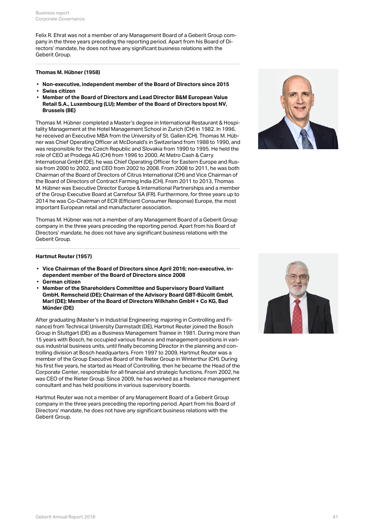Felix R. Ehrat was not a member of any Management Board of a Geberit Group company in the three years preceding the reporting period. Apart from his Board of Directors' mandate, he does not have any significant business relations with the Geberit Group.

#### **Thomas M. Hübner (1958)**

- **Non-executive, independent member of the Board of Directors since 2015**
- **Swiss citizen**
- **Member of the Board of Directors and Lead Director B&M European Value Retail S.A., Luxembourg (LU); Member of the Board of Directors bpost NV, Brussels (BE)**

Thomas M. Hübner completed a Master's degree in International Restaurant & Hospitality Management at the Hotel Management School in Zurich (CH) in 1982. In 1996, he received an Executive MBA from the University of St. Gallen (CH). Thomas M. Hübner was Chief Operating Officer at McDonald's in Switzerland from 1988 to 1990, and was responsible for the Czech Republic and Slovakia from 1990 to 1995. He held the role of CEO at Prodega AG (CH) from 1996 to 2000. At Metro Cash & Carry International GmbH (DE), he was Chief Operating Officer for Eastern Europe and Russia from 2000 to 2002, and CEO from 2002 to 2008. From 2008 to 2011, he was both Chairman of the Board of Directors of Citrus International (CH) and Vice Chairman of the Board of Directors of Contract Farming India (CH). From 2011 to 2013, Thomas M. Hübner was Executive Director Europe & International Partnerships and a member of the Group Executive Board at Carrefour SA (FR). Furthermore, for three years up to 2014 he was Co-Chairman of ECR (Efficient Consumer Response) Europe, the most important European retail and manufacturer association.

Thomas M. Hübner was not a member of any Management Board of a Geberit Group company in the three years preceding the reporting period. Apart from his Board of Directors' mandate, he does not have any significant business relations with the Geberit Group.



#### **Hartmut Reuter (1957)**

- **Vice Chairman of the Board of Directors since April 2016; non-executive, independent member of the Board of Directors since 2008**
- **German citizen**
- **Member of the Shareholders Committee and Supervisory Board Vaillant GmbH, Remscheid (DE); Chairman of the Advisory Board GBT-Bücolit GmbH, Marl (DE); Member of the Board of Directors Wilkhahn GmbH + Co KG, Bad Münder (DE)**

After graduating (Master's in Industrial Engineering; majoring in Controlling and Finance) from Technical University Darmstadt (DE), Hartmut Reuter joined the Bosch Group in Stuttgart (DE) as a Business Management Trainee in 1981. During more than 15 years with Bosch, he occupied various finance and management positions in various industrial business units, until finally becoming Director in the planning and controlling division at Bosch headquarters. From 1997 to 2009, Hartmut Reuter was a member of the Group Executive Board of the Rieter Group in Winterthur (CH). During his first five years, he started as Head of Controlling, then he became the Head of the Corporate Center, responsible for all financial and strategic functions. From 2002, he was CEO of the Rieter Group. Since 2009, he has worked as a freelance management consultant and has held positions in various supervisory boards.

Hartmut Reuter was not a member of any Management Board of a Geberit Group company in the three years preceding the reporting period. Apart from his Board of Directors' mandate, he does not have any significant business relations with the Geberit Group.

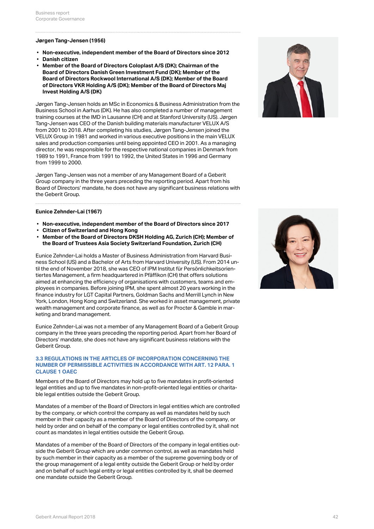#### **Jørgen Tang-Jensen (1956)**

- **Non-executive, independent member of the Board of Directors since 2012**
- **Danish citizen**
- **Member of the Board of Directors Coloplast A/S (DK); Chairman of the Board of Directors Danish Green Investment Fund (DK); Member of the Board of Directors Rockwool International A/S (DK); Member of the Board of Directors VKR Holding A/S (DK); Member of the Board of Directors Maj Invest Holding A/S (DK)**

Jørgen Tang-Jensen holds an MSc in Economics & Business Administration from the Business School in Aarhus (DK). He has also completed a number of management training courses at the IMD in Lausanne (CH) and at Stanford University (US). Jørgen Tang-Jensen was CEO of the Danish building materials manufacturer VELUX A/S from 2001 to 2018. After completing his studies, Jørgen Tang-Jensen joined the VELUX Group in 1981 and worked in various executive positions in the main VELUX sales and production companies until being appointed CEO in 2001. As a managing director, he was responsible for the respective national companies in Denmark from 1989 to 1991, France from 1991 to 1992, the United States in 1996 and Germany from 1999 to 2000.

Jørgen Tang-Jensen was not a member of any Management Board of a Geberit Group company in the three years preceding the reporting period. Apart from his Board of Directors' mandate, he does not have any significant business relations with the Geberit Group.

#### **Eunice Zehnder-Lai (1967)**

- **Non-executive, independent member of the Board of Directors since 2017**
- **Citizen of Switzerland and Hong Kong**
- **Member of the Board of Directors DKSH Holding AG, Zurich (CH); Member of the Board of Trustees Asia Society Switzerland Foundation, Zurich (CH)**

Eunice Zehnder-Lai holds a Master of Business Administration from Harvard Business School (US) and a Bachelor of Arts from Harvard University (US). From 2014 until the end of November 2018, she was CEO of IPM Institut für Persönlichkeitsorientiertes Management, a firm headquartered in Pfäffikon (CH) that offers solutions aimed at enhancing the efficiency of organisations with customers, teams and employees in companies. Before joining IPM, she spent almost 20 years working in the finance industry for LGT Capital Partners, Goldman Sachs and Merrill Lynch in New York, London, Hong Kong and Switzerland. She worked in asset management, private wealth management and corporate finance, as well as for Procter & Gamble in marketing and brand management.

Eunice Zehnder-Lai was not a member of any Management Board of a Geberit Group company in the three years preceding the reporting period. Apart from her Board of Directors' mandate, she does not have any significant business relations with the Geberit Group.

#### **3.3 REGULATIONS IN THE ARTICLES OF INCORPORATION CONCERNING THE NUMBER OF PERMISSIBLE ACTIVITIES IN ACCORDANCE WITH ART. 12 PARA. 1 CLAUSE 1 OAEC**

Members of the Board of Directors may hold up to five mandates in profit-oriented legal entities and up to five mandates in non-profit-oriented legal entities or charitable legal entities outside the Geberit Group.

Mandates of a member of the Board of Directors in legal entities which are controlled by the company, or which control the company as well as mandates held by such member in their capacity as a member of the Board of Directors of the company, or held by order and on behalf of the company or legal entities controlled by it, shall not count as mandates in legal entities outside the Geberit Group.

Mandates of a member of the Board of Directors of the company in legal entities outside the Geberit Group which are under common control, as well as mandates held by such member in their capacity as a member of the supreme governing body or of the group management of a legal entity outside the Geberit Group or held by order and on behalf of such legal entity or legal entities controlled by it, shall be deemed one mandate outside the Geberit Group.



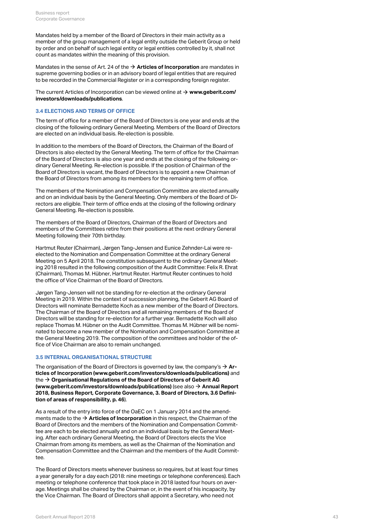Mandates held by a member of the Board of Directors in their main activity as a member of the group management of a legal entity outside the Geberit Group or held by order and on behalf of such legal entity or legal entities controlled by it, shall not count as mandates within the meaning of this provision.

Mandates in the sense of Art. 24 of the **[Articles of Incorporation](https://annualreport.geberit.com/geberit/annual/2018/gb/layout/../English/pdf/articles_of_incorporation_geberit_ag.pdf)** are mandates in [\\$](https://annualreport.geberit.com/geberit/annual/2018/gb/layout/../English/pdf/articles_of_incorporation_geberit_ag.pdf) supreme governing bodies or in an advisory board of legal entities that are required to be recorded in the Commercial Register or in a corresponding foreign register.

The current Articles of Incorporation can be viewed online at **[www.geberit.com/](https://www.geberit.com/investors/downloads/publications/)** [\\$](https://www.geberit.com/investors/downloads/publications/) **[investors/downloads/publications](https://www.geberit.com/investors/downloads/publications/)**.

#### **3.4 ELECTIONS AND TERMS OF OFFICE**

The term of office for a member of the Board of Directors is one year and ends at the closing of the following ordinary General Meeting. Members of the Board of Directors are elected on an individual basis. Re-election is possible.

In addition to the members of the Board of Directors, the Chairman of the Board of Directors is also elected by the General Meeting. The term of office for the Chairman of the Board of Directors is also one year and ends at the closing of the following ordinary General Meeting. Re-election is possible. If the position of Chairman of the Board of Directors is vacant, the Board of Directors is to appoint a new Chairman of the Board of Directors from among its members for the remaining term of office.

The members of the Nomination and Compensation Committee are elected annually and on an individual basis by the General Meeting. Only members of the Board of Directors are eligible. Their term of office ends at the closing of the following ordinary General Meeting. Re-election is possible.

The members of the Board of Directors, Chairman of the Board of Directors and members of the Committees retire from their positions at the next ordinary General Meeting following their 70th birthday.

Hartmut Reuter (Chairman), Jørgen Tang-Jensen and Eunice Zehnder-Lai were reelected to the Nomination and Compensation Committee at the ordinary General Meeting on 5 April 2018. The constitution subsequent to the ordinary General Meeting 2018 resulted in the following composition of the Audit Committee: Felix R. Ehrat (Chairman), Thomas M. Hübner, Hartmut Reuter. Hartmut Reuter continues to hold the office of Vice Chairman of the Board of Directors.

Jørgen Tang-Jensen will not be standing for re-election at the ordinary General Meeting in 2019. Within the context of succession planning, the Geberit AG Board of Directors will nominate Bernadette Koch as a new member of the Board of Directors. The Chairman of the Board of Directors and all remaining members of the Board of Directors will be standing for re-election for a further year. Bernadette Koch will also replace Thomas M. Hübner on the Audit Committee. Thomas M. Hübner will be nominated to become a new member of the Nomination and Compensation Committee at the General Meeting 2019. The composition of the committees and holder of the office of Vice Chairman are also to remain unchanged.

#### **3.5 INTERNAL ORGANISATIONAL STRUCTURE**

The organisation of the Board of Directors is governed by law, the company's **[Ar](https://annualreport.geberit.com/geberit/annual/2018/gb/layout/../English/pdf/articles_of_incorporation_geberit_ag.pdf)[ticles of Incorporation \(www.geberit.com/investors/downloads/publications\)](https://annualreport.geberit.com/geberit/annual/2018/gb/layout/../English/pdf/articles_of_incorporation_geberit_ag.pdf)** and the → [Organisational Regulations of the Board of Directors of Geberit AG](https://annualreport.geberit.com/geberit/annual/2018/gb/layout/../English/pdf/organizational_regulations_BoD.pdf) **[\(www.geberit.com/investors/downloads/publications\)](https://annualreport.geberit.com/geberit/annual/2018/gb/layout/../English/pdf/organizational_regulations_BoD.pdf)** (see also → [Annual Report](#page-45-0) **[2018, Business Report, Corporate Governance, 3. Board of Directors, 3.6 Defini](#page-45-0)[tion of areas of responsibility, p. 46](#page-45-0)**).  $\rightarrow$  Ar-

As a result of the entry into force of the OaEC on 1 January 2014 and the amendments made to the **[Articles of Incorporation](https://annualreport.geberit.com/geberit/annual/2018/gb/layout/../English/pdf/articles_of_incorporation_geberit_ag.pdf)** in this respect, the Chairman of the [\\$](https://annualreport.geberit.com/geberit/annual/2018/gb/layout/../English/pdf/articles_of_incorporation_geberit_ag.pdf)Board of Directors and the members of the Nomination and Compensation Committee are each to be elected annually and on an individual basis by the General Meeting. After each ordinary General Meeting, the Board of Directors elects the Vice Chairman from among its members, as well as the Chairman of the Nomination and Compensation Committee and the Chairman and the members of the Audit Committee.

The Board of Directors meets whenever business so requires, but at least four times a year generally for a day each (2018: nine meetings or telephone conferences). Each meeting or telephone conference that took place in 2018 lasted four hours on average. Meetings shall be chaired by the Chairman or, in the event of his incapacity, by the Vice Chairman. The Board of Directors shall appoint a Secretary, who need not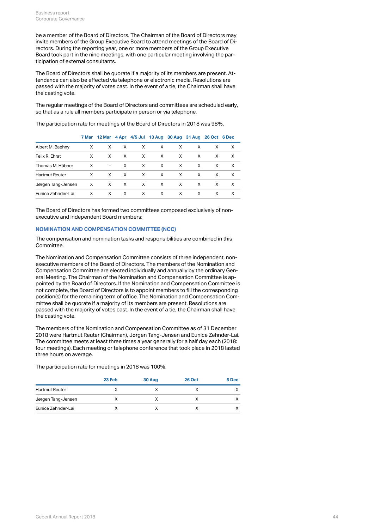be a member of the Board of Directors. The Chairman of the Board of Directors may invite members of the Group Executive Board to attend meetings of the Board of Directors. During the reporting year, one or more members of the Group Executive Board took part in the nine meetings, with one particular meeting involving the participation of external consultants.

The Board of Directors shall be quorate if a majority of its members are present. Attendance can also be effected via telephone or electronic media. Resolutions are passed with the majority of votes cast. In the event of a tie, the Chairman shall have the casting vote.

The regular meetings of the Board of Directors and committees are scheduled early, so that as a rule all members participate in person or via telephone.

The participation rate for meetings of the Board of Directors in 2018 was 98%.

|                       |              |   |              | 7 Mar 12 Mar 4 Apr 4/5 Jul 13 Aug 30 Aug 31 Aug 26 Oct 6 Dec |              |              |   |    |              |
|-----------------------|--------------|---|--------------|--------------------------------------------------------------|--------------|--------------|---|----|--------------|
| Albert M. Baehny      | X            | X | $\times$     | X                                                            | X            | X            | X | X  | X            |
| Felix R. Ehrat        | X            | X | $\mathsf{X}$ | $\mathsf{X}$                                                 | $\mathsf{X}$ | $\mathsf{X}$ | X | X  | $\mathsf{X}$ |
| Thomas M. Hübner      | X            |   | $- X$        | X                                                            | $\mathsf{X}$ | X.           | X | X  | $\mathsf{X}$ |
| <b>Hartmut Reuter</b> | $\times$     | X | $\mathsf{X}$ | $\mathsf{X}$                                                 | $\mathsf{X}$ | $\mathsf{X}$ | X | X  | $\mathsf{X}$ |
| Jørgen Tang-Jensen    | $\mathsf{X}$ |   | $X$ X        | $\mathsf{X}$                                                 | $\mathsf{X}$ | $\mathsf{X}$ | X | X  | $\mathsf{X}$ |
| Eunice Zehnder-Lai    | X            | X | X            | $\mathsf{X}$                                                 | $\mathsf{X}$ | X.           | X | X. | $\mathsf{X}$ |
|                       |              |   |              |                                                              |              |              |   |    |              |

The Board of Directors has formed two committees composed exclusively of nonexecutive and independent Board members:

#### **NOMINATION AND COMPENSATION COMMITTEE (NCC)**

The compensation and nomination tasks and responsibilities are combined in this Committee.

The Nomination and Compensation Committee consists of three independent, nonexecutive members of the Board of Directors. The members of the Nomination and Compensation Committee are elected individually and annually by the ordinary General Meeting. The Chairman of the Nomination and Compensation Committee is appointed by the Board of Directors. If the Nomination and Compensation Committee is not complete, the Board of Directors is to appoint members to fill the corresponding position(s) for the remaining term of office. The Nomination and Compensation Committee shall be quorate if a majority of its members are present. Resolutions are passed with the majority of votes cast. In the event of a tie, the Chairman shall have the casting vote.

The members of the Nomination and Compensation Committee as of 31 December 2018 were Hartmut Reuter (Chairman), Jørgen Tang-Jensen and Eunice Zehnder-Lai. The committee meets at least three times a year generally for a half day each (2018: four meetings). Each meeting or telephone conference that took place in 2018 lasted three hours on average.

The participation rate for meetings in 2018 was 100%.

|                       | 23 Feb | 30 Aug | <b>26 Oct</b> | 6 Dec |
|-----------------------|--------|--------|---------------|-------|
| <b>Hartmut Reuter</b> |        |        |               |       |
| Jørgen Tang-Jensen    |        |        |               |       |
| Eunice Zehnder-Lai    |        |        |               |       |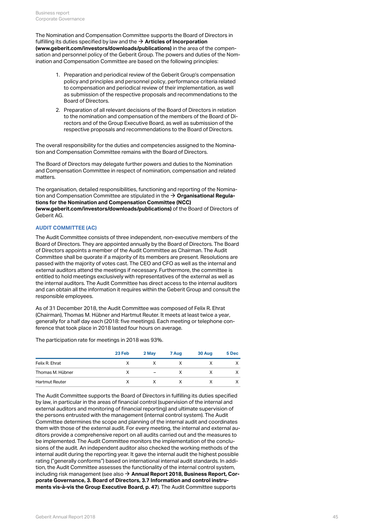The Nomination and Compensation Committee supports the Board of Directors in fulfilling its duties specified by law and the  $\rightarrow$  **[Articles of Incorporation](https://annualreport.geberit.com/geberit/annual/2018/gb/layout/../English/pdf/articles_of_incorporation_geberit_ag.pdf) [\(www.geberit.com/investors/downloads/publications\)](https://annualreport.geberit.com/geberit/annual/2018/gb/layout/../English/pdf/articles_of_incorporation_geberit_ag.pdf)** in the area of the compensation and personnel policy of the Geberit Group. The powers and duties of the Nomination and Compensation Committee are based on the following principles:

- 1. Preparation and periodical review of the Geberit Group's compensation policy and principles and personnel policy, performance criteria related to compensation and periodical review of their implementation, as well as submission of the respective proposals and recommendations to the Board of Directors.
- 2. Preparation of all relevant decisions of the Board of Directors in relation to the nomination and compensation of the members of the Board of Directors and of the Group Executive Board, as well as submission of the respective proposals and recommendations to the Board of Directors.

The overall responsibility for the duties and competencies assigned to the Nomination and Compensation Committee remains with the Board of Directors.

The Board of Directors may delegate further powers and duties to the Nomination and Compensation Committee in respect of nomination, compensation and related matters.

The organisation, detailed responsibilities, functioning and reporting of the Nomination and Compensation Committee are stipulated in the **[Organisational Regula-](https://annualreport.geberit.com/geberit/annual/2018/gb/layout/../English/pdf/organizational_regulations_NCC.pdf)**[\\$](https://annualreport.geberit.com/geberit/annual/2018/gb/layout/../English/pdf/organizational_regulations_NCC.pdf) **[tions for the Nomination and Compensation Committee \(NCC\)](https://annualreport.geberit.com/geberit/annual/2018/gb/layout/../English/pdf/organizational_regulations_NCC.pdf) [\(www.geberit.com/investors/downloads/publications\)](https://annualreport.geberit.com/geberit/annual/2018/gb/layout/../English/pdf/organizational_regulations_NCC.pdf)** of the Board of Directors of

Geberit AG.

#### <span id="page-44-0"></span>**AUDIT COMMITTEE (AC)**

The Audit Committee consists of three independent, non-executive members of the Board of Directors. They are appointed annually by the Board of Directors. The Board of Directors appoints a member of the Audit Committee as Chairman. The Audit Committee shall be quorate if a majority of its members are present. Resolutions are passed with the majority of votes cast. The CEO and CFO as well as the internal and external auditors attend the meetings if necessary. Furthermore, the committee is entitled to hold meetings exclusively with representatives of the external as well as the internal auditors. The Audit Committee has direct access to the internal auditors and can obtain all the information it requires within the Geberit Group and consult the responsible employees.

As of 31 December 2018, the Audit Committee was composed of Felix R. Ehrat (Chairman), Thomas M. Hübner and Hartmut Reuter. It meets at least twice a year, generally for a half day each (2018: five meetings). Each meeting or telephone conference that took place in 2018 lasted four hours on average.

The participation rate for meetings in 2018 was 93%.

|                       | 23 Feb | 2 May                    | 7 Aug | 30 Aug | 5 Dec |
|-----------------------|--------|--------------------------|-------|--------|-------|
| Felix R. Ehrat        | X      | v                        | х     |        |       |
| Thomas M. Hübner      | х      | $\overline{\phantom{a}}$ | X     |        |       |
| <b>Hartmut Reuter</b> | Х      | x                        | X     |        |       |

The Audit Committee supports the Board of Directors in fulfilling its duties specified by law, in particular in the areas of financial control (supervision of the internal and external auditors and monitoring of financial reporting) and ultimate supervision of the persons entrusted with the management (internal control system). The Audit Committee determines the scope and planning of the internal audit and coordinates them with those of the external audit. For every meeting, the internal and external auditors provide a comprehensive report on all audits carried out and the measures to be implemented. The Audit Committee monitors the implementation of the conclusions of the audit. An independent auditor also checked the working methods of the internal audit during the reporting year. It gave the internal audit the highest possible rating ("generally conforms") based on international internal audit standards. In addition, the Audit Committee assesses the functionality of the internal control system, including risk management (see also **[Annual Report 2018, Business Report, Cor-](#page-46-0)**[\\$](#page-46-0)**[porate Governance, 3. Board of Directors, 3.7 Information and control instru](#page-46-0)[ments vis-à-vis the Group Executive Board, p. 47](#page-46-0)**). The Audit Committee supports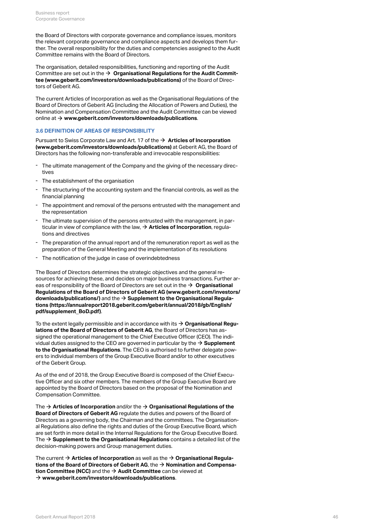the Board of Directors with corporate governance and compliance issues, monitors the relevant corporate governance and compliance aspects and develops them further. The overall responsibility for the duties and competencies assigned to the Audit Committee remains with the Board of Directors.

The organisation, detailed responsibilities, functioning and reporting of the Audit Committee are set out in the  $\rightarrow$   $\,$  [Organisational Regulations for the Audit Commit](https://annualreport.geberit.com/geberit/annual/2018/gb/layout/../English/pdf/organizational_regulations_BoD.pdf)**[tee \(www.geberit.com/investors/downloads/publications\)](https://annualreport.geberit.com/geberit/annual/2018/gb/layout/../English/pdf/organizational_regulations_BoD.pdf)** of the Board of Directors of Geberit AG.

The current Articles of Incorporation as well as the Organisational Regulations of the Board of Directors of Geberit AG (including the Allocation of Powers and Duties), the Nomination and Compensation Committee and the Audit Committee can be viewed online at **[www.geberit.com/investors/downloads/publications](https://www.geberit.com/investors/downloads/publications/)**. [\\$](https://www.geberit.com/investors/downloads/publications/)

#### <span id="page-45-0"></span>**3.6 DEFINITION OF AREAS OF RESPONSIBILITY**

Pursuant to Swiss Corporate Law and Art. 17 of the **→ [Articles of Incorporation](https://annualreport.geberit.com/geberit/annual/2018/gb/layout/../English/pdf/articles_of_incorporation_geberit_ag.pdf) [\(www.geberit.com/investors/downloads/publications\)](https://annualreport.geberit.com/geberit/annual/2018/gb/layout/../English/pdf/articles_of_incorporation_geberit_ag.pdf)** at Geberit AG, the Board of Directors has the following non-transferable and irrevocable responsibilities:

- The ultimate management of the Company and the giving of the necessary directives
- The establishment of the organisation
- The structuring of the accounting system and the financial controls, as well as the financial planning
- The appointment and removal of the persons entrusted with the management and the representation
- The ultimate supervision of the persons entrusted with the management, in particular in view of compliance with the law,  $\rightarrow$  **[Articles of Incorporation](https://annualreport.geberit.com/geberit/annual/2018/gb/layout/../English/pdf/articles_of_incorporation_geberit_ag.pdf)**, regulations and directives
- The preparation of the annual report and of the remuneration report as well as the preparation of the General Meeting and the implementation of its resolutions
- The notification of the judge in case of overindebtedness

The Board of Directors determines the strategic objectives and the general resources for achieving these, and decides on major business transactions. Further areas of responsibility of the Board of Directors are set out in the  $\bm{\rightarrow}$   $\bm{\textsf{Organisational}}$  $\bm{\textsf{Organisational}}$  $\bm{\textsf{Organisational}}$ **[Regulations of the Board of Directors of Geberit AG \(www.geberit.com/investors/](https://annualreport.geberit.com/geberit/annual/2018/gb/layout/../English/pdf/organizational_regulations_BoD.pdf) [downloads/publications/\)](https://annualreport.geberit.com/geberit/annual/2018/gb/layout/../English/pdf/organizational_regulations_BoD.pdf)** and the **[Supplement to the Organisational Regula-](https://annualreport.geberit.com/geberit/annual/2018/gb/layout/../English/pdf/supplement_BoD.pdf)**[\\$](https://annualreport.geberit.com/geberit/annual/2018/gb/layout/../English/pdf/supplement_BoD.pdf) **[tions \(https://annualreport2018.geberit.com/geberit/annual/2018/gb/English/](https://annualreport.geberit.com/geberit/annual/2018/gb/layout/../English/pdf/supplement_BoD.pdf) [pdf/supplement\\_BoD.pdf\)](https://annualreport.geberit.com/geberit/annual/2018/gb/layout/../English/pdf/supplement_BoD.pdf)**.

To the extent legally permissible and in accordance with its **[Organisational Regu-](https://annualreport.geberit.com/geberit/annual/2018/gb/layout/../English/pdf/organizational_regulations_BoD.pdf)**[\\$](https://annualreport.geberit.com/geberit/annual/2018/gb/layout/../English/pdf/organizational_regulations_BoD.pdf) **[lations of the Board of Directors of Geberit AG](https://annualreport.geberit.com/geberit/annual/2018/gb/layout/../English/pdf/organizational_regulations_BoD.pdf)**, the Board of Directors has assigned the operational management to the Chief Executive Officer (CEO). The individual duties assigned to the CEO are governed in particular by the  $\rightarrow$  **[Supplement](https://annualreport.geberit.com/geberit/annual/2018/gb/layout/../English/pdf/supplement_BoD.pdf) [to the Organisational Regulations](https://annualreport.geberit.com/geberit/annual/2018/gb/layout/../English/pdf/supplement_BoD.pdf)**. The CEO is authorised to further delegate powers to individual members of the Group Executive Board and/or to other executives of the Geberit Group.

As of the end of 2018, the Group Executive Board is composed of the Chief Executive Officer and six other members. The members of the Group Executive Board are appointed by the Board of Directors based on the proposal of the Nomination and Compensation Committee.

The  $\rightarrow$  [Articles of Incorporation](https://annualreport.geberit.com/geberit/annual/2018/gb/layout/../English/pdf/articles_of_incorporation_geberit_ag.pdf) and/or the  $\rightarrow$  [Organisational Regulations of the](https://annualreport.geberit.com/geberit/annual/2018/gb/layout/../English/pdf/organizational_regulations_BoD.pdf) **[Board of Directors of Geberit AG](https://annualreport.geberit.com/geberit/annual/2018/gb/layout/../English/pdf/organizational_regulations_BoD.pdf)** regulate the duties and powers of the Board of Directors as a governing body, the Chairman and the committees. The Organisational Regulations also define the rights and duties of the Group Executive Board, which are set forth in more detail in the Internal Regulations for the Group Executive Board. The  $\bm{\rightarrow}$  **[Supplement to the Organisational Regulations](http://annualreport.geberit.com/geberit/annual/2018/gb/layout/../English/pdf/supplement_BoD.pdf)** contains a detailed list of the decision-making powers and Group management duties.

The current **[Articles of Incorporation](http://annualreport.geberit.com/geberit/annual/2018/gb/layout/../English/pdf/articles_of_incorporation_geberit_ag.pdf)** as well as the **[Organisational Regula-](http://annualreport.geberit.com/geberit/annual/2018/gb/layout/../English/pdf/organizational_regulations_BoD.pdf)**[\\$](http://annualreport.geberit.com/geberit/annual/2018/gb/layout/../English/pdf/articles_of_incorporation_geberit_ag.pdf) [\\$](http://annualreport.geberit.com/geberit/annual/2018/gb/layout/../English/pdf/organizational_regulations_BoD.pdf) **[tions of the Board of Directors of Geberit AG](http://annualreport.geberit.com/geberit/annual/2018/gb/layout/../English/pdf/organizational_regulations_BoD.pdf)**, the **[Nomination and Compensa-](http://annualreport.geberit.com/geberit/annual/2018/gb/layout/../English/pdf/orgreglement-2014-ncc-en.pdf)**[\\$](http://annualreport.geberit.com/geberit/annual/2018/gb/layout/../English/pdf/orgreglement-2014-ncc-en.pdf)  $\bm{\mathsf{t}}$  ion  $\bm{\mathsf{Committee}}$  (NCC) and the  $\bm{\rightarrow}$   $\bm{\mathsf{A}}$ udit  $\bm{\mathsf{Committee}}$  can be viewed at **[www.geberit.com/investors/downloads/publications](http://www.geberit.com/investors/downloads/publications/)**. [\\$](http://www.geberit.com/investors/downloads/publications/)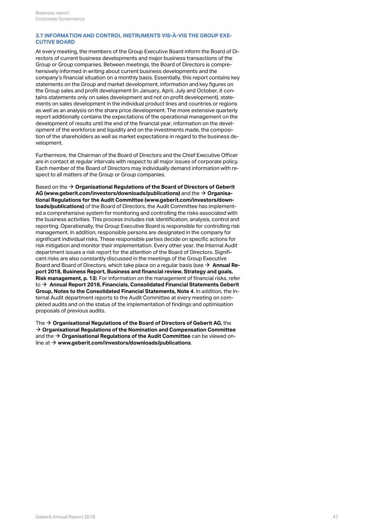#### <span id="page-46-0"></span>**3.7 INFORMATION AND CONTROL INSTRUMENTS VIS-À-VIS THE GROUP EXE-CUTIVE BOARD**

At every meeting, the members of the Group Executive Board inform the Board of Directors of current business developments and major business transactions of the Group or Group companies. Between meetings, the Board of Directors is comprehensively informed in writing about current business developments and the company's financial situation on a monthly basis. Essentially, this report contains key statements on the Group and market development, information and key figures on the Group sales and profit development (in January, April, July and October, it contains statements only on sales development and not on profit development), statements on sales development in the individual product lines and countries or regions as well as an analysis on the share price development. The more extensive quarterly report additionally contains the expectations of the operational management on the development of results until the end of the financial year, information on the development of the workforce and liquidity and on the investments made, the composition of the shareholders as well as market expectations in regard to the business development.

Furthermore, the Chairman of the Board of Directors and the Chief Executive Officer are in contact at regular intervals with respect to all major issues of corporate policy. Each member of the Board of Directors may individually demand information with respect to all matters of the Group or Group companies.

Based on the  $\bm{\rightarrow}$  **[Organisational Regulations of the Board of Directors of Geberit](http://annualreport.geberit.com/geberit/annual/2018/gb/layout/../English/pdf/organizational_regulations_BoD.pdf) [AG \(www.geberit.com/investors/downloads/publications\)](http://annualreport.geberit.com/geberit/annual/2018/gb/layout/../English/pdf/organizational_regulations_BoD.pdf)** and the  $\rightarrow$  **[Organisa](http://annualreport.geberit.com/geberit/annual/2018/gb/layout/../English/pdf/orgreglement-2014-ac-en.pdf)[tional Regulations for the Audit Committee \(www.geberit.com/investors/down](http://annualreport.geberit.com/geberit/annual/2018/gb/layout/../English/pdf/orgreglement-2014-ac-en.pdf)[loads/publications\)](http://annualreport.geberit.com/geberit/annual/2018/gb/layout/../English/pdf/orgreglement-2014-ac-en.pdf)** of the Board of Directors, the Audit Committee has implemented a comprehensive system for monitoring and controlling the risks associated with the business activities. This process includes risk identification, analysis, control and reporting. Operationally, the Group Executive Board is responsible for controlling risk management. In addition, responsible persons are designated in the company for significant individual risks. These responsible parties decide on specific actions for risk mitigation and monitor their implementation. Every other year, the Internal Audit department issues a risk report for the attention of the Board of Directors. Significant risks are also constantly discussed in the meetings of the Group Executive Board and Board of Directors, which take place on a regular basis (see **[Annual Re-](#page-12-0)**[\\$](#page-12-0) **[port 2018, Business Report, Business and financial review, Strategy and goals,](#page-12-0) [Risk management, p. 13](#page-12-0)**). For information on the management of financial risks, refer to → [Annual Report 2018, Financials, Consolidated Financial Statements Geberit](http://annualreport.geberit.com/reports/geberit/annual/2018/gb/English/20405004/4_-risk-assessment-and-management.html) **[Group, Notes to the Consolidated Financial Statements, Note 4](http://annualreport.geberit.com/reports/geberit/annual/2018/gb/English/20405004/4_-risk-assessment-and-management.html)**. In addition, the Internal Audit department reports to the Audit Committee at every meeting on completed audits and on the status of the implementation of findings and optimisation proposals of previous audits.

The **[Organisational Regulations of the Board of Directors of Geberit AG,](http://annualreport.geberit.com/geberit/annual/2018/gb/layout/../English/pdf/organizational_regulations_BoD.pdf)** the [\\$](http://annualreport.geberit.com/geberit/annual/2018/gb/layout/../English/pdf/organizational_regulations_BoD.pdf)  $\rightarrow$  [Organisational Regulations of the Nomination and Compensation Committee](http://annualreport.geberit.com/geberit/annual/2018/gb/layout/../English/pdf/organizational_regulations_NCC.pdf) and the **[Organisational Regulations of the Audit Committee](http://annualreport.geberit.com/geberit/annual/2018/gb/layout/../English/pdf/organizational_regulations_AC.pdf)** can be viewed on-[\\$](http://annualreport.geberit.com/geberit/annual/2018/gb/layout/../English/pdf/organizational_regulations_AC.pdf) line at → [www.geberit.com/investors/downloads/publications](http://www.geberit.com/investors/downloads/publications/).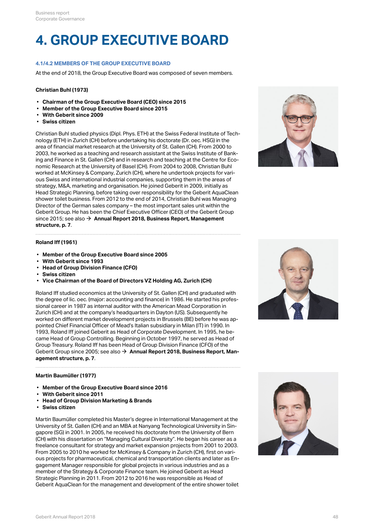### **4. GROUP EXECUTIVE BOARD**

#### **4.1/4.2 MEMBERS OF THE GROUP EXECUTIVE BOARD**

At the end of 2018, the Group Executive Board was composed of seven members.

#### **Christian Buhl (1973)**

- **Chairman of the Group Executive Board (CEO) since 2015**
- **Member of the Group Executive Board since 2015**
- **With Geberit since 2009**
- **Swiss citizen**

Christian Buhl studied physics (Dipl. Phys. ETH) at the Swiss Federal Institute of Technology (ETH) in Zurich (CH) before undertaking his doctorate (Dr. oec. HSG) in the area of financial market research at the University of St. Gallen (CH). From 2000 to 2003, he worked as a teaching and research assistant at the Swiss Institute of Banking and Finance in St. Gallen (CH) and in research and teaching at the Centre for Economic Research at the University of Basel (CH). From 2004 to 2008, Christian Buhl worked at McKinsey & Company, Zurich (CH), where he undertook projects for various Swiss and international industrial companies, supporting them in the areas of strategy, M&A, marketing and organisation. He joined Geberit in 2009, initially as Head Strategic Planning, before taking over responsibility for the Geberit AquaClean shower toilet business. From 2012 to the end of 2014, Christian Buhl was Managing Director of the German sales company – the most important sales unit within the Geberit Group. He has been the Chief Executive Officer (CEO) of the Geberit Group since 2015; see also **[Annual Report 2018, Business Report, Management](#page-6-0)** [\\$](#page-6-0) **[structure, p. 7](#page-6-0)**.



#### **Roland Iff (1961)**

- **Member of the Group Executive Board since 2005**
- **With Geberit since 1993**
- **Head of Group Division Finance (CFO)**
- **Swiss citizen**
- **Vice Chairman of the Board of Directors VZ Holding AG, Zurich (CH)**

Roland Iff studied economics at the University of St. Gallen (CH) and graduated with the degree of lic. oec. (major: accounting and finance) in 1986. He started his professional career in 1987 as internal auditor with the American Mead Corporation in Zurich (CH) and at the company's headquarters in Dayton (US). Subsequently he worked on different market development projects in Brussels (BE) before he was appointed Chief Financial Officer of Mead's Italian subsidiary in Milan (IT) in 1990. In 1993, Roland Iff joined Geberit as Head of Corporate Development. In 1995, he became Head of Group Controlling. Beginning in October 1997, he served as Head of Group Treasury. Roland Iff has been Head of Group Division Finance (CFO) of the Geberit Group since 2005; see also  $\rightarrow$  [Annual Report 2018, Business Report, Man](#page-6-0)**[agement structure, p. 7](#page-6-0)**.



#### **Martin Baumüller (1977)**

- **Member of the Group Executive Board since 2016**
- **With Geberit since 2011**
- **Head of Group Division Marketing & Brands**
- **Swiss citizen**

Martin Baumüller completed his Master's degree in International Management at the University of St. Gallen (CH) and an MBA at Nanyang Technological University in Singapore (SG) in 2001. In 2005, he received his doctorate from the University of Bern (CH) with his dissertation on "Managing Cultural Diversity". He began his career as a freelance consultant for strategy and market expansion projects from 2001 to 2003. From 2005 to 2010 he worked for McKinsey & Company in Zurich (CH), first on various projects for pharmaceutical, chemical and transportation clients and later as Engagement Manager responsible for global projects in various industries and as a member of the Strategy & Corporate Finance team. He joined Geberit as Head Strategic Planning in 2011. From 2012 to 2016 he was responsible as Head of Geberit AquaClean for the management and development of the entire shower toilet

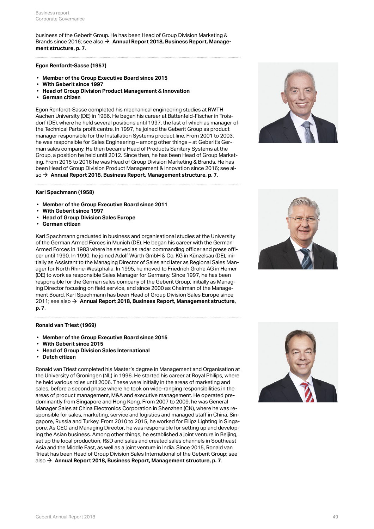business of the Geberit Group. He has been Head of Group Division Marketing & Brands since 2016; see also **[Annual Report 2018, Business Report, Manage-](#page-6-0)**[\\$](#page-6-0) **[ment structure, p. 7](#page-6-0)**.

#### **Egon Renfordt-Sasse (1957)**

- **Member of the Group Executive Board since 2015**
- **With Geberit since 1997**
- **Head of Group Division Product Management & Innovation**
- **German citizen**

Egon Renfordt-Sasse completed his mechanical engineering studies at RWTH Aachen University (DE) in 1986. He began his career at Battenfeld-Fischer in Troisdorf (DE), where he held several positions until 1997, the last of which as manager of the Technical Parts profit centre. In 1997, he joined the Geberit Group as product manager responsible for the Installation Systems product line. From 2001 to 2003, he was responsible for Sales Engineering – among other things – at Geberit's German sales company. He then became Head of Products Sanitary Systems at the Group, a position he held until 2012. Since then, he has been Head of Group Marketing. From 2015 to 2016 he was Head of Group Division Marketing & Brands. He has been Head of Group Division Product Management & Innovation since 2016; see al-so → [Annual Report 2018, Business Report, Management structure, p. 7](#page-6-0).



#### **Karl Spachmann (1958)**

- **Member of the Group Executive Board since 2011**
- **With Geberit since 1997**
- **Head of Group Division Sales Europe**
- **German citizen**

Karl Spachmann graduated in business and organisational studies at the University of the German Armed Forces in Munich (DE). He began his career with the German Armed Forces in 1983 where he served as radar commanding officer and press officer until 1990. In 1990, he joined Adolf Würth GmbH & Co. KG in Künzelsau (DE), initially as Assistant to the Managing Director of Sales and later as Regional Sales Manager for North Rhine-Westphalia. In 1995, he moved to Friedrich Grohe AG in Hemer (DE) to work as responsible Sales Manager for Germany. Since 1997, he has been responsible for the German sales company of the Geberit Group, initially as Managing Director focusing on field service, and since 2000 as Chairman of the Management Board. Karl Spachmann has been Head of Group Division Sales Europe since 2011; see also **[Annual Report 2018, Business Report, Management structure,](#page-6-0)** [\\$](#page-6-0) **[p. 7](#page-6-0)**.

#### **Ronald van Triest (1969)**

- **Member of the Group Executive Board since 2015**
- **With Geberit since 2015**
- **Head of Group Division Sales International**
- **Dutch citizen**

Ronald van Triest completed his Master's degree in Management and Organisation at the University of Groningen (NL) in 1996. He started his career at Royal Philips, where he held various roles until 2006. These were initially in the areas of marketing and sales, before a second phase where he took on wide-ranging responsibilities in the areas of product management, M&A and executive management. He operated predominantly from Singapore and Hong Kong. From 2007 to 2009, he was General Manager Sales at China Electronics Corporation in Shenzhen (CN), where he was responsible for sales, marketing, service and logistics and managed staff in China, Singapore, Russia and Turkey. From 2010 to 2015, he worked for Ellipz Lighting in Singapore. As CEO and Managing Director, he was responsible for setting up and developing the Asian business. Among other things, he established a joint venture in Beijing, set up the local production, R&D and sales and created sales channels in Southeast Asia and the Middle East, as well as a joint venture in India. Since 2015, Ronald van Triest has been Head of Group Division Sales International of the Geberit Group; see also → [Annual Report 2018, Business Report, Management structure, p. 7](#page-6-0).

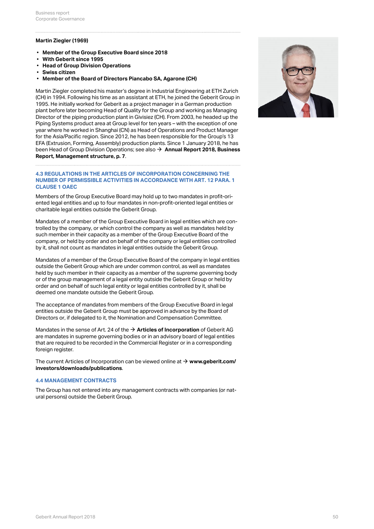#### **Martin Ziegler (1969)**

- **Member of the Group Executive Board since 2018**
- **With Geberit since 1995**
- **Head of Group Division Operations**
- **Swiss citizen**
- **Member of the Board of Directors Piancabo SA, Agarone (CH)**

Martin Ziegler completed his master's degree in Industrial Engineering at ETH Zurich (CH) in 1994. Following his time as an assistant at ETH, he joined the Geberit Group in 1995. He initially worked for Geberit as a project manager in a German production plant before later becoming Head of Quality for the Group and working as Managing Director of the piping production plant in Givisiez (CH). From 2003, he headed up the Piping Systems product area at Group level for ten years – with the exception of one year where he worked in Shanghai (CN) as Head of Operations and Product Manager for the Asia/Pacific region. Since 2012, he has been responsible for the Group's 13 EFA (Extrusion, Forming, Assembly) production plants. Since 1 January 2018, he has been Head of Group Division Operations; see also **→ [Annual Report 2018, Business](#page-6-0) [Report, Management structure, p. 7](#page-6-0)**.

#### **4.3 REGULATIONS IN THE ARTICLES OF INCORPORATION CONCERNING THE NUMBER OF PERMISSIBLE ACTIVITIES IN ACCORDANCE WITH ART. 12 PARA. 1 CLAUSE 1 OAEC**

Members of the Group Executive Board may hold up to two mandates in profit-oriented legal entities and up to four mandates in non-profit-oriented legal entities or charitable legal entities outside the Geberit Group.

Mandates of a member of the Group Executive Board in legal entities which are controlled by the company, or which control the company as well as mandates held by such member in their capacity as a member of the Group Executive Board of the company, or held by order and on behalf of the company or legal entities controlled by it, shall not count as mandates in legal entities outside the Geberit Group.

Mandates of a member of the Group Executive Board of the company in legal entities outside the Geberit Group which are under common control, as well as mandates held by such member in their capacity as a member of the supreme governing body or of the group management of a legal entity outside the Geberit Group or held by order and on behalf of such legal entity or legal entities controlled by it, shall be deemed one mandate outside the Geberit Group.

The acceptance of mandates from members of the Group Executive Board in legal entities outside the Geberit Group must be approved in advance by the Board of Directors or, if delegated to it, the Nomination and Compensation Committee.

Mandates in the sense of Art. 24 of the **[Articles of Incorporation](https://annualreport.geberit.com/geberit/annual/2018/gb/layout/../English/pdf/articles_of_incorporation_geberit_ag.pdf)** of Geberit AG [\\$](https://annualreport.geberit.com/geberit/annual/2018/gb/layout/../English/pdf/articles_of_incorporation_geberit_ag.pdf) are mandates in supreme governing bodies or in an advisory board of legal entities that are required to be recorded in the Commercial Register or in a corresponding foreign register.

The current Articles of Incorporation can be viewed online at  $\rightarrow$   $www.geberit.com/$ **[investors/downloads/publications](http://www.geberit.com/investors/downloads/publications/)**.

#### **4.4 MANAGEMENT CONTRACTS**

The Group has not entered into any management contracts with companies (or natural persons) outside the Geberit Group.

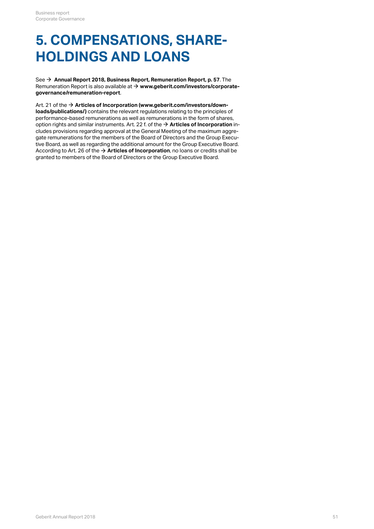### **5. COMPENSATIONS, SHARE-HOLDINGS AND LOANS**

See **[Annual Report 2018, Business Report, Remuneration Report, p. 57](#page-56-0)**. The [\\$](#page-56-0) Remuneration Report is also available at **[www.geberit.com/investors/corporate-](https://www.geberit.com/investors/corporate-governance/remuneration-report/)**[\\$](https://www.geberit.com/investors/corporate-governance/remuneration-report/) **[governance/remuneration-report](https://www.geberit.com/investors/corporate-governance/remuneration-report/)**.

Art. 21 of the **[Articles of Incorporation \(www.geberit.com/investors/down-](https://annualreport.geberit.com/geberit/annual/2018/gb/layout/../English/pdf/articles_of_incorporation_geberit_ag.pdf)**[\\$](https://annualreport.geberit.com/geberit/annual/2018/gb/layout/../English/pdf/articles_of_incorporation_geberit_ag.pdf) **[loads/publications/\)](https://annualreport.geberit.com/geberit/annual/2018/gb/layout/../English/pdf/articles_of_incorporation_geberit_ag.pdf)** contains the relevant regulations relating to the principles of performance-based remunerations as well as remunerations in the form of shares, option rights and similar instruments. Art. 22 f. of the  $\rightarrow$  **[Articles of Incorporation](https://annualreport.geberit.com/geberit/annual/2018/gb/layout/../English/pdf/articles_of_incorporation_geberit_ag.pdf)** includes provisions regarding approval at the General Meeting of the maximum aggregate remunerations for the members of the Board of Directors and the Group Executive Board, as well as regarding the additional amount for the Group Executive Board. According to Art. 26 of the **[Articles of Incorporation](https://annualreport.geberit.com/geberit/annual/2018/gb/layout/../English/pdf/articles_of_incorporation_geberit_ag.pdf)**, no loans or credits shall be [\\$](https://annualreport.geberit.com/geberit/annual/2018/gb/layout/../English/pdf/articles_of_incorporation_geberit_ag.pdf)granted to members of the Board of Directors or the Group Executive Board.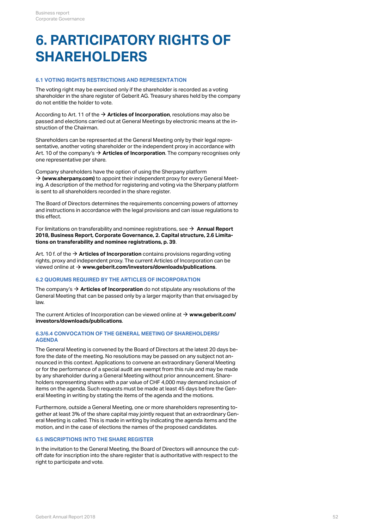### <span id="page-51-0"></span>**6. PARTICIPATORY RIGHTS OF SHAREHOLDERS**

#### **6.1 VOTING RIGHTS RESTRICTIONS AND REPRESENTATION**

The voting right may be exercised only if the shareholder is recorded as a voting shareholder in the share register of Geberit AG. Treasury shares held by the company do not entitle the holder to vote.

According to Art. 11 of the **[Articles of Incorporation](http://annualreport.geberit.com/geberit/annual/2018/gb/layout/../English/pdf/articles_of_incorporation_geberit_ag.pdf)**, resolutions may also be [\\$](http://annualreport.geberit.com/geberit/annual/2018/gb/layout/../English/pdf/articles_of_incorporation_geberit_ag.pdf) passed and elections carried out at General Meetings by electronic means at the instruction of the Chairman.

Shareholders can be represented at the General Meeting only by their legal representative, another voting shareholder or the independent proxy in accordance with Art. 10 of the company's **[Articles of Incorporation](http://annualreport.geberit.com/geberit/annual/2018/gb/layout/../English/pdf/articles_of_incorporation_geberit_ag.pdf)**. The company recognises only [\\$](http://annualreport.geberit.com/geberit/annual/2018/gb/layout/../English/pdf/articles_of_incorporation_geberit_ag.pdf) one representative per share.

Company shareholders have the option of using the Sherpany platform → [\(www.sherpany.com\)](https://www.sherpany.com/en/) to appoint their independent proxy for every General Meeting. A description of the method for registering and voting via the Sherpany platform is sent to all shareholders recorded in the share register.

The Board of Directors determines the requirements concerning powers of attorney and instructions in accordance with the legal provisions and can issue regulations to this effect.

For limitations on transferability and nominee registrations, see  $\rightarrow \,$  **[Annual Report](#page-38-0) [2018, Business Report, Corporate Governance, 2. Capital structure, 2.6 Limita](#page-38-0)[tions on transferability and nominee registrations, p. 39](#page-38-0)**.

Art. 10 f. of the → **[Articles of Incorporation](http://annualreport.geberit.com/geberit/annual/2018/gb/layout/../English/pdf/articles_of_incorporation_geberit_ag.pdf)** contains provisions regarding voting rights, proxy and independent proxy. The current Articles of Incorporation can be viewed online at **[www.geberit.com/investors/downloads/publications](https://www.geberit.com/investors/downloads/publications/)**. [\\$](https://www.geberit.com/investors/downloads/publications/)

#### **6.2 QUORUMS REQUIRED BY THE ARTICLES OF INCORPORATION**

The company's **[Articles of Incorporation](http://annualreport.geberit.com/geberit/annual/2018/gb/layout/../English/pdf/articles_of_incorporation_geberit_ag.pdf)** do not stipulate any resolutions of the [\\$](http://annualreport.geberit.com/geberit/annual/2018/gb/layout/../English/pdf/articles_of_incorporation_geberit_ag.pdf) General Meeting that can be passed only by a larger majority than that envisaged by law.

The current Articles of Incorporation can be viewed online at  $\rightarrow$   $www.geberit.com/$ **[investors/downloads/publications](https://www.geberit.com/investors/downloads/publications/)**.

#### **6.3/6.4 CONVOCATION OF THE GENERAL MEETING OF SHAREHOLDERS/ AGENDA**

The General Meeting is convened by the Board of Directors at the latest 20 days before the date of the meeting. No resolutions may be passed on any subject not announced in this context. Applications to convene an extraordinary General Meeting or for the performance of a special audit are exempt from this rule and may be made by any shareholder during a General Meeting without prior announcement. Shareholders representing shares with a par value of CHF 4,000 may demand inclusion of items on the agenda. Such requests must be made at least 45 days before the General Meeting in writing by stating the items of the agenda and the motions.

Furthermore, outside a General Meeting, one or more shareholders representing together at least 3% of the share capital may jointly request that an extraordinary General Meeting is called. This is made in writing by indicating the agenda items and the motion, and in the case of elections the names of the proposed candidates.

#### **6.5 INSCRIPTIONS INTO THE SHARE REGISTER**

In the invitation to the General Meeting, the Board of Directors will announce the cutoff date for inscription into the share register that is authoritative with respect to the right to participate and vote.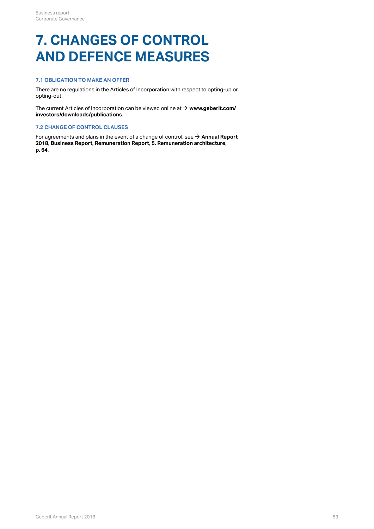### **7. CHANGES OF CONTROL AND DEFENCE MEASURES**

### **7.1 OBLIGATION TO MAKE AN OFFER**

There are no regulations in the Articles of Incorporation with respect to opting-up or opting-out.

The current Articles of Incorporation can be viewed online at **→ [www.geberit.com/](https://www.geberit.com/investors/downloads/publications/) [investors/downloads/publications](https://www.geberit.com/investors/downloads/publications/)**.

#### **7.2 CHANGE OF CONTROL CLAUSES**

For agreements and plans in the event of a change of control, see  $\rightarrow$  <code>[Annual Report](#page-63-0)</code> **[2018, Business Report, Remuneration Report, 5. Remuneration architecture,](#page-63-0)** The current Articles of Incorporation can be viewed online at  $\rightarrow$  **www.geberit.com/**<br>**investors/downloads/publications**.<br>7.2 CHANGE OF CONTROL CLAUSES<br>For agreements and plans in the event of a change of control, see  $\rightarrow$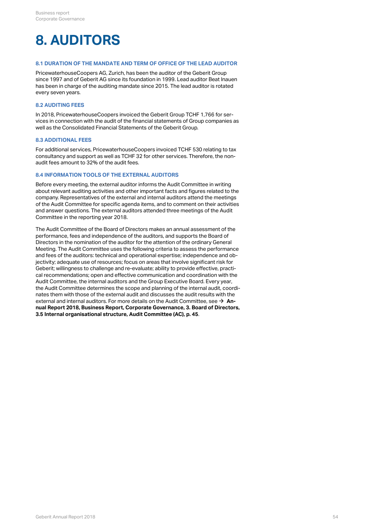### **8. AUDITORS**

#### **8.1 DURATION OF THE MANDATE AND TERM OF OFFICE OF THE LEAD AUDITOR**

PricewaterhouseCoopers AG, Zurich, has been the auditor of the Geberit Group since 1997 and of Geberit AG since its foundation in 1999. Lead auditor Beat Inauen has been in charge of the auditing mandate since 2015. The lead auditor is rotated every seven years.

#### **8.2 AUDITING FEES**

In 2018, PricewaterhouseCoopers invoiced the Geberit Group TCHF 1,766 for services in connection with the audit of the financial statements of Group companies as well as the Consolidated Financial Statements of the Geberit Group.

#### **8.3 ADDITIONAL FEES**

For additional services, PricewaterhouseCoopers invoiced TCHF 530 relating to tax consultancy and support as well as TCHF 32 for other services. Therefore, the nonaudit fees amount to 32% of the audit fees.

#### **8.4 INFORMATION TOOLS OF THE EXTERNAL AUDITORS**

Before every meeting, the external auditor informs the Audit Committee in writing about relevant auditing activities and other important facts and figures related to the company. Representatives of the external and internal auditors attend the meetings of the Audit Committee for specific agenda items, and to comment on their activities and answer questions. The external auditors attended three meetings of the Audit Committee in the reporting year 2018.

The Audit Committee of the Board of Directors makes an annual assessment of the performance, fees and independence of the auditors, and supports the Board of Directors in the nomination of the auditor for the attention of the ordinary General Meeting. The Audit Committee uses the following criteria to assess the performance and fees of the auditors: technical and operational expertise; independence and objectivity; adequate use of resources; focus on areas that involve significant risk for Geberit; willingness to challenge and re-evaluate; ability to provide effective, practical recommendations; open and effective communication and coordination with the Audit Committee, the internal auditors and the Group Executive Board. Every year, the Audit Committee determines the scope and planning of the internal audit, coordinates them with those of the external audit and discusses the audit results with the external and internal auditors. For more details on the Audit Committee, see → **[An](#page-44-0)[nual Report 2018, Business Report, Corporate Governance, 3. Board of Directors,](#page-44-0)** external and internal auditors. For more details on the Audit Committee, see → **An-**<br>**nual Report 2018, Business Report, Corporate Governance, 3. Board of Directors**<br>3.5 Internal organisational structure, Audit Committee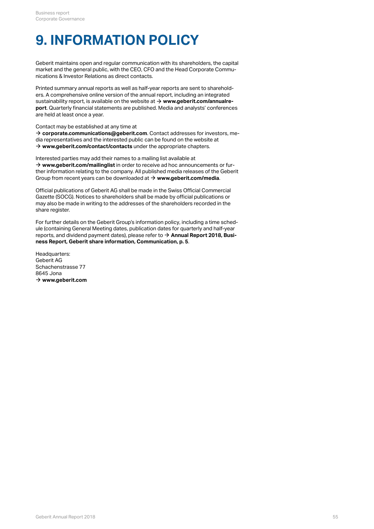### **9. INFORMATION POLICY**

Geberit maintains open and regular communication with its shareholders, the capital market and the general public, with the CEO, CFO and the Head Corporate Communications & Investor Relations as direct contacts.

Printed summary annual reports as well as half-year reports are sent to shareholders. A comprehensive online version of the annual report, including an integrated sustainability report, is available on the website at **[www.geberit.com/annualre-](http://annualreport.geberit.com/reports/geberit/annual/2018/gb/English/0/home.html)**[\\$](http://annualreport.geberit.com/reports/geberit/annual/2018/gb/English/0/home.html) **[port](http://annualreport.geberit.com/reports/geberit/annual/2018/gb/English/0/home.html)**. Quarterly financial statements are published. Media and analysts' conferences are held at least once a year.

Contact may be established at any time at

**[corporate.communications@geberit.com](mailto:corporate.communications@geberit.com)**. Contact addresses for investors, me-[\\$](mailto:corporate.communications@geberit.com) dia representatives and the interested public can be found on the website at  $\rightarrow$  **[www.geberit.com/contact/contacts](https://www.geberit.com/contact/contacts/)** under the appropriate chapters.

Interested parties may add their names to a mailing list available at → [www.geberit.com/mailinglist](https://www.geberit.com/mailinglist) in order to receive ad hoc announcements or further information relating to the company. All published media releases of the Geberit Group from recent years can be downloaded at **[www.geberit.com/media](https://www.geberit.com/media/)**. [\\$](https://www.geberit.com/media/)

Official publications of Geberit AG shall be made in the Swiss Official Commercial Gazette (SOCG). Notices to shareholders shall be made by official publications or may also be made in writing to the addresses of the shareholders recorded in the share register.

For further details on the Geberit Group's information policy, including a time schedule (containing General Meeting dates, publication dates for quarterly and half-year reports, and dividend payment dates), please refer to **[Annual Report 2018, Busi-](#page-4-1)**[\\$](#page-4-1) **[ness Report, Geberit share information, Communication, p. 5](#page-4-1)**.

Headquarters: Geberit AG Schachenstrasse 77 8645 Jona  $\rightarrow$  [www.geberit.com](https://www.geberit.com)  $\rightarrow$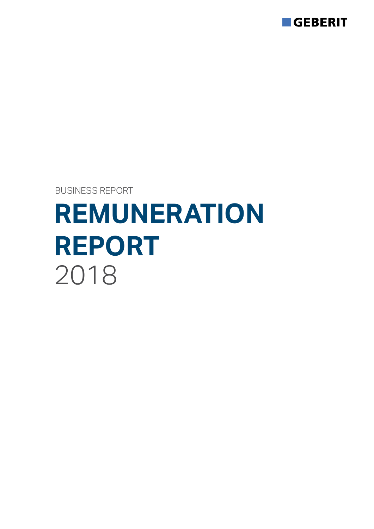

BUSINESS REPORT

# **REMUNERATION REPORT** 2018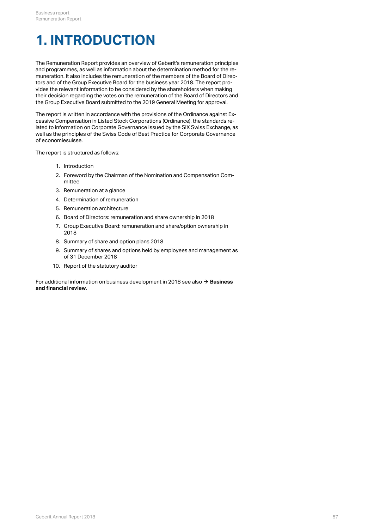### <span id="page-56-0"></span>**1. INTRODUCTION**

The Remuneration Report provides an overview of Geberit's remuneration principles and programmes, as well as information about the determination method for the remuneration. It also includes the remuneration of the members of the Board of Directors and of the Group Executive Board for the business year 2018. The report provides the relevant information to be considered by the shareholders when making their decision regarding the votes on the remuneration of the Board of Directors and the Group Executive Board submitted to the 2019 General Meeting for approval.

The report is written in accordance with the provisions of the Ordinance against Excessive Compensation in Listed Stock Corporations (Ordinance), the standards related to information on Corporate Governance issued by the SIX Swiss Exchange, as well as the principles of the Swiss Code of Best Practice for Corporate Governance of economiesuisse.

The report is structured as follows:

- 1. Introduction
- 2. Foreword by the Chairman of the Nomination and Compensation Committee
- 3. Remuneration at a glance
- 4. Determination of remuneration
- 5. Remuneration architecture
- 6. Board of Directors: remuneration and share ownership in 2018
- 7. Group Executive Board: remuneration and share/option ownership in 2018
- 8. Summary of share and option plans 2018
- 9. Summary of shares and options held by employees and management as of 31 December 2018
- 10. Report of the statutory auditor

For additional information on business development in 2018 see also **→ [Business](#page-8-0)**<br>**[and financial review](#page-8-0)**.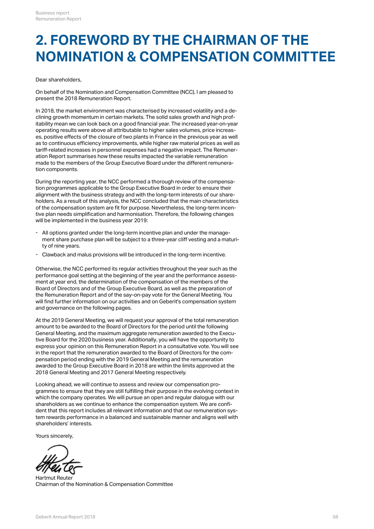### **2. FOREWORD BY THE CHAIRMAN OF THE NOMINATION & COMPENSATION COMMITTEE**

#### Dear shareholders,

On behalf of the Nomination and Compensation Committee (NCC), I am pleased to present the 2018 Remuneration Report.

In 2018, the market environment was characterised by increased volatility and a declining growth momentum in certain markets. The solid sales growth and high profitability mean we can look back on a good financial year. The increased year-on-year operating results were above all attributable to higher sales volumes, price increases, positive effects of the closure of two plants in France in the previous year as well as to continuous efficiency improvements, while higher raw material prices as well as tariff-related increases in personnel expenses had a negative impact. The Remuneration Report summarises how these results impacted the variable remuneration made to the members of the Group Executive Board under the different remuneration components.

During the reporting year, the NCC performed a thorough review of the compensation programmes applicable to the Group Executive Board in order to ensure their alignment with the business strategy and with the long-term interests of our shareholders. As a result of this analysis, the NCC concluded that the main characteristics of the compensation system are fit for purpose. Nevertheless, the long-term incentive plan needs simplification and harmonisation. Therefore, the following changes will be implemented in the business year 2019:

- All options granted under the long-term incentive plan and under the management share purchase plan will be subject to a three-year cliff vesting and a maturi-- All options granted under the lo<br>ment share purchase plan will b<br>ty of nine years.
- Clawback and malus provisions will be introduced in the long-term incentive.

Otherwise, the NCC performed its regular activities throughout the year such as the performance goal setting at the beginning of the year and the performance assessment at year end, the determination of the compensation of the members of the Board of Directors and of the Group Executive Board, as well as the preparation of the Remuneration Report and of the say-on-pay vote for the General Meeting. You will find further information on our activities and on Geberit's compensation system and governance on the following pages.

At the 2019 General Meeting, we will request your approval of the total remuneration amount to be awarded to the Board of Directors for the period until the following General Meeting, and the maximum aggregate remuneration awarded to the Executive Board for the 2020 business year. Additionally, you will have the opportunity to express your opinion on this Remuneration Report in a consultative vote. You will see in the report that the remuneration awarded to the Board of Directors for the compensation period ending with the 2019 General Meeting and the remuneration awarded to the Group Executive Board in 2018 are within the limits approved at the 2018 General Meeting and 2017 General Meeting respectively.

Looking ahead, we will continue to assess and review our compensation programmes to ensure that they are still fulfilling their purpose in the evolving context in which the company operates. We will pursue an open and regular dialogue with our shareholders as we continue to enhance the compensation system. We are confident that this report includes all relevant information and that our remuneration system rewards performance in a balanced and sustainable manner and aligns well with shareholders' interests.

Yours sincerely,

Hartmut Reuter Chairman of the Nomination & Compensation Committee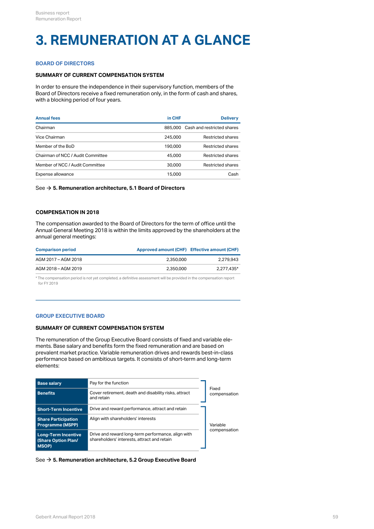### **3. REMUNERATION AT A GLANCE**

#### **BOARD OF DIRECTORS**

#### **SUMMARY OF CURRENT COMPENSATION SYSTEM**

In order to ensure the independence in their supervisory function, members of the Board of Directors receive a fixed remuneration only, in the form of cash and shares, with a blocking period of four years.

| <b>Annual fees</b>                | in CHF  | <b>Delivery</b>                    |
|-----------------------------------|---------|------------------------------------|
| Chairman                          |         | 885,000 Cash and restricted shares |
| Vice Chairman                     | 245,000 | Restricted shares                  |
| Member of the BoD                 | 190.000 | Restricted shares                  |
| Chairman of NCC / Audit Committee | 45,000  | Restricted shares                  |
| Member of NCC / Audit Committee   | 30,000  | <b>Restricted shares</b>           |
| Expense allowance                 | 15,000  | Cash                               |
|                                   |         |                                    |

See **[5. Remuneration architecture, 5.1 Board of Directors](#page-63-0)** [\\$](#page-63-0)

#### **COMPENSATION IN 2018**

The compensation awarded to the Board of Directors for the term of office until the Annual General Meeting 2018 is within the limits approved by the shareholders at the annual general meetings:

| <b>Comparison period</b> | Approved amount (CHF) Effective amount (CHF) |            |
|--------------------------|----------------------------------------------|------------|
| AGM 2017 - AGM 2018      | 2.350.000                                    | 2.279.943  |
| AGM 2018 - AGM 2019      | 2.350.000                                    | 2.277.435* |

\* The compensation period is not yet completed, a definitive assessment will be provided in the compensation report for FY 2019

#### **GROUP EXECUTIVE BOARD**

#### **SUMMARY OF CURRENT COMPENSATION SYSTEM**

The remuneration of the Group Executive Board consists of fixed and variable elements. Base salary and benefits form the fixed remuneration and are based on prevalent market practice. Variable remuneration drives and rewards best-in-class performance based on ambitious targets. It consists of short-term and long-term elements:

| <b>Base salary</b>                                                | Pay for the function                                                                              |                       |
|-------------------------------------------------------------------|---------------------------------------------------------------------------------------------------|-----------------------|
| <b>Benefits</b>                                                   | Cover retirement, death and disability risks, attract<br>and retain                               | Fixed<br>compensation |
| <b>Short-Term Incentive</b>                                       | Drive and reward performance, attract and retain                                                  |                       |
| <b>Share Participation</b><br><b>Programme (MSPP)</b>             | Align with shareholders' interests                                                                | Variable              |
| <b>Long-Term Incentive</b><br>(Share Option Plan/<br><b>MSOP)</b> | Drive and reward long-term performance, align with<br>shareholders' interests, attract and retain | compensation          |

#### See **[5. Remuneration architecture, 5.2 Group Executive Board](#page-63-0)** [\\$](#page-63-0)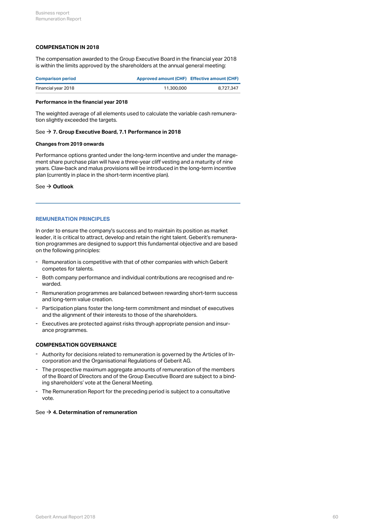#### **COMPENSATION IN 2018**

The compensation awarded to the Group Executive Board in the financial year 2018 is within the limits approved by the shareholders at the annual general meeting:

| <b>Comparison period</b> | Approved amount (CHF) Effective amount (CHF) |           |
|--------------------------|----------------------------------------------|-----------|
| Financial year 2018      | 11,300,000                                   | 8.727.347 |

#### **Performance in the financial year 2018**

The weighted average of all elements used to calculate the variable cash remuneration slightly exceeded the targets.

#### See **[7. Group Executive Board, 7.1 Performance in 2018](#page-70-0)** [\\$](#page-70-0)

#### **Changes from 2019 onwards**

Performance options granted under the long-term incentive and under the management share purchase plan will have a three-year cliff vesting and a maturity of nine years. Claw-back and malus provisions will be introduced in the long-term incentive plan (currently in place in the short-term incentive plan).

See **[Outlook](#page-66-0)** [\\$](#page-66-0)

#### **REMUNERATION PRINCIPLES**

In order to ensure the company's success and to maintain its position as market leader, it is critical to attract, develop and retain the right talent. Geberit's remuneration programmes are designed to support this fundamental objective and are based on the following principles:

- Remuneration is competitive with that of other companies with which Geberit<br>competes for talents.
- Both company performance and individual contributions are recognised and re-<br>warded.
- Remuneration programmes are balanced between rewarding short-term success<br> and long-term value creation.
- Participation plans foster the long-term commitment and mindset of executives<br>and the alignment of their interests to those of the shareholders.
- Executives are protected against risks through appropriate pension and insur-<br>ance programmes.

#### **COMPENSATION GOVERNANCE**

- Authority for decisions related to remuneration is governed by the Articles of In-corporation and the Organisational Regulations of Geberit AG. -
- The prospective maximum aggregate amounts of remuneration of the members of the Board of Directors and of the Group Executive Board are subject to a bind-- The prospective maximum aggregate amounts of remuneration<br>of the Board of Directors and of the Group Executive Board are<br>ing shareholders' vote at the General Meeting.
- The Remuneration Report for the preceding period is subject to a consultative<br>vote.

#### See **[4. Determination of remuneration](#page-60-0)** [\\$](#page-60-0)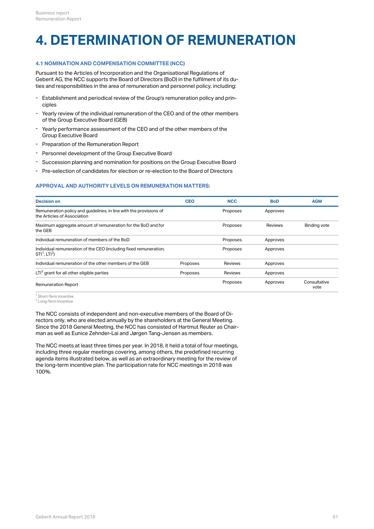### <span id="page-60-0"></span>**4. DETERMINATION OF REMUNERATION**

#### **4.1 NOMINATION AND COMPENSATION COMMITTEE (NCC)**

Pursuant to the Articles of Incorporation and the Organisational Regulations of Geberit AG, the NCC supports the Board of Directors (BoD) in the fulfilment of its duties and responsibilities in the area of remuneration and personnel policy, including:

- Establishment and periodical review of the Group's remuneration policy and principles
- Yearly review of the individual remuneration of the CEO and of the other members<br>of the Group Executive Board (GEB)
- Yearly performance assessment of the CEO and of the other members of the Group Executive Board
- Preparation of the Remuneration Report
- Personnel development of the Group Executive Board
- Succession planning and nomination for positions on the Group Executive Board
- Pre-selection of candidates for election or re-election to the Board of Directors

#### **APPROVAL AND AUTHORITY LEVELS ON REMUNERATION MATTERS:**

| <b>Decision on</b>                                                                                | <b>CEO</b> | <b>NCC</b> | <b>BoD</b> | <b>AGM</b>           |
|---------------------------------------------------------------------------------------------------|------------|------------|------------|----------------------|
| Remuneration policy and quidelines, in line with the provisions of<br>the Articles of Association |            | Proposes   | Approves   |                      |
| Maximum aggregate amount of remuneration for the BoD and for<br>the GEB                           |            | Proposes   | Reviews    | Binding vote         |
| Individual remuneration of members of the BoD                                                     |            | Proposes   | Approves   |                      |
| Individual remuneration of the CEO (including fixed remuneration,<br>$STI1$ . LTI <sup>2</sup> )  |            | Proposes   | Approves   |                      |
| Individual remuneration of the other members of the GEB                                           | Proposes   | Reviews    | Approves   |                      |
| $LTI2$ grant for all other eligible parties                                                       | Proposes   | Reviews    | Approves   |                      |
| <b>Remuneration Report</b>                                                                        |            | Proposes   | Approves   | Consultative<br>vote |

<sup>1</sup> Short-Term Incentive

 $^2$  Long-Term Incentive  $^2$ 

The NCC consists of independent and non-executive members of the Board of Directors only, who are elected annually by the shareholders at the General Meeting. Since the 2018 General Meeting, the NCC has consisted of Hartmut Reuter as Chairman as well as Eunice Zehnder-Lai and Jørgen Tang-Jensen as members.

The NCC meets at least three times per year. In 2018, it held a total of four meetings, including three regular meetings covering, among others, the predefined recurring agenda items illustrated below, as well as an extraordinary meeting for the review of the long-term incentive plan. The participation rate for NCC meetings in 2018 was 100%.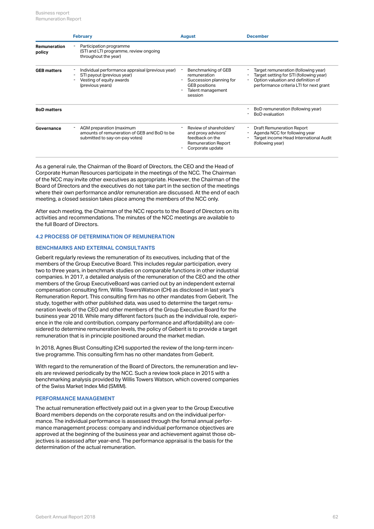|                        | <b>February</b>                                                                                                                | <b>August</b>                                                                                                          | <b>December</b>                                                                                                                                                  |
|------------------------|--------------------------------------------------------------------------------------------------------------------------------|------------------------------------------------------------------------------------------------------------------------|------------------------------------------------------------------------------------------------------------------------------------------------------------------|
| Remuneration<br>policy | Participation programme<br>(STI and LTI programme, review ongoing<br>throughout the year)                                      |                                                                                                                        |                                                                                                                                                                  |
| <b>GEB matters</b>     | Individual performance appraisal (previous year)<br>STI payout (previous year)<br>Vesting of equity awards<br>(previous years) | Benchmarking of GEB<br>remuneration<br>Succession planning for<br><b>GEB</b> positions<br>Talent management<br>session | Target remuneration (following year)<br>Target setting for STI (following year)<br>Option valuation and definition of<br>performance criteria LTI for next grant |
| <b>BoD</b> matters     |                                                                                                                                |                                                                                                                        | BoD remuneration (following year)<br><b>BoD</b> evaluation                                                                                                       |
| Governance             | AGM preparation (maximum<br>amounts of remuneration of GEB and BoD to be<br>submitted to say-on-pay votes)                     | Review of shareholders'<br>and proxy advisors'<br>feedback on the<br><b>Remuneration Report</b><br>Corporate update    | <b>Draft Remuneration Report</b><br>Agenda NCC for following year<br>Target income Head International Audit<br>(following year)                                  |

As a general rule, the Chairman of the Board of Directors, the CEO and the Head of Corporate Human Resources participate in the meetings of the NCC. The Chairman of the NCC may invite other executives as appropriate. However, the Chairman of the Board of Directors and the executives do not take part in the section of the meetings where their own performance and/or remuneration are discussed. At the end of each meeting, a closed session takes place among the members of the NCC only.

After each meeting, the Chairman of the NCC reports to the Board of Directors on its activities and recommendations. The minutes of the NCC meetings are available to the full Board of Directors.

#### **4.2 PROCESS OF DETERMINATION OF REMUNERATION**

#### **BENCHMARKS AND EXTERNAL CONSULTANTS**

Geberit regularly reviews the remuneration of its executives, including that of the members of the Group Executive Board. This includes regular participation, every two to three years, in benchmark studies on comparable functions in other industrial companies. In 2017, a detailed analysis of the remuneration of the CEO and the other members of the Group ExecutiveBoard was carried out by an independent external compensation consulting firm, Willis TowersWatson (CH) as disclosed in last year's Remuneration Report. This consulting firm has no other mandates from Geberit. The study, together with other published data, was used to determine the target remuneration levels of the CEO and other members of the Group Executive Board for the business year 2018. While many different factors (such as the individual role, experience in the role and contribution, company performance and affordability) are considered to determine remuneration levels, the policy of Geberit is to provide a target remuneration that is in principle positioned around the market median.

In 2018, Agnes Blust Consulting (CH) supported the review of the long-term incentive programme. This consulting firm has no other mandates from Geberit.

With regard to the remuneration of the Board of Directors, the remuneration and levels are reviewed periodically by the NCC. Such a review took place in 2015 with a benchmarking analysis provided by Willis Towers Watson, which covered companies of the Swiss Market Index Mid (SMIM).

#### **PERFORMANCE MANAGEMENT**

The actual remuneration effectively paid out in a given year to the Group Executive Board members depends on the corporate results and on the individual performance. The individual performance is assessed through the formal annual performance management process: company and individual performance objectives are approved at the beginning of the business year and achievement against those objectives is assessed after year-end. The performance appraisal is the basis for the determination of the actual remuneration.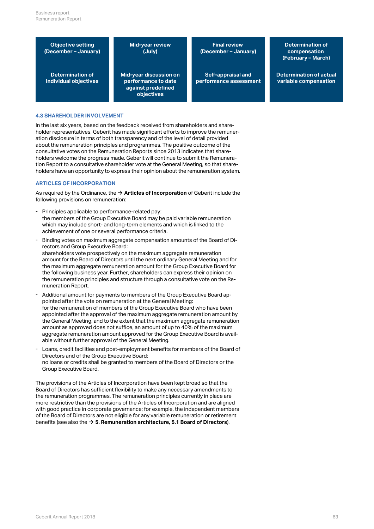**Objective setting (December – January)**

**(July)**

**individual objectives against predefined objectives**

**Mid-year review (December – January)**

**Determination of Mid-year discussion on performance to date performance assessment**

**Final review Determination of compensation (February – March)**

**Self-appraisal and Determination of actual variable compensation**

#### **4.3 SHAREHOLDER INVOLVEMENT**

In the last six years, based on the feedback received from shareholders and shareholder representatives, Geberit has made significant efforts to improve the remuneration disclosure in terms of both transparency and of the level of detail provided about the remuneration principles and programmes. The positive outcome of the consultative votes on the Remuneration Reports since 2013 indicates that shareholders welcome the progress made. Geberit will continue to submit the Remuneration Report to a consultative shareholder vote at the General Meeting, so that shareholders have an opportunity to express their opinion about the remuneration system.

#### **ARTICLES OF INCORPORATION**

As required by the Ordinance, the  $\rightarrow$  **Articles of Incorporation** of Geberit include the following provisions on remuneration:

- Principles applicable to performance-related pay: the members of the Group Executive Board may be paid variable remuneration which may include short- and long-term elements and which is linked to the - Principles applicable to performance-related pay:<br>the members of the Group Executive Board may be paid variable ren<br>which may include short- and long-term elements and which is linke<br>achievement of one or several perform
- Binding votes on maximum aggregate compensation amounts of the Board of Directors and Group Executive Board: shareholders vote prospectively on the maximum aggregate remuneration amount for the Board of Directors until the next ordinary General Meeting and for the maximum aggregate remuneration amount for the Group Executive Board for the following business year. Further, shareholders can express their opinion on the remuneration principles and structure through a consultative vote on the Remuneration Report.
- Additional amount for payments to members of the Group Executive Board appointed after the vote on remuneration at the General Meeting: for the remuneration of members of the Group Executive Board who have been appointed after the approval of the maximum aggregate remuneration amount by the General Meeting, and to the extent that the maximum aggregate remuneration amount as approved does not suffice, an amount of up to 40% of the maximum aggregate remuneration amount approved for the Group Executive Board is available without further approval of the General Meeting.
- Loans, credit facilities and post-employment benefits for members of the Board of Directors and of the Group Executive Board: no loans or credits shall be granted to members of the Board of Directors or the - Loans, credit facilities and post-employ<br>Directors and of the Group Executive Bo<br>no loans or credits shall be granted to n<br>Group Executive Board.

The provisions of the Articles of Incorporation have been kept broad so that the Board of Directors has sufficient flexibility to make any necessary amendments to the remuneration programmes. The remuneration principles currently in place are more restrictive than the provisions of the Articles of Incorporation and are aligned with good practice in corporate governance; for example, the independent members of the Board of Directors are not eligible for any variable remuneration or retirement benefits (see also the **[5. Remuneration architecture, 5.1 Board of Directors](#page-63-0)**). [\\$](#page-63-0)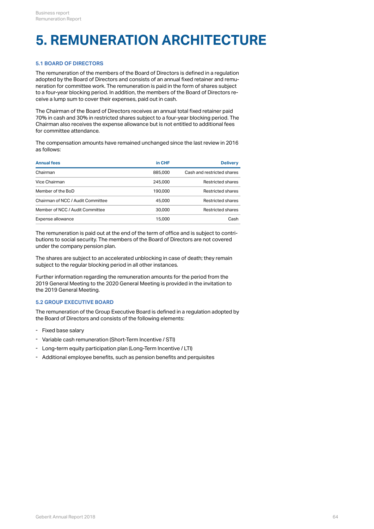### <span id="page-63-0"></span>**5. REMUNERATION ARCHITECTURE**

#### **5.1 BOARD OF DIRECTORS**

The remuneration of the members of the Board of Directors is defined in a regulation adopted by the Board of Directors and consists of an annual fixed retainer and remuneration for committee work. The remuneration is paid in the form of shares subject to a four-year blocking period. In addition, the members of the Board of Directors receive a lump sum to cover their expenses, paid out in cash.

The Chairman of the Board of Directors receives an annual total fixed retainer paid 70% in cash and 30% in restricted shares subject to a four-year blocking period. The Chairman also receives the expense allowance but is not entitled to additional fees for committee attendance.

The compensation amounts have remained unchanged since the last review in 2016 as follows:

| <b>Annual fees</b>                | in CHF  | <b>Delivery</b>            |
|-----------------------------------|---------|----------------------------|
| Chairman                          | 885,000 | Cash and restricted shares |
| Vice Chairman                     | 245,000 | <b>Restricted shares</b>   |
| Member of the BoD                 | 190,000 | <b>Restricted shares</b>   |
| Chairman of NCC / Audit Committee | 45,000  | <b>Restricted shares</b>   |
| Member of NCC / Audit Committee   | 30,000  | Restricted shares          |
| Expense allowance                 | 15,000  | Cash                       |
|                                   |         |                            |

The remuneration is paid out at the end of the term of office and is subject to contributions to social security. The members of the Board of Directors are not covered under the company pension plan.

The shares are subject to an accelerated unblocking in case of death; they remain subject to the regular blocking period in all other instances.

Further information regarding the remuneration amounts for the period from the 2019 General Meeting to the 2020 General Meeting is provided in the invitation to the 2019 General Meeting.

#### **5.2 GROUP EXECUTIVE BOARD**

The remuneration of the Group Executive Board is defined in a regulation adopted by the Board of Directors and consists of the following elements:

- Fixed base salary
- Variable cash remuneration (Short-Term Incentive / STI)
- Long-term equity participation plan (Long-Term Incentive / LTI)
- Additional employee benefits, such as pension benefits and perquisites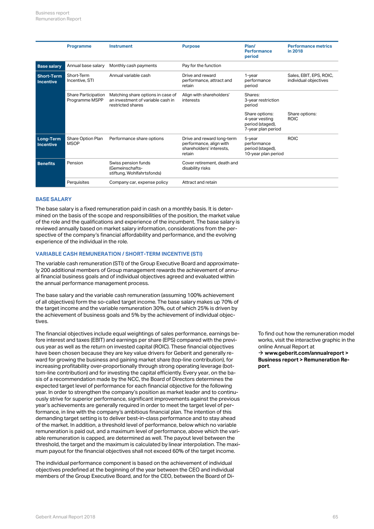|                                | Programme                             | <b>Instrument</b>                                                                           | <b>Purpose</b>                                                                              | Plan/<br><b>Performance</b><br>period                                      | <b>Performance metrics</b><br>in 2018            |
|--------------------------------|---------------------------------------|---------------------------------------------------------------------------------------------|---------------------------------------------------------------------------------------------|----------------------------------------------------------------------------|--------------------------------------------------|
| <b>Base salary</b>             | Annual base salary                    | Monthly cash payments                                                                       | Pay for the function                                                                        |                                                                            |                                                  |
| Short-Term<br><b>Incentive</b> | Short-Term<br>Incentive, STI          | Annual variable cash                                                                        | Drive and reward<br>performance, attract and<br>retain                                      | 1-year<br>performance<br>period                                            | Sales, EBIT, EPS, ROIC,<br>individual objectives |
|                                | Share Participation<br>Programme MSPP | Matching share options in case of<br>an investment of variable cash in<br>restricted shares | Align with shareholders'<br>interests                                                       | Shares:<br>3-year restriction<br>period                                    |                                                  |
|                                |                                       |                                                                                             |                                                                                             | Share options:<br>4-year vesting<br>period (staged),<br>7-year plan period | Share options:<br><b>ROIC</b>                    |
| Long-Term<br><b>Incentive</b>  | Share Option Plan<br><b>MSOP</b>      | Performance share options                                                                   | Drive and reward long-term<br>performance, align with<br>shareholders' interests.<br>retain | 5-year<br>performance<br>period (staged),<br>10-year plan period           | <b>ROIC</b>                                      |
| <b>Benefits</b>                | Pension                               | Swiss pension funds<br>(Gemeinschafts-<br>stiftung, Wohlfahrtsfonds)                        | Cover retirement, death and<br>disability risks                                             |                                                                            |                                                  |
|                                | Perquisites                           | Company car, expense policy                                                                 | Attract and retain                                                                          |                                                                            |                                                  |

#### **BASE SALARY**

The base salary is a fixed remuneration paid in cash on a monthly basis. It is determined on the basis of the scope and responsibilities of the position, the market value of the role and the qualifications and experience of the incumbent. The base salary is reviewed annually based on market salary information, considerations from the perspective of the company's financial affordability and performance, and the evolving experience of the individual in the role.

#### **VARIABLE CASH REMUNERATION / SHORT-TERM INCENTIVE (STI)**

The variable cash remuneration (STI) of the Group Executive Board and approximately 200 additional members of Group management rewards the achievement of annual financial business goals and of individual objectives agreed and evaluated within the annual performance management process.

The base salary and the variable cash remuneration (assuming 100% achievement of all objectives) form the so-called target income. The base salary makes up 70% of the target income and the variable remuneration 30%, out of which 25% is driven by the achievement of business goals and 5% by the achievement of individual objectives.

The financial objectives include equal weightings of sales performance, earnings before interest and taxes (EBIT) and earnings per share (EPS) compared with the previous year as well as the return on invested capital (ROIC). These financial objectives have been chosen because they are key value drivers for Geberit and generally reward for growing the business and gaining market share (top-line contribution), for increasing profitability over-proportionally through strong operating leverage (bottom-line contribution) and for investing the capital efficiently. Every year, on the basis of a recommendation made by the NCC, the Board of Directors determines the expected target level of performance for each financial objective for the following year. In order to strengthen the company's position as market leader and to continuously strive for superior performance, significant improvements against the previous year's achievements are generally required in order to meet the target level of performance, in line with the company's ambitious financial plan. The intention of this demanding target setting is to deliver best-in-class performance and to stay ahead of the market. In addition, a threshold level of performance, below which no variable remuneration is paid out, and a maximum level of performance, above which the variable remuneration is capped, are determined as well. The payout level between the threshold, the target and the maximum is calculated by linear interpolation. The maximum payout for the financial objectives shall not exceed 60% of the target income.

The individual performance component is based on the achievement of individual objectives predefined at the beginning of the year between the CEO and individual members of the Group Executive Board, and for the CEO, between the Board of DiTo find out how the remuneration model works, visit the interactive graphic in the online Annual Report at **[www.geberit.com/annualreport >](http://geschaeftsbericht.geberit.com/reports/geberit/annual/2018/gb/English/1070/home.html) [Business report > Remuneration Re](http://geschaeftsbericht.geberit.com/reports/geberit/annual/2018/gb/English/1070/home.html)**→ www.geberit.com<br>Business re[port](http://geschaeftsbericht.geberit.com/reports/geberit/annual/2018/gb/English/1070/home.html) > R**e**<br>port.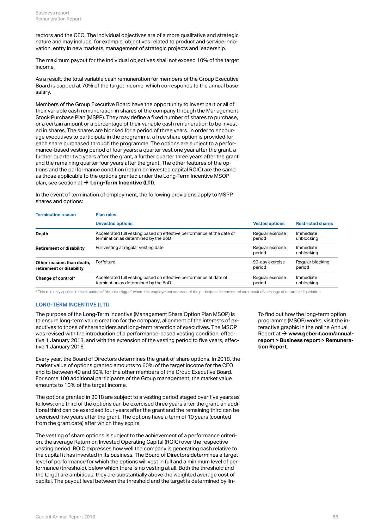rectors and the CEO. The individual objectives are of a more qualitative and strategic nature and may include, for example, objectives related to product and service innovation, entry in new markets, management of strategic projects and leadership.

The maximum payout for the individual objectives shall not exceed 10% of the target income.

As a result, the total variable cash remuneration for members of the Group Executive Board is capped at 70% of the target income, which corresponds to the annual base salary.

Members of the Group Executive Board have the opportunity to invest part or all of their variable cash remuneration in shares of the company through the Management Stock Purchase Plan (MSPP). They may define a fixed number of shares to purchase, or a certain amount or a percentage of their variable cash remuneration to be invested in shares. The shares are blocked for a period of three years. In order to encourage executives to participate in the programme, a free share option is provided for each share purchased through the programme. The options are subject to a performance-based vesting period of four years: a quarter vest one year after the grant, a further quarter two years after the grant, a further quarter three years after the grant, and the remaining quarter four years after the grant. The other features of the options and the performance condition (return on invested capital ROIC) are the same as those applicable to the options granted under the Long-Term Incentive MSOP plan, see section at  $\rightarrow$  <code>[Long-Term Incentive \(LTI\)](#page-65-0)</code>.

In the event of termination of employment, the following provisions apply to MSPP shares and options:

| <b>Termination reason</b>       | <b>Plan rules</b>                                                      |                            |                          |  |  |  |  |  |
|---------------------------------|------------------------------------------------------------------------|----------------------------|--------------------------|--|--|--|--|--|
|                                 | <b>Unvested options</b>                                                | <b>Vested options</b>      | <b>Restricted shares</b> |  |  |  |  |  |
| Death                           | Accelerated full vesting based on effective performance at the date of | Regular exercise           | Immediate                |  |  |  |  |  |
|                                 | termination as determined by the BoD                                   | period                     | unblocking               |  |  |  |  |  |
| <b>Retirement or disability</b> | Full vesting at regular vesting date                                   | Regular exercise<br>period | Immediate<br>unblocking  |  |  |  |  |  |
| Other reasons than death.       | Forfeiture                                                             | 90-day exercise            | Regular blocking         |  |  |  |  |  |
| retirement or disability        |                                                                        | period                     | period                   |  |  |  |  |  |
| Change of control*              | Accelerated full vesting based on effective performance at date of     | Regular exercise           | Immediate                |  |  |  |  |  |
|                                 | termination as determined by the BoD                                   | period                     | unblocking               |  |  |  |  |  |

\* This rule only applies in the situation of "double-trigger" where the employment contract of the participant is terminated as a result of a change of control or liquidation.

#### <span id="page-65-0"></span>**LONG-TERM INCENTIVE (LTI)**

The purpose of the Long-Term Incentive (Management Share Option Plan MSOP) is to ensure long-term value creation for the company, alignment of the interests of executives to those of shareholders and long-term retention of executives. The MSOP was revised with the introduction of a performance-based vesting condition, effective 1 January 2013, and with the extension of the vesting period to five years, effective 1 January 2016.

Every year, the Board of Directors determines the grant of share options. In 2018, the market value of options granted amounts to 60% of the target income for the CEO and to between 40 and 50% for the other members of the Group Executive Board. For some 100 additional participants of the Group management, the market value amounts to 10% of the target income.

The options granted in 2018 are subject to a vesting period staged over five years as follows: one third of the options can be exercised three years after the grant, an additional third can be exercised four years after the grant and the remaining third can be exercised five years after the grant. The options have a term of 10 years (counted from the grant date) after which they expire.

The vesting of share options is subject to the achievement of a performance criterion, the average Return on Invested Operating Capital (ROIC) over the respective vesting period. ROIC expresses how well the company is generating cash relative to the capital it has invested in its business. The Board of Directors determines a target level of performance for which the options will vest in full and a minimum level of performance (threshold), below which there is no vesting at all. Both the threshold and the target are ambitious: they are substantially above the weighted average cost of capital. The payout level between the threshold and the target is determined by linTo find out how the long-term option programme (MSOP) works, visit the interactive graphic in the online Annual Report at  $\rightarrow$  [www.geberit.com/annual](http://geschaeftsbericht.geberit.com/reports/geberit/annual/2018/gb/English/1070/home.html)**[report > Business report > Remunera](http://geschaeftsbericht.geberit.com/reports/geberit/annual/2018/gb/English/1070/home.html)[tion Report](http://geschaeftsbericht.geberit.com/reports/geberit/annual/2018/gb/English/1070/home.html)**.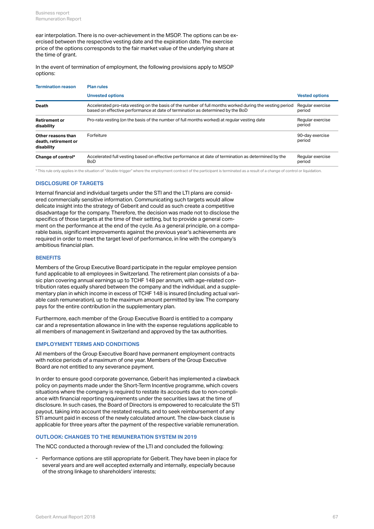ear interpolation. There is no over-achievement in the MSOP. The options can be exercised between the respective vesting date and the expiration date. The exercise price of the options corresponds to the fair market value of the underlying share at the time of grant.

In the event of termination of employment, the following provisions apply to MSOP options:

| <b>Termination reason</b>                                | <b>Plan rules</b>                                                                                                                                                                         |                            |  |  |  |  |  |  |
|----------------------------------------------------------|-------------------------------------------------------------------------------------------------------------------------------------------------------------------------------------------|----------------------------|--|--|--|--|--|--|
|                                                          | <b>Unvested options</b>                                                                                                                                                                   | <b>Vested options</b>      |  |  |  |  |  |  |
| Death                                                    | Accelerated pro-rata vesting on the basis of the number of full months worked during the vesting period<br>based on effective performance at date of termination as determined by the BoD | Regular exercise<br>period |  |  |  |  |  |  |
| <b>Retirement or</b><br>disability                       | Pro-rata vesting (on the basis of the number of full months worked) at regular vesting date                                                                                               | Regular exercise<br>period |  |  |  |  |  |  |
| Other reasons than<br>death, retirement or<br>disability | Forfeiture                                                                                                                                                                                | 90-day exercise<br>period  |  |  |  |  |  |  |
| Change of control*                                       | Accelerated full vesting based on effective performance at date of termination as determined by the<br>BoD                                                                                | Regular exercise<br>period |  |  |  |  |  |  |

\* This rule only applies in the situation of "double-trigger" where the employment contract of the participant is terminated as a result of a change of control or liquidation.

#### **DISCLOSURE OF TARGETS**

Internal financial and individual targets under the STI and the LTI plans are considered commercially sensitive information. Communicating such targets would allow delicate insight into the strategy of Geberit and could as such create a competitive disadvantage for the company. Therefore, the decision was made not to disclose the specifics of those targets at the time of their setting, but to provide a general comment on the performance at the end of the cycle. As a general principle, on a comparable basis, significant improvements against the previous year's achievements are required in order to meet the target level of performance, in line with the company's ambitious financial plan.

#### **BENEFITS**

Members of the Group Executive Board participate in the regular employee pension fund applicable to all employees in Switzerland. The retirement plan consists of a basic plan covering annual earnings up to TCHF 148 per annum, with age-related contribution rates equally shared between the company and the individual, and a supplementary plan in which income in excess of TCHF 148 is insured (including actual variable cash remuneration), up to the maximum amount permitted by law. The company pays for the entire contribution in the supplementary plan.

Furthermore, each member of the Group Executive Board is entitled to a company car and a representation allowance in line with the expense regulations applicable to all members of management in Switzerland and approved by the tax authorities.

#### **EMPLOYMENT TERMS AND CONDITIONS**

All members of the Group Executive Board have permanent employment contracts with notice periods of a maximum of one year. Members of the Group Executive Board are not entitled to any severance payment.

In order to ensure good corporate governance, Geberit has implemented a clawback policy on payments made under the Short-Term Incentive programme, which covers situations where the company is required to restate its accounts due to non-compliance with financial reporting requirements under the securities laws at the time of disclosure. In such cases, the Board of Directors is empowered to recalculate the STI payout, taking into account the restated results, and to seek reimbursement of any STI amount paid in excess of the newly calculated amount. The claw-back clause is applicable for three years after the payment of the respective variable remuneration.

#### <span id="page-66-0"></span>**OUTLOOK: CHANGES TO THE REMUNERATION SYSTEM IN 2019**

The NCC conducted a thorough review of the LTI and concluded the following:

Performance options are still appropriate for Geberit. They have been in place for several years and are well accepted externally and internally, especially because - Performance options are still appropriate for Geberit. They have<br>several years and are well accepted externally and internally, es<br>of the strong linkage to shareholders' interests;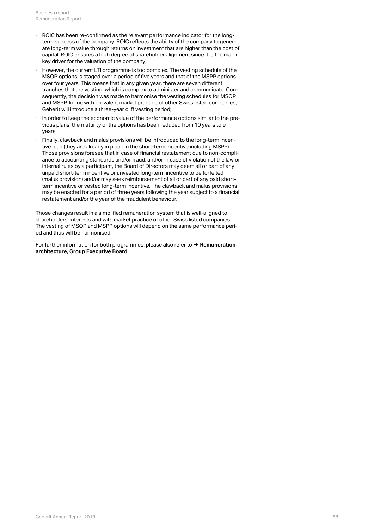- ROIC has been re-confirmed as the relevant performance indicator for the longterm success of the company: ROIC reflects the ability of the company to generate long-term value through returns on investment that are higher than the cost of capital. ROIC ensures a high degree of shareholder alignment since it is the major - ROIC has been re-confirmed as the relevant performance in<br>term success of the company: ROIC reflects the ability of th<br>ate long-term value through returns on investment that are<br>capital. ROIC ensures a high degree of sha
- However, the current LTI programme is too complex. The vesting schedule of the MSOP options is staged over a period of five years and that of the MSPP options over four years. This means that in any given year, there are seven different tranches that are vesting, which is complex to administer and communicate. Consequently, the decision was made to harmonise the vesting schedules for MSOP and MSPP. In line with prevalent market practice of other Swiss listed companies, Geberit will introduce a three-year cliff vesting period;
- In order to keep the economic value of the performance options similar to the previous plans, the maturity of the options has been reduced from 10 years to 9 - In order to keep the econd<br>vious plans, the maturity o<br>years;
- Finally, clawback and malus provisions will be introduced to the long-term incentive plan (they are already in place in the short-term incentive including MSPP). Those provisions foresee that in case of financial restatement due to non-compliance to accounting standards and/or fraud, and/or in case of violation of the law or internal rules by a participant, the Board of Directors may deem all or part of any unpaid short-term incentive or unvested long-term incentive to be forfeited (malus provision) and/or may seek reimbursement of all or part of any paid shortterm incentive or vested long-term incentive. The clawback and malus provisions may be enacted for a period of three years following the year subject to a financial restatement and/or the year of the fraudulent behaviour.

Those changes result in a simplified remuneration system that is well-aligned to shareholders' interests and with market practice of other Swiss listed companies. The vesting of MSOP and MSPP options will depend on the same performance period and thus will be harmonised.

For further information for both programmes, please also refer to  $\rightarrow$  **[Remuneration](#page-63-0) [architecture, Group Executive Board](#page-63-0)**.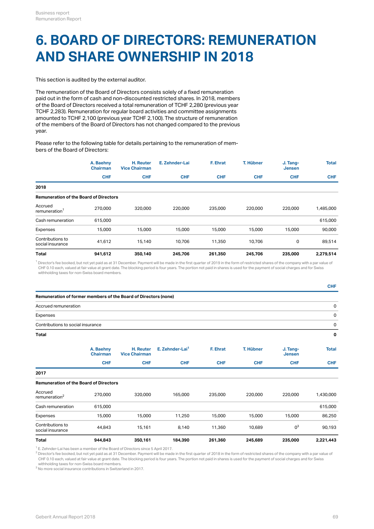### **6. BOARD OF DIRECTORS: REMUNERATION AND SHARE OWNERSHIP IN 2018**

This section is audited by the external auditor.

The remuneration of the Board of Directors consists solely of a fixed remuneration paid out in the form of cash and non-discounted restricted shares. In 2018, members of the Board of Directors received a total remuneration of TCHF 2,280 (previous year TCHF 2,283). Remuneration for regular board activities and committee assignments amounted to TCHF 2,100 (previous year TCHF 2,100). The structure of remuneration of the members of the Board of Directors has not changed compared to the previous year.

Please refer to the following table for details pertaining to the remuneration of members of the Board of Directors:

|                                               | A. Baehny<br><b>Chairman</b> | H. Reuter<br><b>Vice Chairman</b> | E. Zehnder-Lai | F. Ehrat   | T. Hübner  | J. Tang-<br><b>Jensen</b> | <b>Total</b> |
|-----------------------------------------------|------------------------------|-----------------------------------|----------------|------------|------------|---------------------------|--------------|
|                                               | <b>CHF</b>                   | <b>CHF</b>                        | <b>CHF</b>     | <b>CHF</b> | <b>CHF</b> | <b>CHF</b>                | <b>CHF</b>   |
| 2018                                          |                              |                                   |                |            |            |                           |              |
| <b>Remuneration of the Board of Directors</b> |                              |                                   |                |            |            |                           |              |
| Accrued<br>remuneration <sup>1</sup>          | 270,000                      | 320,000                           | 220,000        | 235,000    | 220,000    | 220,000                   | 1,485,000    |
| Cash remuneration                             | 615,000                      |                                   |                |            |            |                           | 615,000      |
| Expenses                                      | 15,000                       | 15,000                            | 15,000         | 15,000     | 15,000     | 15,000                    | 90,000       |
| Contributions to<br>social insurance          | 41,612                       | 15,140                            | 10,706         | 11,350     | 10,706     | 0                         | 89,514       |
| Total                                         | 941,612                      | 350,140                           | 245,706        | 261,350    | 245,706    | 235,000                   | 2,279,514    |

 $^{\rm 1}$  Director's fee booked, but not yet paid as at 31 December. Payment will be made in the first quarter of 2019 in the form of restricted shares of the company with a par value of CHF 0.10 each, valued at fair value at grant date. The blocking period is four years. The portion not paid in shares is used for the payment of social charges and for Swiss withholding taxes for non-Swiss board members.

| <b>Total</b>                                                    | 944,843                      | 350,161                           | 184,390                     | 261,360    | 245,689    | 235,000                   | 2,221,443    |
|-----------------------------------------------------------------|------------------------------|-----------------------------------|-----------------------------|------------|------------|---------------------------|--------------|
| Contributions to<br>social insurance                            | 44,843                       | 15,161                            | 8,140                       | 11,360     | 10,689     | $0^3$                     | 90,193       |
| Expenses                                                        | 15,000                       | 15,000                            | 11,250                      | 15,000     | 15,000     | 15,000                    | 86,250       |
| Cash remuneration                                               | 615,000                      |                                   |                             |            |            |                           | 615,000      |
| Accrued<br>remuneration <sup>2</sup>                            | 270,000                      | 320,000                           | 165,000                     | 235,000    | 220,000    | 220,000                   | 1,430,000    |
| <b>Remuneration of the Board of Directors</b>                   |                              |                                   |                             |            |            |                           |              |
| 2017                                                            |                              |                                   |                             |            |            |                           |              |
|                                                                 | <b>CHF</b>                   | <b>CHF</b>                        | <b>CHF</b>                  | <b>CHF</b> | <b>CHF</b> | <b>CHF</b>                | <b>CHF</b>   |
|                                                                 | A. Baehny<br><b>Chairman</b> | H. Reuter<br><b>Vice Chairman</b> | E. Zehnder-Lai <sup>1</sup> | F. Ehrat   | T. Hübner  | J. Tang-<br><b>Jensen</b> | <b>Total</b> |
| Total                                                           |                              |                                   |                             |            |            |                           | 0            |
| Contributions to social insurance                               |                              |                                   |                             |            |            |                           | 0            |
| Expenses                                                        |                              |                                   |                             |            |            |                           | 0            |
| Accrued remuneration                                            |                              |                                   |                             |            |            |                           | 0            |
| Remuneration of former members of the Board of Directors (none) |                              |                                   |                             |            |            |                           |              |
|                                                                 |                              |                                   |                             |            |            |                           | <b>CHF</b>   |

 $^{\text{\tiny{\textsf{1}}}}$  E. Zehnder-Lai has been a member of the Board of Directors since 5 April 2017.

 $^2$  Director's fee booked, but not yet paid as at 31 December. Payment will be made in the first quarter of 2018 in the form of restricted shares of the company with a par value of CHF 0.10 each, valued at fair value at grant date. The blocking period is four years. The portion not paid in shares is used for the payment of social charges and for Swiss withholding taxes for non-Swiss board members.

 $^3$  No more social insurance contributions in Switzerland in 2017.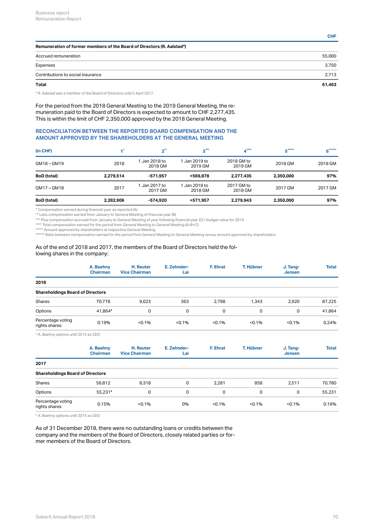| Remuneration of former members of the Board of Directors (R. Aalstad*) |        |  |  |  |  |
|------------------------------------------------------------------------|--------|--|--|--|--|
| Accrued remuneration                                                   | 55,000 |  |  |  |  |
| Expenses                                                               | 3,750  |  |  |  |  |
| Contributions to social insurance                                      | 2,713  |  |  |  |  |
| <b>Total</b>                                                           | 61,463 |  |  |  |  |

\* R. Aalstad was a member of the Board of Directors until 5 April 2017.

For the period from the 2018 General Meeting to the 2019 General Meeting, the remuneration paid to the Board of Directors is expected to amount to CHF 2,277,435. This is within the limit of CHF 2,350,000 approved by the 2018 General Meeting.

### **RECONCILIATION BETWEEN THE REPORTED BOARD COMPENSATION AND THE AMOUNT APPROVED BY THE SHAREHOLDERS AT THE GENERAL MEETING**

| (in CHF)           |           | $n^{**}$                 | $3***$                   | ****                  | $*****$   | $*****$ |
|--------------------|-----------|--------------------------|--------------------------|-----------------------|-----------|---------|
| GM18-GM19          | 2018      | l Jan 2018 to<br>2018 GM | I Jan 2019 to<br>2019 GM | 2018 GM to<br>2019 GM | 2018 GM   | 2018 GM |
| <b>BoD</b> (total) | 2.279.514 | $-571.957$               | +569,878                 | 2,277,435             | 2,350,000 | 97%     |
| GM17-GM18          | 2017      | l Jan 2017 to<br>2017 GM | 1 Jan 2018 to<br>2018 GM | 2017 GM to<br>2018 GM | 2017 GM   | 2017 GM |
| <b>BoD</b> (total) | 2,282,906 | -574,920                 | +571,957                 | 2,279,943             | 2,350,000 | 97%     |

\* Compensation earned during financial year as reported (A)

\*\* Less compensation earned from January to General Meeting of financial year (B)

\*\*\* Plus compensation accrued from January to General Meeting of year following financial year (C) / budget value for 2019

\*\*\*\* Total compensation earned for the period from General Meeting to General Meeting (A-B+C)

\*\*\*\*\* Amount approved by shareholders at respective General Meeting

\*\*\*\*\*\* Ratio between compensation earned for the period from General Meeting to General Meeting versus amount approved by shareholders

#### As of the end of 2018 and 2017, the members of the Board of Directors held the following shares in the company:

|                                         | A. Baehny<br><b>Chairman</b> | H. Reuter<br><b>Vice Chairman</b> | E. Zehnder-<br>Lai | F. Ehrat    | T. Hübner | J. Tang-<br><b>Jensen</b> | <b>Total</b> |
|-----------------------------------------|------------------------------|-----------------------------------|--------------------|-------------|-----------|---------------------------|--------------|
| 2018                                    |                              |                                   |                    |             |           |                           |              |
| <b>Shareholdings Board of Directors</b> |                              |                                   |                    |             |           |                           |              |
| Shares                                  | 70,778                       | 9,023                             | 363                | 2,798       | 1,343     | 2,920                     | 87,225       |
| Options                                 | 41.864*                      | 0                                 | 0                  | $\mathbf 0$ | 0         | 0                         | 41,864       |
| Percentage voting<br>rights shares      | 0.19%                        | < 0.1%                            | < 0.1%             | $< 0.1\%$   | < 0.1%    | < 0.1%                    | 0.24%        |
|                                         |                              |                                   |                    |             |           |                           |              |

\* A. Baehny options until 2014 as CEO

|                                         | A. Baehny<br><b>Chairman</b> | H. Reuter<br><b>Vice Chairman</b> | E. Zehnder-<br>Lai | F. Ehrat  | T. Hübner | J. Tang-<br><b>Jensen</b> | <b>Total</b> |
|-----------------------------------------|------------------------------|-----------------------------------|--------------------|-----------|-----------|---------------------------|--------------|
| 2017                                    |                              |                                   |                    |           |           |                           |              |
| <b>Shareholdings Board of Directors</b> |                              |                                   |                    |           |           |                           |              |
| Shares                                  | 56,812                       | 8,318                             | 0                  | 2,281     | 858       | 2,511                     | 70,780       |
| Options                                 | 55,231*                      | 0                                 | 0                  | 0         | 0         | 0                         | 55,231       |
| Percentage voting<br>rights shares      | 0.15%                        | < 0.1%                            | 0%                 | $< 0.1\%$ | < 0.1%    | < 0.1%                    | 0.19%        |

\* A. Baehny options until 2014 as CEO

As of 31 December 2018, there were no outstanding loans or credits between the company and the members of the Board of Directors, closely related parties or former members of the Board of Directors.

**CHF**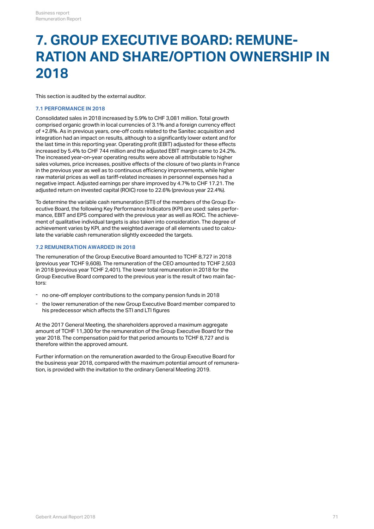### <span id="page-70-0"></span>**7. GROUP EXECUTIVE BOARD: REMUNE-RATION AND SHARE/OPTION OWNERSHIP IN 2018**

This section is audited by the external auditor.

#### **7.1 PERFORMANCE IN 2018**

Consolidated sales in 2018 increased by 5.9% to CHF 3,081 million. Total growth comprised organic growth in local currencies of 3.1% and a foreign currency effect of +2.8%. As in previous years, one-off costs related to the Sanitec acquisition and integration had an impact on results, although to a significantly lower extent and for the last time in this reporting year. Operating profit (EBIT) adjusted for these effects increased by 5.4% to CHF 744 million and the adjusted EBIT margin came to 24.2%. The increased year-on-year operating results were above all attributable to higher sales volumes, price increases, positive effects of the closure of two plants in France in the previous year as well as to continuous efficiency improvements, while higher raw material prices as well as tariff-related increases in personnel expenses had a negative impact. Adjusted earnings per share improved by 4.7% to CHF 17.21. The adjusted return on invested capital (ROIC) rose to 22.6% (previous year 22.4%).

To determine the variable cash remuneration (STI) of the members of the Group Executive Board, the following Key Performance Indicators (KPI) are used: sales performance, EBIT and EPS compared with the previous year as well as ROIC. The achievement of qualitative individual targets is also taken into consideration. The degree of achievement varies by KPI, and the weighted average of all elements used to calculate the variable cash remuneration slightly exceeded the targets.

#### **7.2 REMUNERATION AWARDED IN 2018**

The remuneration of the Group Executive Board amounted to TCHF 8,727 in 2018 (previous year TCHF 9,608). The remuneration of the CEO amounted to TCHF 2,503 in 2018 (previous year TCHF 2,401). The lower total remuneration in 2018 for the Group Executive Board compared to the previous year is the result of two main factors:

- no one-off employer contributions to the company pension funds in 2018
- the lower remuneration of the new Group Executive Board member compared to his predecessor which affects the STI and LTI figures -

At the 2017 General Meeting, the shareholders approved a maximum aggregate amount of TCHF 11,300 for the remuneration of the Group Executive Board for the year 2018. The compensation paid for that period amounts to TCHF 8,727 and is therefore within the approved amount.

Further information on the remuneration awarded to the Group Executive Board for the business year 2018, compared with the maximum potential amount of remuneration, is provided with the invitation to the ordinary General Meeting 2019.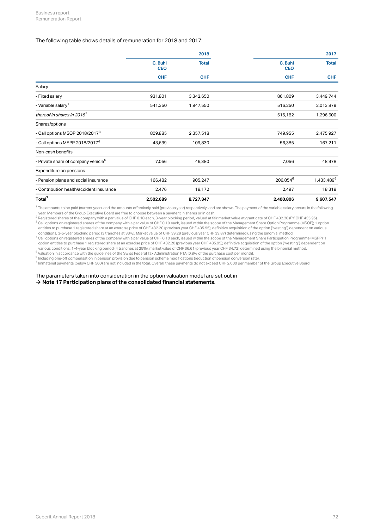#### The following table shows details of remuneration for 2018 and 2017:

|                                                 |                       | 2018         |                       |                        |  |
|-------------------------------------------------|-----------------------|--------------|-----------------------|------------------------|--|
|                                                 | C. Buhl<br><b>CEO</b> | <b>Total</b> | C. Buhl<br><b>CEO</b> | <b>Total</b>           |  |
|                                                 | <b>CHF</b>            | <b>CHF</b>   | <b>CHF</b>            | <b>CHF</b>             |  |
| Salary                                          |                       |              |                       |                        |  |
| - Fixed salary                                  | 931,801               | 3,342,650    | 861,809               | 3,449,744              |  |
| - Variable salary <sup>1</sup>                  | 541,350               | 1,947,550    | 516,250               | 2,013,879              |  |
| thereof in shares in 2018 <sup>2</sup>          |                       |              | 515,182               | 1,296,600              |  |
| Shares/options                                  |                       |              |                       |                        |  |
| - Call options MSOP 2018/2017 <sup>3</sup>      | 809,885               | 2,357,518    | 749,955               | 2,475,927              |  |
| - Call options MSPP 2018/2017 <sup>4</sup>      | 43,639                | 109,830      | 56,385                | 167,211                |  |
| Non-cash benefits                               |                       |              |                       |                        |  |
| - Private share of company vehicle <sup>5</sup> | 7,056                 | 46,380       | 7,056                 | 48,978                 |  |
| Expenditure on pensions                         |                       |              |                       |                        |  |
| - Pension plans and social insurance            | 166,482               | 905,247      | 206,854 <sup>6</sup>  | 1,433,489 <sup>6</sup> |  |
| - Contribution health/accident insurance        | 2,476                 | 18,172       | 2,497                 | 18,319                 |  |
| Total <sup>7</sup>                              | 2,502,689             | 8,727,347    | 2,400,806             | 9,607,547              |  |

 $^{\rm 1}$  The amounts to be paid (current year), and the amounts effectively paid (previous year) respectively, and are shown. The payment of the variable salary occurs in the following year. Members of the Group Executive Board are free to choose between a payment in shares or in cash.

 $^2$  Registered shares of the company with a par value of CHF 0.10 each, 3-year blocking period, valued at fair market value at grant date of CHF 432.20 (PY CHF 435.95). Call options on registered shares of the company with a par value of CHF 0.10 each, issued within the scope of the Management Share Option Programme (MSOP); 1 option entitles to purchase 1 registered share at an exercise price of CHF 432.20 (previous year CHF 435.95); definitive acquisition of the option ("vesting") dependent on various conditions, 3-5-year blocking period (3 tranches at 33%). Market value of CHF 39.29 (previous year CHF 39.87) determined using the binomial method.  $^3$  Coll options on registered abu

 $^4$  Call options on registered shares of the company with a par value of CHF 0.10 each, issued within the scope of the Management Share Participation Programme (MSPP); 1 option entitles to purchase 1 registered share at an exercise price of CHF 432.20 (previous year CHF 435.95); definitive acquisition of the option ("vesting") dependent on various conditions, 1-4-year blocking period (4 tranches at 25%), market value of CHF 36.61 (previous year CHF 34.72) determined using the binomial method.

 $^5$  Valuation in accordance with the guidelines of the Swiss Federal Tax Administration FTA (0.8% of the purchase cost per month). <sup>6</sup> Including one-off compensation in pension provision due to pension scheme modifications (reduction of pension conversion rate).

 $^7$  Immaterial payments (below CHF 500) are not included in the total. Overall, these payments do not exceed CHF 2,000 per member of the Group Executive Board.

The parameters taken into consideration in the option valuation model are set out in  $\rightarrow$  [Note 17 Participation plans of the consolidated financial statements](http://annualreport.geberit.com/reports/geberit/annual/2018/gb/English/20405017/17_-participation-plans.html).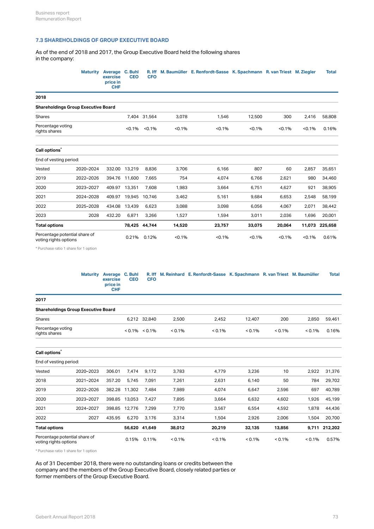### **7.3 SHAREHOLDINGS OF GROUP EXECUTIVE BOARD**

As of the end of 2018 and 2017, the Group Executive Board held the following shares in the company:

|                                                        | <b>Maturity</b> | Average C. Buhl<br>exercise<br>price in<br><b>CHF</b> | <b>CEO</b>    | <b>CFO</b>       |        | R. Iff M. Baumüller E. Renfordt-Sasse K. Spachmann R. van Triest M. Ziegler |        |        |        | <b>Total</b>   |
|--------------------------------------------------------|-----------------|-------------------------------------------------------|---------------|------------------|--------|-----------------------------------------------------------------------------|--------|--------|--------|----------------|
| 2018                                                   |                 |                                                       |               |                  |        |                                                                             |        |        |        |                |
| <b>Shareholdings Group Executive Board</b>             |                 |                                                       |               |                  |        |                                                                             |        |        |        |                |
| <b>Shares</b>                                          |                 |                                                       |               | 7,404 31,564     | 3,078  | 1,546                                                                       | 12,500 | 300    | 2,416  | 58,808         |
| Percentage voting<br>rights shares                     |                 |                                                       |               | $< 0.1\%$ < 0.1% | < 0.1% | < 0.1%                                                                      | < 0.1% | < 0.1% | < 0.1% | 0.16%          |
| Call options <sup>*</sup>                              |                 |                                                       |               |                  |        |                                                                             |        |        |        |                |
| End of vesting period:                                 |                 |                                                       |               |                  |        |                                                                             |        |        |        |                |
| Vested                                                 | 2020-2024       |                                                       | 332.00 13,219 | 8,836            | 3,706  | 6,166                                                                       | 807    | 60     | 2,857  | 35,651         |
| 2019                                                   | 2022-2026       |                                                       | 394.76 11,600 | 7,665            | 754    | 4,074                                                                       | 6,766  | 2,621  | 980    | 34,460         |
| 2020                                                   | 2023-2027       | 409.97                                                | 13,351        | 7,608            | 1,983  | 3,664                                                                       | 6,751  | 4,627  | 921    | 38,905         |
| 2021                                                   | 2024-2028       | 409.97                                                | 19,945        | 10,746           | 3,462  | 5,161                                                                       | 9,684  | 6,653  | 2,548  | 58,199         |
| 2022                                                   | 2025-2028       | 434.08                                                | 13,439        | 6,623            | 3,088  | 3,098                                                                       | 6,056  | 4,067  | 2,071  | 38,442         |
| 2023                                                   | 2028            | 432.20                                                | 6,871         | 3,266            | 1,527  | 1,594                                                                       | 3,011  | 2,036  | 1,696  | 20,001         |
| <b>Total options</b>                                   |                 |                                                       |               | 78,425 44,744    | 14,520 | 23,757                                                                      | 33,075 | 20,064 |        | 11,073 225,658 |
| Percentage potential share of<br>voting rights options |                 |                                                       |               | 0.21% 0.12%      | < 0.1% | < 0.1%                                                                      | < 0.1% | < 0.1% | < 0.1% | 0.61%          |

\* Purchase ratio 1 share for 1 option

|                                            | Maturity Average C. Buhl<br>exercise<br>price in<br><b>CHF</b> | <b>CEO</b>          | <b>CFO</b> |           | R. Iff M. Reinhard E. Renfordt-Sasse K. Spachmann R. van Triest M. Baumüller |           |           |           | <b>Total</b> |
|--------------------------------------------|----------------------------------------------------------------|---------------------|------------|-----------|------------------------------------------------------------------------------|-----------|-----------|-----------|--------------|
| 2017                                       |                                                                |                     |            |           |                                                                              |           |           |           |              |
| <b>Shareholdings Group Executive Board</b> |                                                                |                     |            |           |                                                                              |           |           |           |              |
| Shares                                     |                                                                | 6,212 32,840        |            | 2,500     | 2.452                                                                        | 12,407    | 200       | 2,850     | 59,461       |
| Percentage voting<br>rights shares         |                                                                | $< 0.1\%$ $< 0.1\%$ |            | $< 0.1\%$ | $< 0.1\%$                                                                    | $< 0.1\%$ | $< 0.1\%$ | $< 0.1\%$ | 0.16%        |

| Call options <sup>*</sup>                              |                        |        |        |               |           |           |           |           |        |               |  |
|--------------------------------------------------------|------------------------|--------|--------|---------------|-----------|-----------|-----------|-----------|--------|---------------|--|
|                                                        | End of vesting period: |        |        |               |           |           |           |           |        |               |  |
| Vested                                                 | 2020-2023              | 306.01 | 7,474  | 9,172         | 3,783     | 4,779     | 3,236     | 10        | 2,922  | 31,376        |  |
| 2018                                                   | 2021-2024              | 357.20 | 5,745  | 7,091         | 7,261     | 2,631     | 6,140     | 50        | 784    | 29,702        |  |
| 2019                                                   | 2022-2026              | 382.28 | 11,302 | 7,484         | 7,989     | 4,074     | 6,647     | 2,596     | 697    | 40,789        |  |
| 2020                                                   | 2023-2027              | 398.85 | 13,053 | 7,427         | 7,895     | 3,664     | 6,632     | 4,602     | 1,926  | 45,199        |  |
| 2021                                                   | 2024-2027              | 398.85 | 12,776 | 7,299         | 7,770     | 3,567     | 6,554     | 4,592     | 1,878  | 44,436        |  |
| 2022                                                   | 2027                   | 435.95 | 6,270  | 3,176         | 3,314     | 1,504     | 2,926     | 2,006     | 1,504  | 20,700        |  |
| <b>Total options</b>                                   |                        |        |        | 56,620 41,649 | 38,012    | 20,219    | 32,135    | 13,856    |        | 9,711 212,202 |  |
| Percentage potential share of<br>voting rights options |                        |        | 0.15%  | 0.11%         | $< 0.1\%$ | $< 0.1\%$ | $< 0.1\%$ | $< 0.1\%$ | < 0.1% | 0.57%         |  |

\* Purchase ratio 1 share for 1 option

As of 31 December 2018, there were no outstanding loans or credits between the company and the members of the Group Executive Board, closely related parties or former members of the Group Executive Board.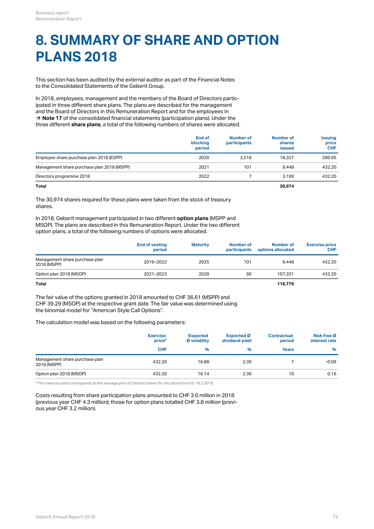# **8. SUMMARY OF SHARE AND OPTION PLANS 2018**

This section has been audited by the external auditor as part of the Financial Notes to the Consolidated Statements of the Geberit Group.

In 2018, employees, management and the members of the Board of Directors participated in three different share plans. The plans are described for the management and the Board of Directors in this Remuneration Report and for the employees in  $\rightarrow$  **[Note 17](http://annualreport.geberit.com/reports/geberit/annual/2018/gb/English/20405017/17_-participation-plans.html)** of the consolidated financial statements (participation plans). Under the three different **share plans**, a total of the following numbers of shares were allocated.

|                                            | <b>End of</b><br>blocking<br>period | Number of<br>participants | Number of<br>shares<br>issued | <b>Issuing</b><br>price<br><b>CHF</b> |
|--------------------------------------------|-------------------------------------|---------------------------|-------------------------------|---------------------------------------|
| Employee share purchase plan 2018 (ESPP)   | 2020                                | 2.518                     | 18,327                        | 280.95                                |
| Management share purchase plan 2018 (MSPP) | 2021                                | 101                       | 9.448                         | 432.20                                |
| Directors programme 2018                   | 2022                                |                           | 3.199                         | 432.20                                |
|                                            |                                     |                           |                               |                                       |

**Total 30,974**

The 30,974 shares required for these plans were taken from the stock of treasury shares.

In 2018, Geberit management participated in two different **option plans** (MSPP and MSOP). The plans are described in this Remuneration Report. Under the two different option plans, a total of the following numbers of options were allocated.

|                                               | <b>End of vesting</b><br>period | <b>Maturity</b> | Number of<br>participants | Number of<br>options allocated | <b>Exercise price</b><br><b>CHF</b> |
|-----------------------------------------------|---------------------------------|-----------------|---------------------------|--------------------------------|-------------------------------------|
| Management share purchase plan<br>2018 (MSPP) | 2019-2022                       | 2025            | 101                       | 9.448                          | 432.20                              |
| Option plan 2018 (MSOP)                       | 2021-2023                       | 2028            | 90                        | 107.331                        | 432.20                              |
| <b>Total</b>                                  |                                 |                 |                           | 116,779                        |                                     |

The fair value of the options granted in 2018 amounted to CHF 36.61 (MSPP) and CHF 39.29 (MSOP) at the respective grant date. The fair value was determined using the binomial model for "American Style Call Options".

The calculation model was based on the following parameters:

|                                               | <b>Exercise</b><br>price* | <b>Expected</b><br>Ø volatility | Expected Ø<br>dividend yield | <b>Contractual</b><br>period | Risk free Ø<br>interest rate |  |
|-----------------------------------------------|---------------------------|---------------------------------|------------------------------|------------------------------|------------------------------|--|
|                                               | <b>CHF</b>                | $\%$                            | ℀                            | <b>Years</b>                 | %                            |  |
| Management share purchase plan<br>2018 (MSPP) | 432.20                    | 16.88                           | 2.39                         |                              | $-0.09$                      |  |
| Option plan 2018 (MSOP)                       | 432.20                    | 16.14                           | 2.39                         | 10                           | 0.16                         |  |

\* The exercise price corresponds to the average price of Geberit shares for the period from 6.-19.3.2018.

Costs resulting from share participation plans amounted to CHF 3.0 million in 2018 (previous year CHF 4.3 million); those for option plans totalled CHF 3.8 million (previous year CHF 3.2 million).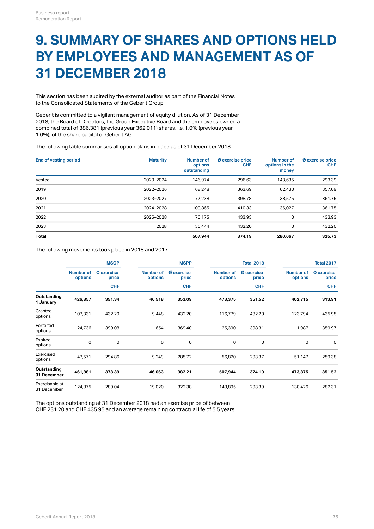### **9. SUMMARY OF SHARES AND OPTIONS HELD BY EMPLOYEES AND MANAGEMENT AS OF 31 DECEMBER 2018**

This section has been audited by the external auditor as part of the Financial Notes to the Consolidated Statements of the Geberit Group.

Geberit is committed to a vigilant management of equity dilution. As of 31 December 2018, the Board of Directors, the Group Executive Board and the employees owned a combined total of 386,381 (previous year 362,011) shares, i.e. 1.0% (previous year 1.0%), of the share capital of Geberit AG.

The following table summarises all option plans in place as of 31 December 2018:

| <b>End of vesting period</b> | <b>Maturity</b> | <b>Number of</b><br>options<br>outstanding | Ø exercise price<br><b>CHF</b> | <b>Number of</b><br>options in the<br>money | Ø exercise price<br><b>CHF</b> |
|------------------------------|-----------------|--------------------------------------------|--------------------------------|---------------------------------------------|--------------------------------|
| Vested                       | 2020-2024       | 146.974                                    | 296.63                         | 143,635                                     | 293.39                         |
| 2019                         | 2022-2026       | 68,248                                     | 363.69                         | 62,430                                      | 357.09                         |
| 2020                         | 2023-2027       | 77.238                                     | 398.78                         | 38,575                                      | 361.75                         |
| 2021                         | 2024-2028       | 109,865                                    | 410.33                         | 36,027                                      | 361.75                         |
| 2022                         | 2025-2028       | 70.175                                     | 433.93                         | 0                                           | 433.93                         |
| 2023                         | 2028            | 35,444                                     | 432.20                         | 0                                           | 432.20                         |
| <b>Total</b>                 |                 | 507.944                                    | 374.19                         | 280,667                                     | 325.73                         |

The following movements took place in 2018 and 2017:

|                               | <b>MSOP</b>                 |                            |                      | <b>MSPP</b>         |                      | <b>Total 2018</b>          | <b>Total 2017</b>    |                            |  |
|-------------------------------|-----------------------------|----------------------------|----------------------|---------------------|----------------------|----------------------------|----------------------|----------------------------|--|
|                               | <b>Number of</b><br>options | <b>Ø</b> exercise<br>price | Number of<br>options | Ø exercise<br>price | Number of<br>options | <b>Ø</b> exercise<br>price | Number of<br>options | <b>Ø</b> exercise<br>price |  |
|                               |                             | <b>CHF</b>                 |                      | <b>CHF</b>          |                      | <b>CHF</b>                 |                      | <b>CHF</b>                 |  |
| Outstanding<br>1 January      | 426,857                     | 351.34                     | 46,518               | 353.09              | 473,375              | 351.52                     | 402,715              | 313.91                     |  |
| Granted<br>options            | 107,331                     | 432.20                     | 9,448                | 432.20              | 116,779              | 432.20                     | 123,794              | 435.95                     |  |
| Forfeited<br>options          | 24,736                      | 399.08                     | 654                  | 369.40              | 25,390               | 398.31                     | 1,987                | 359.97                     |  |
| Expired<br>options            | 0                           | $\mathbf 0$                | 0                    | $\mathsf 0$         | 0                    | 0                          | 0                    | $\mathbf 0$                |  |
| Exercised<br>options          | 47,571                      | 294.86                     | 9,249                | 285.72              | 56,820               | 293.37                     | 51,147               | 259.38                     |  |
| Outstanding<br>31 December    | 461,881                     | 373.39                     | 46,063               | 382.21              | 507,944              | 374.19                     | 473,375              | 351.52                     |  |
| Exercisable at<br>31 December | 124,875                     | 289.04                     | 19,020               | 322.38              | 143,895              | 293.39                     | 130,426              | 282.31                     |  |

The options outstanding at 31 December 2018 had an exercise price of between CHF 231.20 and CHF 435.95 and an average remaining contractual life of 5.5 years.